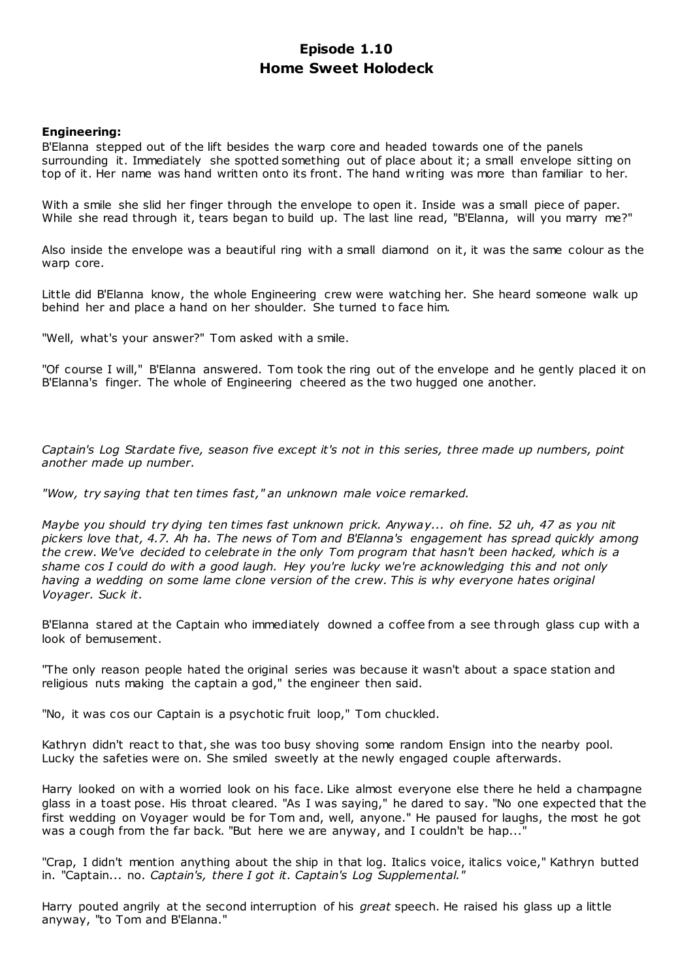# **Episode 1.10 Home Sweet Holodeck**

# **Engineering:**

B'Elanna stepped out of the lift besides the warp core and headed towards one of the panels surrounding it. Immediately she spotted something out of place about it; a small envelope sitting on top of it. Her name was hand written onto its front. The hand writing was more than familiar to her.

With a smile she slid her finger through the envelope to open it. Inside was a small piece of paper. While she read through it, tears began to build up. The last line read, "B'Elanna, will you marry me?"

Also inside the envelope was a beautiful ring with a small diamond on it, it was the same colour as the warp core.

Little did B'Elanna know, the whole Engineering crew were watching her. She heard someone walk up behind her and place a hand on her shoulder. She turned to face him.

"Well, what's your answer?" Tom asked with a smile.

"Of course I will," B'Elanna answered. Tom took the ring out of the envelope and he gently placed it on B'Elanna's finger. The whole of Engineering cheered as the two hugged one another.

*Captain's Log Stardate five, season five except it's not in this series, three made up numbers, point another made up number.*

*"Wow, try saying that ten times fast," an unknown male voice remarked.*

*Maybe you should try dying ten times fast unknown prick. Anyway... oh fine. 52 uh, 47 as you nit pickers love that, 4.7. Ah ha. The news of Tom and B'Elanna's engagement has spread quickly among the crew. We've decided to celebrate in the only Tom program that hasn't been hacked, which is a shame cos I could do with a good laugh. Hey you're lucky we're acknowledging this and not only having a wedding on some lame clone version of the crew. This is why everyone hates original Voyager. Suck it.*

B'Elanna stared at the Captain who immediately downed a coffee from a see through glass cup with a look of bemusement.

"The only reason people hated the original series was because it wasn't about a space station and religious nuts making the captain a god," the engineer then said.

"No, it was cos our Captain is a psychotic fruit loop," Tom chuckled.

Kathryn didn't react to that, she was too busy shoving some random Ensign into the nearby pool. Lucky the safeties were on. She smiled sweetly at the newly engaged couple afterwards.

Harry looked on with a worried look on his face. Like almost everyone else there he held a champagne glass in a toast pose. His throat cleared. "As I was saying," he dared to say. "No one expected that the first wedding on Voyager would be for Tom and, well, anyone." He paused for laughs, the most he got was a cough from the far back. "But here we are anyway, and I couldn't be hap..."

"Crap, I didn't mention anything about the ship in that log. Italics voice, italics voice," Kathryn butted in. "Captain... no. *Captain's, there I got it. Captain's Log Supplemental."*

Harry pouted angrily at the second interruption of his *great* speech. He raised his glass up a little anyway, "to Tom and B'Elanna."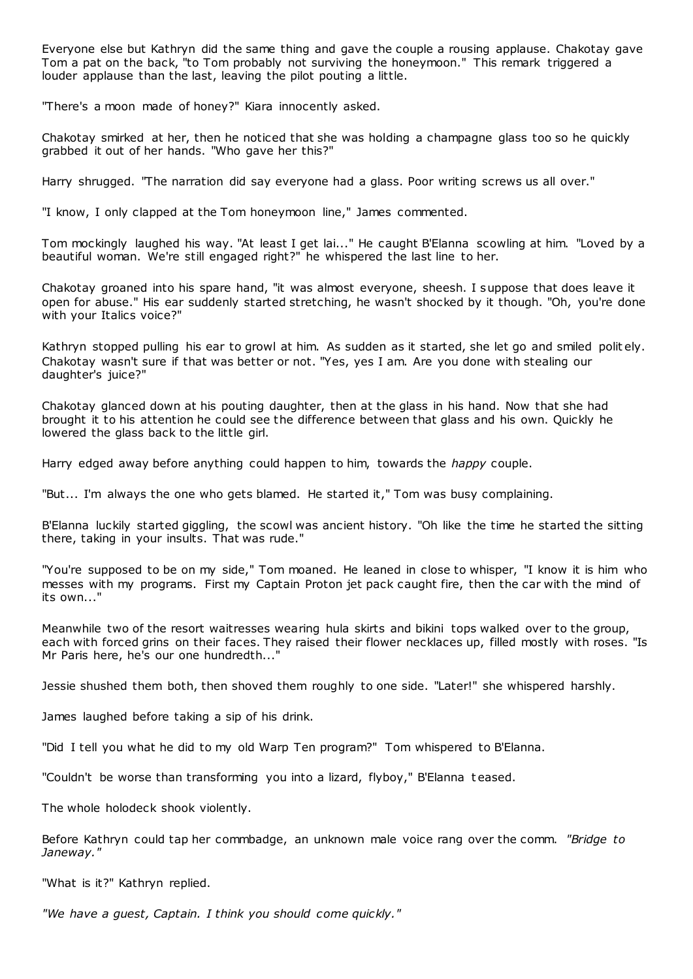Everyone else but Kathryn did the same thing and gave the couple a rousing applause. Chakotay gave Tom a pat on the back, "to Tom probably not surviving the honeymoon." This remark triggered a louder applause than the last, leaving the pilot pouting a little.

"There's a moon made of honey?" Kiara innocently asked.

Chakotay smirked at her, then he noticed that she was holding a champagne glass too so he quickly grabbed it out of her hands. "Who gave her this?"

Harry shrugged. "The narration did say everyone had a glass. Poor writing screws us all over."

"I know, I only clapped at the Tom honeymoon line," James commented.

Tom mockingly laughed his way. "At least I get lai..." He caught B'Elanna scowling at him. "Loved by a beautiful woman. We're still engaged right?" he whispered the last line to her.

Chakotay groaned into his spare hand, "it was almost everyone, sheesh. I suppose that does leave it open for abuse." His ear suddenly started stretching, he wasn't shocked by it though. "Oh, you're done with your Italics voice?"

Kathryn stopped pulling his ear to growl at him. As sudden as it started, she let go and smiled polit ely. Chakotay wasn't sure if that was better or not. "Yes, yes I am. Are you done with stealing our daughter's juice?"

Chakotay glanced down at his pouting daughter, then at the glass in his hand. Now that she had brought it to his attention he could see the difference between that glass and his own. Quickly he lowered the glass back to the little girl.

Harry edged away before anything could happen to him, towards the *happy* couple.

"But... I'm always the one who gets blamed. He started it," Tom was busy complaining.

B'Elanna luckily started giggling, the scowl was ancient history. "Oh like the time he started the sitting there, taking in your insults. That was rude."

"You're supposed to be on my side," Tom moaned. He leaned in close to whisper, "I know it is him who messes with my programs. First my Captain Proton jet pack caught fire, then the car with the mind of its own..."

Meanwhile two of the resort waitresses wearing hula skirts and bikini tops walked over to the group, each with forced grins on their faces. They raised their flower necklaces up, filled mostly with roses. "Is Mr Paris here, he's our one hundredth..."

Jessie shushed them both, then shoved them roughly to one side. "Later!" she whispered harshly.

James laughed before taking a sip of his drink.

"Did I tell you what he did to my old Warp Ten program?" Tom whispered to B'Elanna.

"Couldn't be worse than transforming you into a lizard, flyboy," B'Elanna t eased.

The whole holodeck shook violently.

Before Kathryn could tap her commbadge, an unknown male voice rang over the comm. *"Bridge to Janeway."*

"What is it?" Kathryn replied.

*"We have a guest, Captain. I think you should come quickly."*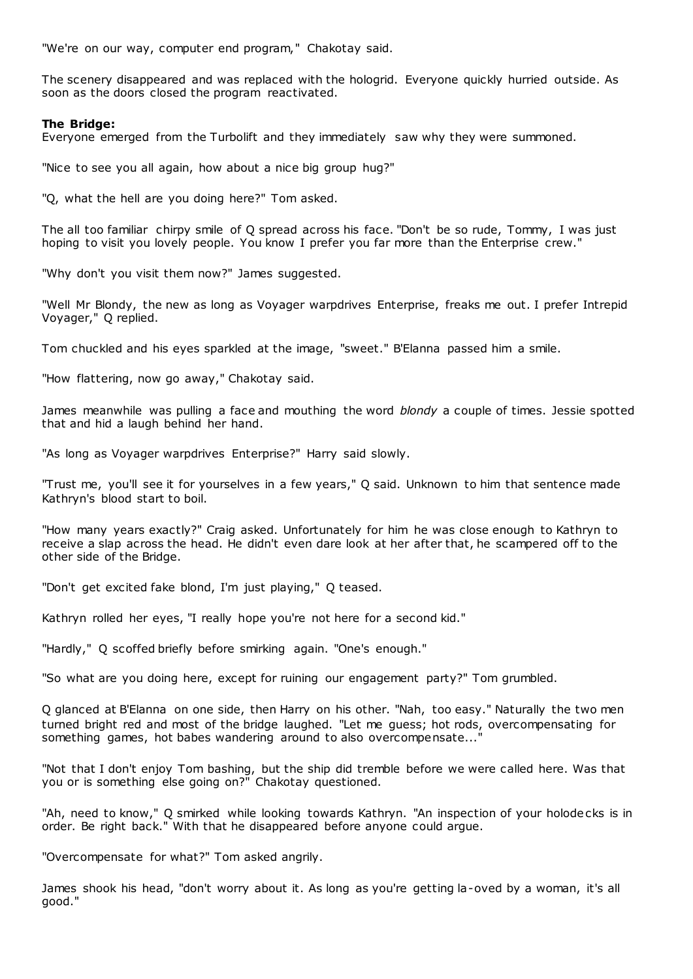"We're on our way, computer end program," Chakotay said.

The scenery disappeared and was replaced with the hologrid. Everyone quickly hurried outside. As soon as the doors closed the program reactivated.

#### **The Bridge:**

Everyone emerged from the Turbolift and they immediately saw why they were summoned.

"Nice to see you all again, how about a nice big group hug?"

"Q, what the hell are you doing here?" Tom asked.

The all too familiar chirpy smile of Q spread across his face. "Don't be so rude, Tommy, I was just hoping to visit you lovely people. You know I prefer you far more than the Enterprise crew."

"Why don't you visit them now?" James suggested.

"Well Mr Blondy, the new as long as Voyager warpdrives Enterprise, freaks me out. I prefer Intrepid Voyager," Q replied.

Tom chuckled and his eyes sparkled at the image, "sweet." B'Elanna passed him a smile.

"How flattering, now go away," Chakotay said.

James meanwhile was pulling a face and mouthing the word *blondy* a couple of times. Jessie spotted that and hid a laugh behind her hand.

"As long as Voyager warpdrives Enterprise?" Harry said slowly.

"Trust me, you'll see it for yourselves in a few years," Q said. Unknown to him that sentence made Kathryn's blood start to boil.

"How many years exactly?" Craig asked. Unfortunately for him he was close enough to Kathryn to receive a slap across the head. He didn't even dare look at her after that, he scampered off to the other side of the Bridge.

"Don't get excited fake blond, I'm just playing," Q teased.

Kathryn rolled her eyes, "I really hope you're not here for a second kid."

"Hardly," Q scoffed briefly before smirking again. "One's enough."

"So what are you doing here, except for ruining our engagement party?" Tom grumbled.

Q glanced at B'Elanna on one side, then Harry on his other. "Nah, too easy." Naturally the two men turned bright red and most of the bridge laughed. "Let me guess; hot rods, overcompensating for something games, hot babes wandering around to also overcompensate...

"Not that I don't enjoy Tom bashing, but the ship did tremble before we were called here. Was that you or is something else going on?" Chakotay questioned.

"Ah, need to know," Q smirked while looking towards Kathryn. "An inspection of your holodecks is in order. Be right back." With that he disappeared before anyone could argue.

"Overcompensate for what?" Tom asked angrily.

James shook his head, "don't worry about it. As long as you're getting la-oved by a woman, it's all good."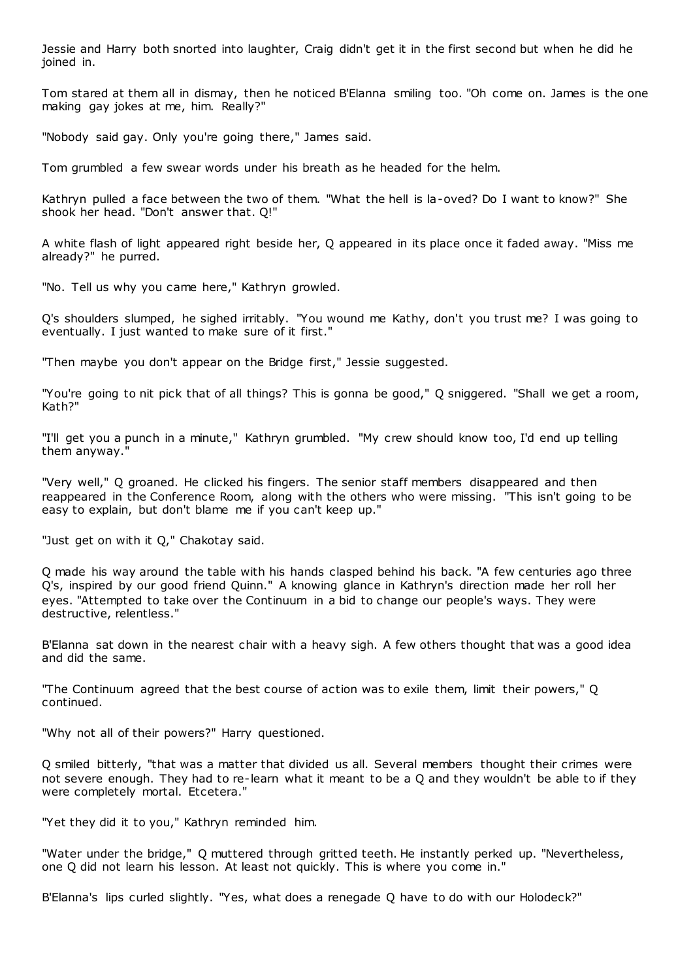Jessie and Harry both snorted into laughter, Craig didn't get it in the first second but when he did he joined in.

Tom stared at them all in dismay, then he noticed B'Elanna smiling too. "Oh come on. James is the one making gay jokes at me, him. Really?"

"Nobody said gay. Only you're going there," James said.

Tom grumbled a few swear words under his breath as he headed for the helm.

Kathryn pulled a face between the two of them. "What the hell is la-oved? Do I want to know?" She shook her head. "Don't answer that. Q!"

A white flash of light appeared right beside her, Q appeared in its place once it faded away. "Miss me already?" he purred.

"No. Tell us why you came here," Kathryn growled.

Q's shoulders slumped, he sighed irritably. "You wound me Kathy, don't you trust me? I was going to eventually. I just wanted to make sure of it first."

"Then maybe you don't appear on the Bridge first," Jessie suggested.

"You're going to nit pick that of all things? This is gonna be good," Q sniggered. "Shall we get a room, Kath?"

"I'll get you a punch in a minute," Kathryn grumbled. "My crew should know too, I'd end up telling them anyway."

"Very well," Q groaned. He clicked his fingers. The senior staff members disappeared and then reappeared in the Conference Room, along with the others who were missing. "This isn't going to be easy to explain, but don't blame me if you can't keep up."

"Just get on with it Q," Chakotay said.

Q made his way around the table with his hands clasped behind his back. "A few centuries ago three Q's, inspired by our good friend Quinn." A knowing glance in Kathryn's direction made her roll her eyes. "Attempted to take over the Continuum in a bid to change our people's ways. They were destructive, relentless."

B'Elanna sat down in the nearest chair with a heavy sigh. A few others thought that was a good idea and did the same.

"The Continuum agreed that the best course of action was to exile them, limit their powers," Q continued.

"Why not all of their powers?" Harry questioned.

Q smiled bitterly, "that was a matter that divided us all. Several members thought their crimes were not severe enough. They had to re-learn what it meant to be a Q and they wouldn't be able to if they were completely mortal. Etcetera."

"Yet they did it to you," Kathryn reminded him.

"Water under the bridge," Q muttered through gritted teeth. He instantly perked up. "Nevertheless, one Q did not learn his lesson. At least not quickly. This is where you come in."

B'Elanna's lips curled slightly. "Yes, what does a renegade Q have to do with our Holodeck?"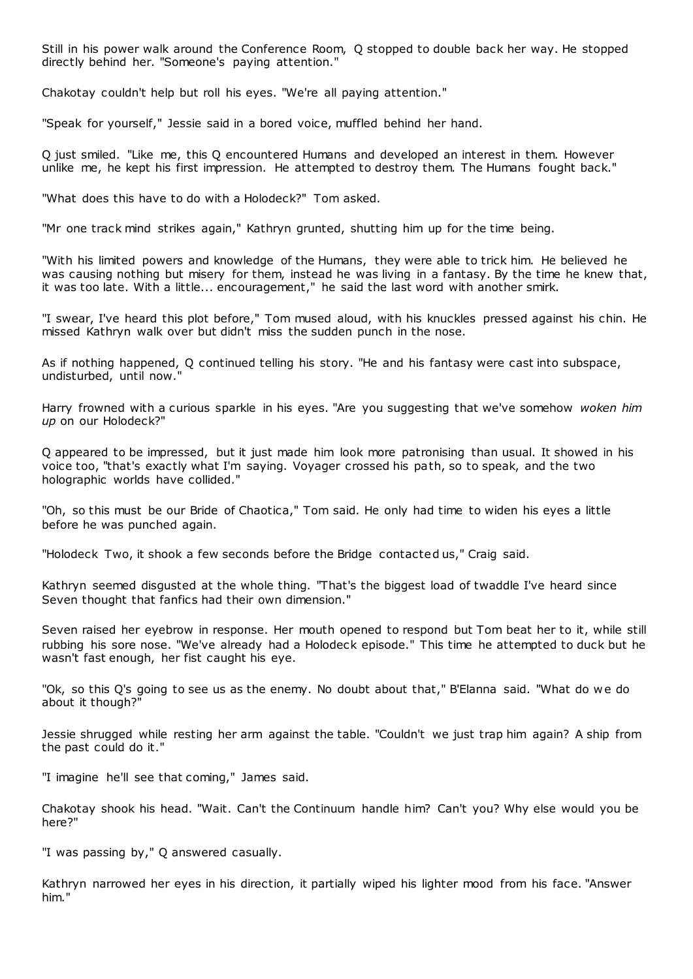Still in his power walk around the Conference Room, Q stopped to double back her way. He stopped directly behind her. "Someone's paying attention."

Chakotay couldn't help but roll his eyes. "We're all paying attention."

"Speak for yourself," Jessie said in a bored voice, muffled behind her hand.

Q just smiled. "Like me, this Q encountered Humans and developed an interest in them. However unlike me, he kept his first impression. He attempted to destroy them. The Humans fought back."

"What does this have to do with a Holodeck?" Tom asked.

"Mr one track mind strikes again," Kathryn grunted, shutting him up for the time being.

"With his limited powers and knowledge of the Humans, they were able to trick him. He believed he was causing nothing but misery for them, instead he was living in a fantasy. By the time he knew that, it was too late. With a little... encouragement," he said the last word with another smirk.

"I swear, I've heard this plot before," Tom mused aloud, with his knuckles pressed against his chin. He missed Kathryn walk over but didn't miss the sudden punch in the nose.

As if nothing happened, Q continued telling his story. "He and his fantasy were cast into subspace, undisturbed, until now."

Harry frowned with a curious sparkle in his eyes. "Are you suggesting that we've somehow *woken him up* on our Holodeck?"

Q appeared to be impressed, but it just made him look more patronising than usual. It showed in his voice too, "that's exactly what I'm saying. Voyager crossed his path, so to speak, and the two holographic worlds have collided."

"Oh, so this must be our Bride of Chaotica," Tom said. He only had time to widen his eyes a little before he was punched again.

"Holodeck Two, it shook a few seconds before the Bridge contacted us," Craig said.

Kathryn seemed disgusted at the whole thing. "That's the biggest load of twaddle I've heard since Seven thought that fanfics had their own dimension."

Seven raised her eyebrow in response. Her mouth opened to respond but Tom beat her to it, while still rubbing his sore nose. "We've already had a Holodeck episode." This time he attempted to duck but he wasn't fast enough, her fist caught his eye.

"Ok, so this Q's going to see us as the enemy. No doubt about that," B'Elanna said. "What do w e do about it though?"

Jessie shrugged while resting her arm against the table. "Couldn't we just trap him again? A ship from the past could do it."

"I imagine he'll see that coming," James said.

Chakotay shook his head. "Wait. Can't the Continuum handle him? Can't you? Why else would you be here?"

"I was passing by," Q answered casually.

Kathryn narrowed her eyes in his direction, it partially wiped his lighter mood from his face. "Answer him."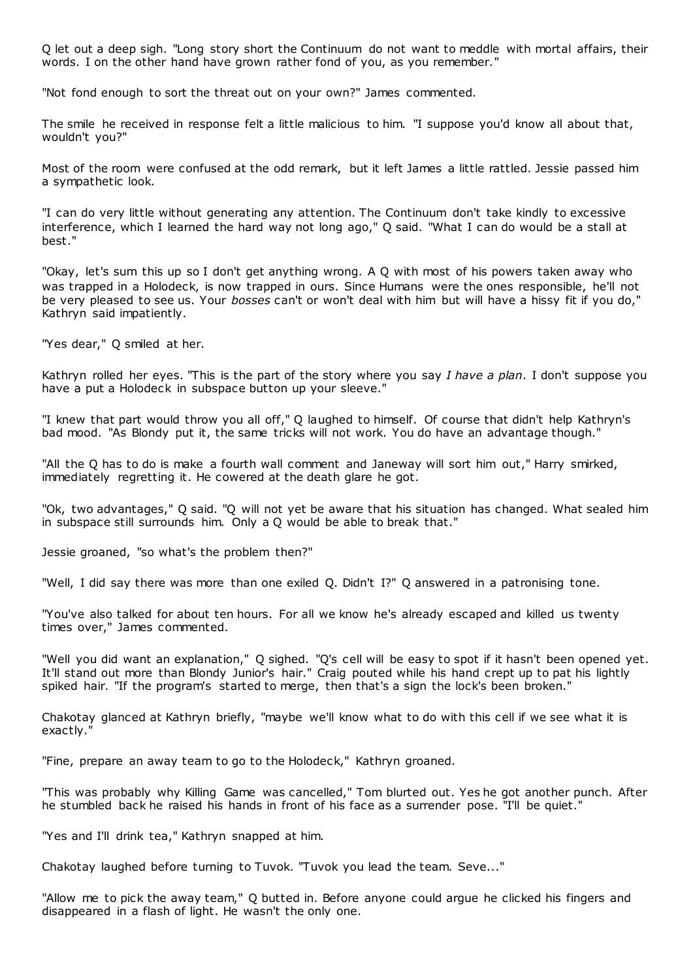Q let out a deep sigh. "Long story short the Continuum do not want to meddle with mortal affairs, their words. I on the other hand have grown rather fond of you, as you remember."

"Not fond enough to sort the threat out on your own?" James commented.

The smile he received in response felt a little malicious to him. "I suppose you'd know all about that, wouldn't you?"

Most of the room were confused at the odd remark, but it left James a little rattled. Jessie passed him a sympathetic look.

"I can do very little without generating any attention. The Continuum don't take kindly to excessive interference, which I learned the hard way not long ago," Q said. "What I can do would be a stall at best."

"Okay, let's sum this up so I don't get anything wrong. A Q with most of his powers taken away who was trapped in a Holodeck, is now trapped in ours. Since Humans were the ones responsible, he'll not be very pleased to see us. Your *bosses* can't or won't deal with him but will have a hissy fit if you do," Kathryn said impatiently.

"Yes dear," Q smiled at her.

Kathryn rolled her eyes. "This is the part of the story where you say *I have a plan*. I don't suppose you have a put a Holodeck in subspace button up your sleeve."

"I knew that part would throw you all off," Q laughed to himself. Of course that didn't help Kathryn's bad mood. "As Blondy put it, the same tricks will not work. You do have an advantage though."

"All the Q has to do is make a fourth wall comment and Janeway will sort him out," Harry smirked, immediately regretting it. He cowered at the death glare he got.

"Ok, two advantages," Q said. "Q will not yet be aware that his situation has changed. What sealed him in subspace still surrounds him. Only a Q would be able to break that."

Jessie groaned, "so what's the problem then?"

"Well, I did say there was more than one exiled Q. Didn't I?" Q answered in a patronising tone.

"You've also talked for about ten hours. For all we know he's already escaped and killed us twenty times over," James commented.

"Well you did want an explanation," Q sighed. "Q's cell will be easy to spot if it hasn't been opened yet. It'll stand out more than Blondy Junior's hair." Craig pouted while his hand crept up to pat his lightly spiked hair. "If the program's started to merge, then that's a sign the lock's been broken."

Chakotay glanced at Kathryn briefly, "maybe we'll know what to do with this cell if we see what it is exactly."

"Fine, prepare an away team to go to the Holodeck," Kathryn groaned.

"This was probably why Killing Game was cancelled," Tom blurted out. Yes he got another punch. After he stumbled back he raised his hands in front of his face as a surrender pose. "I'll be quiet."

"Yes and I'll drink tea," Kathryn snapped at him.

Chakotay laughed before turning to Tuvok. "Tuvok you lead the team. Seve..."

"Allow me to pick the away team," Q butted in. Before anyone could argue he clicked his fingers and disappeared in a flash of light. He wasn't the only one.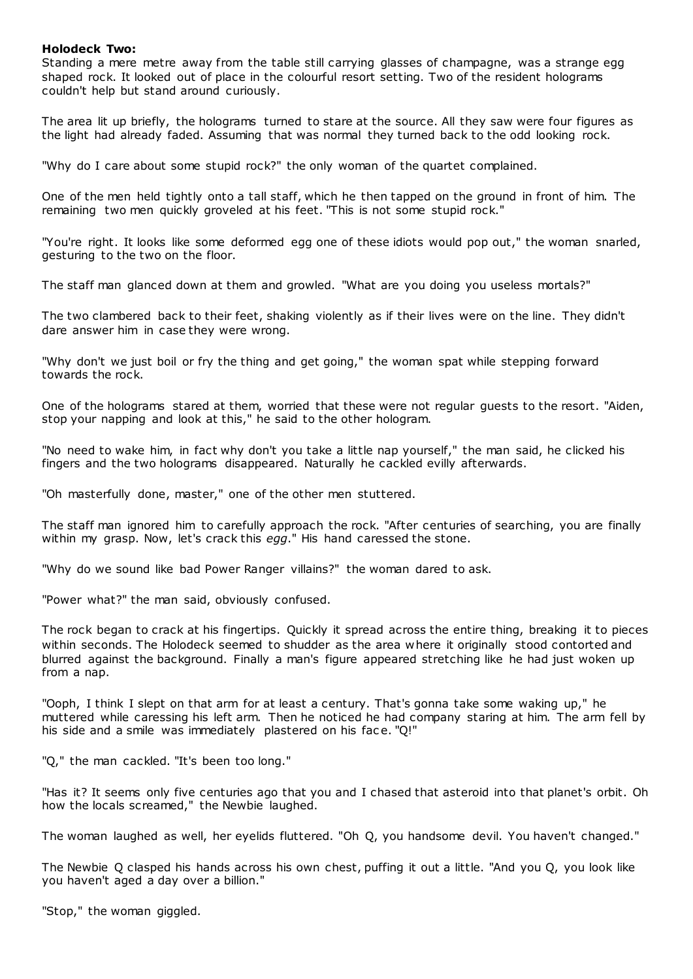## **Holodeck Two:**

Standing a mere metre away from the table still carrying glasses of champagne, was a strange egg shaped rock. It looked out of place in the colourful resort setting. Two of the resident holograms couldn't help but stand around curiously.

The area lit up briefly, the holograms turned to stare at the source. All they saw were four figures as the light had already faded. Assuming that was normal they turned back to the odd looking rock.

"Why do I care about some stupid rock?" the only woman of the quartet complained.

One of the men held tightly onto a tall staff, which he then tapped on the ground in front of him. The remaining two men quickly groveled at his feet. "This is not some stupid rock."

"You're right. It looks like some deformed egg one of these idiots would pop out," the woman snarled, gesturing to the two on the floor.

The staff man glanced down at them and growled. "What are you doing you useless mortals?"

The two clambered back to their feet, shaking violently as if their lives were on the line. They didn't dare answer him in case they were wrong.

"Why don't we just boil or fry the thing and get going," the woman spat while stepping forward towards the rock.

One of the holograms stared at them, worried that these were not regular guests to the resort. "Aiden, stop your napping and look at this," he said to the other hologram.

"No need to wake him, in fact why don't you take a little nap yourself," the man said, he clicked his fingers and the two holograms disappeared. Naturally he cackled evilly afterwards.

"Oh masterfully done, master," one of the other men stuttered.

The staff man ignored him to carefully approach the rock. "After centuries of searching, you are finally within my grasp. Now, let's crack this *egg*." His hand caressed the stone.

"Why do we sound like bad Power Ranger villains?" the woman dared to ask.

"Power what?" the man said, obviously confused.

The rock began to crack at his fingertips. Quickly it spread across the entire thing, breaking it to pieces within seconds. The Holodeck seemed to shudder as the area where it originally stood contorted and blurred against the background. Finally a man's figure appeared stretching like he had just woken up from a nap.

"Ooph, I think I slept on that arm for at least a century. That's gonna take some waking up," he muttered while caressing his left arm. Then he noticed he had company staring at him. The arm fell by his side and a smile was immediately plastered on his face. "Q!"

"Q," the man cackled. "It's been too long."

"Has it? It seems only five centuries ago that you and I chased that asteroid into that planet's orbit. Oh how the locals screamed," the Newbie laughed.

The woman laughed as well, her eyelids fluttered. "Oh Q, you handsome devil. You haven't changed."

The Newbie Q clasped his hands across his own chest, puffing it out a little. "And you Q, you look like you haven't aged a day over a billion."

"Stop," the woman giggled.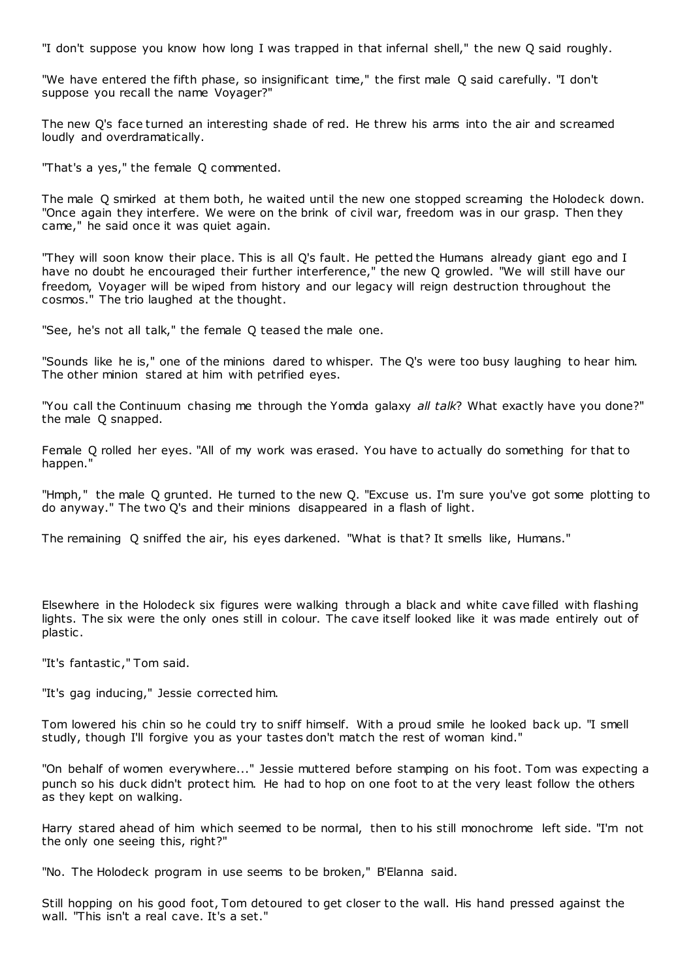"I don't suppose you know how long I was trapped in that infernal shell," the new Q said roughly.

"We have entered the fifth phase, so insignificant time," the first male Q said carefully. "I don't suppose you recall the name Voyager?"

The new Q's face turned an interesting shade of red. He threw his arms into the air and screamed loudly and overdramatically.

"That's a yes," the female Q commented.

The male Q smirked at them both, he waited until the new one stopped screaming the Holodeck down. "Once again they interfere. We were on the brink of civil war, freedom was in our grasp. Then they came," he said once it was quiet again.

"They will soon know their place. This is all Q's fault. He petted the Humans already giant ego and I have no doubt he encouraged their further interference," the new Q growled. "We will still have our freedom, Voyager will be wiped from history and our legacy will reign destruction throughout the cosmos." The trio laughed at the thought.

"See, he's not all talk," the female Q teased the male one.

"Sounds like he is," one of the minions dared to whisper. The Q's were too busy laughing to hear him. The other minion stared at him with petrified eyes.

"You call the Continuum chasing me through the Yomda galaxy *all talk*? What exactly have you done?" the male Q snapped.

Female Q rolled her eyes. "All of my work was erased. You have to actually do something for that to happen."

"Hmph," the male Q grunted. He turned to the new Q. "Excuse us. I'm sure you've got some plotting to do anyway." The two Q's and their minions disappeared in a flash of light.

The remaining Q sniffed the air, his eyes darkened. "What is that? It smells like, Humans."

Elsewhere in the Holodeck six figures were walking through a black and white cave filled with flashing lights. The six were the only ones still in colour. The cave itself looked like it was made entirely out of plastic .

"It's fantastic ," Tom said.

"It's gag inducing," Jessie corrected him.

Tom lowered his chin so he could try to sniff himself. With a proud smile he looked back up. "I smell studly, though I'll forgive you as your tastes don't match the rest of woman kind."

"On behalf of women everywhere..." Jessie muttered before stamping on his foot. Tom was expecting a punch so his duck didn't protect him. He had to hop on one foot to at the very least follow the others as they kept on walking.

Harry stared ahead of him which seemed to be normal, then to his still monochrome left side. "I'm not the only one seeing this, right?"

"No. The Holodeck program in use seems to be broken," B'Elanna said.

Still hopping on his good foot, Tom detoured to get closer to the wall. His hand pressed against the wall. "This isn't a real cave. It's a set."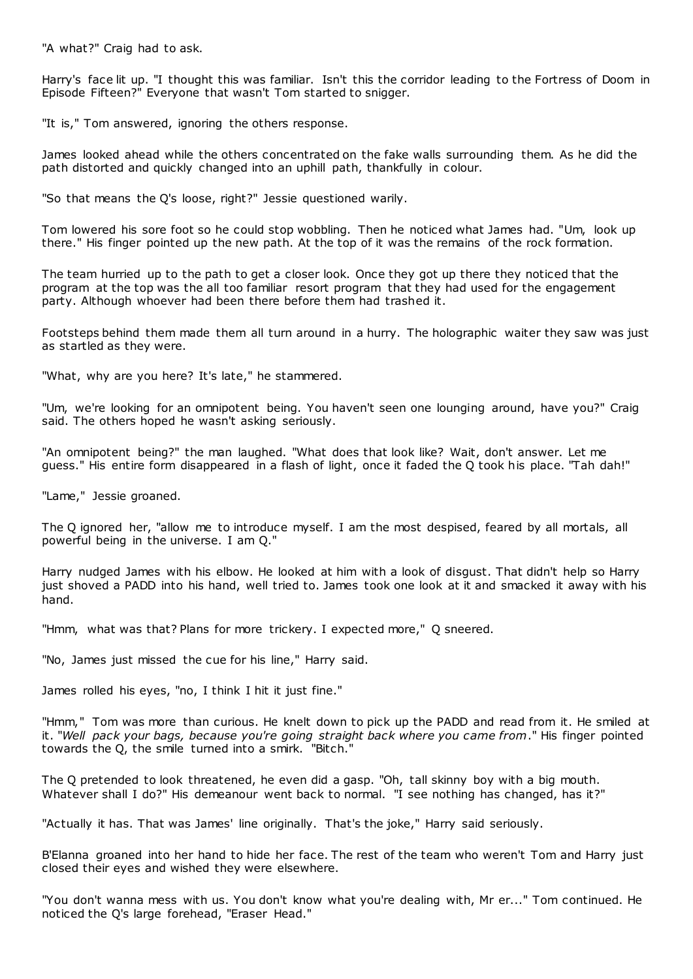"A what?" Craig had to ask.

Harry's face lit up. "I thought this was familiar. Isn't this the corridor leading to the Fortress of Doom in Episode Fifteen?" Everyone that wasn't Tom started to snigger.

"It is," Tom answered, ignoring the others response.

James looked ahead while the others concentrated on the fake walls surrounding them. As he did the path distorted and quickly changed into an uphill path, thankfully in colour.

"So that means the Q's loose, right?" Jessie questioned warily.

Tom lowered his sore foot so he could stop wobbling. Then he noticed what James had. "Um, look up there." His finger pointed up the new path. At the top of it was the remains of the rock formation.

The team hurried up to the path to get a closer look. Once they got up there they noticed that the program at the top was the all too familiar resort program that they had used for the engagement party. Although whoever had been there before them had trashed it.

Footsteps behind them made them all turn around in a hurry. The holographic waiter they saw was just as startled as they were.

"What, why are you here? It's late," he stammered.

"Um, we're looking for an omnipotent being. You haven't seen one lounging around, have you?" Craig said. The others hoped he wasn't asking seriously.

"An omnipotent being?" the man laughed. "What does that look like? Wait, don't answer. Let me guess." His entire form disappeared in a flash of light, once it faded the Q took his place. "Tah dah!"

"Lame," Jessie groaned.

The Q ignored her, "allow me to introduce myself. I am the most despised, feared by all mortals, all powerful being in the universe. I am Q."

Harry nudged James with his elbow. He looked at him with a look of disgust. That didn't help so Harry just shoved a PADD into his hand, well tried to. James took one look at it and smacked it away with his hand.

"Hmm, what was that? Plans for more trickery. I expected more," Q sneered.

"No, James just missed the cue for his line," Harry said.

James rolled his eyes, "no, I think I hit it just fine."

"Hmm," Tom was more than curious. He knelt down to pick up the PADD and read from it. He smiled at it. "*Well pack your bags, because you're going straight back where you came from*." His finger pointed towards the Q, the smile turned into a smirk. "Bitch."

The Q pretended to look threatened, he even did a gasp. "Oh, tall skinny boy with a big mouth. Whatever shall I do?" His demeanour went back to normal. "I see nothing has changed, has it?"

"Actually it has. That was James' line originally. That's the joke," Harry said seriously.

B'Elanna groaned into her hand to hide her face. The rest of the team who weren't Tom and Harry just closed their eyes and wished they were elsewhere.

"You don't wanna mess with us. You don't know what you're dealing with, Mr er..." Tom continued. He noticed the Q's large forehead, "Eraser Head."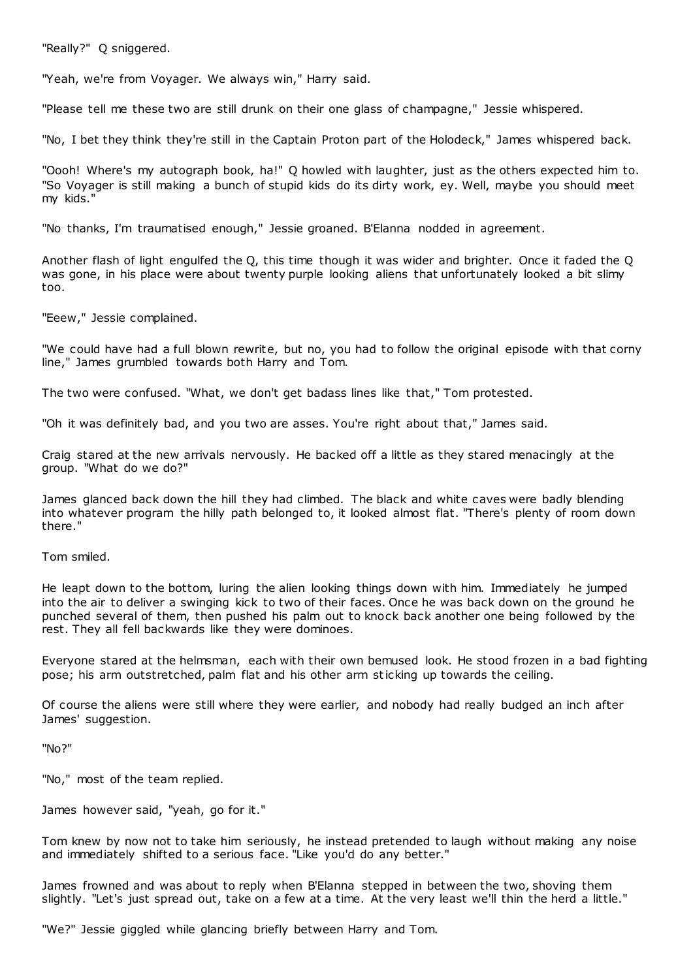"Really?" Q sniggered.

"Yeah, we're from Voyager. We always win," Harry said.

"Please tell me these two are still drunk on their one glass of champagne," Jessie whispered.

"No, I bet they think they're still in the Captain Proton part of the Holodeck," James whispered back.

"Oooh! Where's my autograph book, ha!" Q howled with laughter, just as the others expected him to. "So Voyager is still making a bunch of stupid kids do its dirty work, ey. Well, maybe you should meet my kids."

"No thanks, I'm traumatised enough," Jessie groaned. B'Elanna nodded in agreement.

Another flash of light engulfed the Q, this time though it was wider and brighter. Once it faded the Q was gone, in his place were about twenty purple looking aliens that unfortunately looked a bit slimy too.

"Eeew," Jessie complained.

"We could have had a full blown rewrite, but no, you had to follow the original episode with that corny line," James grumbled towards both Harry and Tom.

The two were confused. "What, we don't get badass lines like that," Tom protested.

"Oh it was definitely bad, and you two are asses. You're right about that," James said.

Craig stared at the new arrivals nervously. He backed off a little as they stared menacingly at the group. "What do we do?"

James glanced back down the hill they had climbed. The black and white caves were badly blending into whatever program the hilly path belonged to, it looked almost flat. "There's plenty of room down there."

Tom smiled.

He leapt down to the bottom, luring the alien looking things down with him. Immediately he jumped into the air to deliver a swinging kick to two of their faces. Once he was back down on the ground he punched several of them, then pushed his palm out to knock back another one being followed by the rest. They all fell backwards like they were dominoes.

Everyone stared at the helmsman, each with their own bemused look. He stood frozen in a bad fighting pose; his arm outstretched, palm flat and his other arm sticking up towards the ceiling.

Of course the aliens were still where they were earlier, and nobody had really budged an inch after James' suggestion.

"No?"

"No," most of the team replied.

James however said, "yeah, go for it."

Tom knew by now not to take him seriously, he instead pretended to laugh without making any noise and immediately shifted to a serious face. "Like you'd do any better."

James frowned and was about to reply when B'Elanna stepped in between the two, shoving them slightly. "Let's just spread out, take on a few at a time. At the very least we'll thin the herd a little."

"We?" Jessie giggled while glancing briefly between Harry and Tom.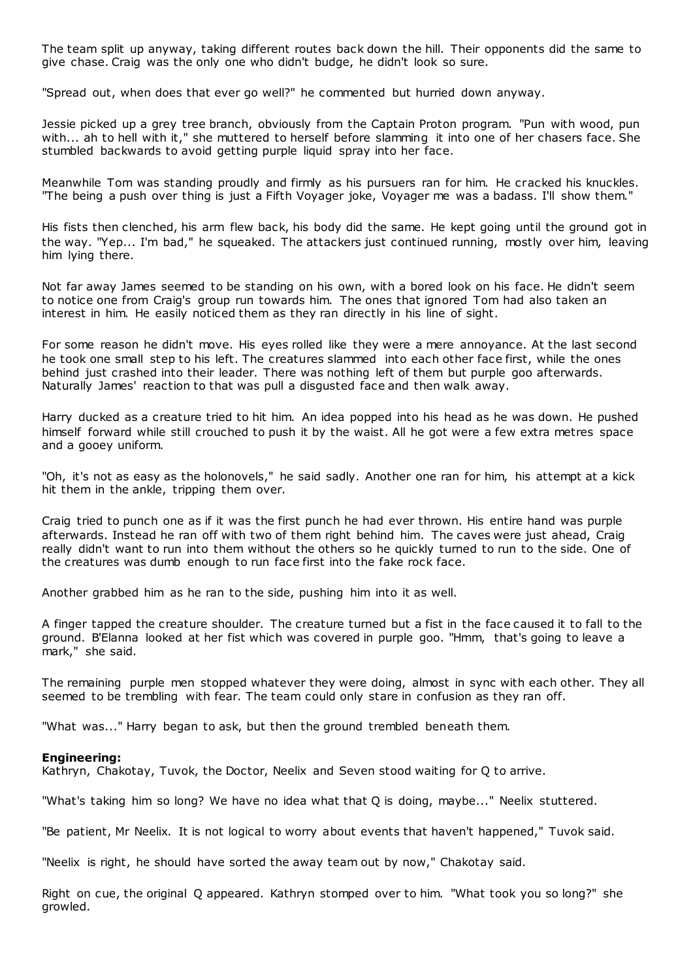The team split up anyway, taking different routes back down the hill. Their opponents did the same to give chase. Craig was the only one who didn't budge, he didn't look so sure.

"Spread out, when does that ever go well?" he commented but hurried down anyway.

Jessie picked up a grey tree branch, obviously from the Captain Proton program. "Pun with wood, pun with... ah to hell with it," she muttered to herself before slamming it into one of her chasers face. She stumbled backwards to avoid getting purple liquid spray into her face.

Meanwhile Tom was standing proudly and firmly as his pursuers ran for him. He cracked his knuckles. "The being a push over thing is just a Fifth Voyager joke, Voyager me was a badass. I'll show them."

His fists then clenched, his arm flew back, his body did the same. He kept going until the ground got in the way. "Yep... I'm bad," he squeaked. The attackers just continued running, mostly over him, leaving him lying there.

Not far away James seemed to be standing on his own, with a bored look on his face. He didn't seem to notice one from Craig's group run towards him. The ones that ignored Tom had also taken an interest in him. He easily noticed them as they ran directly in his line of sight.

For some reason he didn't move. His eyes rolled like they were a mere annoyance. At the last second he took one small step to his left. The creatures slammed into each other face first, while the ones behind just crashed into their leader. There was nothing left of them but purple goo afterwards. Naturally James' reaction to that was pull a disgusted face and then walk away.

Harry ducked as a creature tried to hit him. An idea popped into his head as he was down. He pushed himself forward while still crouched to push it by the waist. All he got were a few extra metres space and a gooey uniform.

"Oh, it's not as easy as the holonovels," he said sadly. Another one ran for him, his attempt at a kick hit them in the ankle, tripping them over.

Craig tried to punch one as if it was the first punch he had ever thrown. His entire hand was purple afterwards. Instead he ran off with two of them right behind him. The caves were just ahead, Craig really didn't want to run into them without the others so he quickly turned to run to the side. One of the creatures was dumb enough to run face first into the fake rock face.

Another grabbed him as he ran to the side, pushing him into it as well.

A finger tapped the creature shoulder. The creature turned but a fist in the face caused it to fall to the ground. B'Elanna looked at her fist which was covered in purple goo. "Hmm, that's going to leave a mark," she said.

The remaining purple men stopped whatever they were doing, almost in sync with each other. They all seemed to be trembling with fear. The team could only stare in confusion as they ran off.

"What was..." Harry began to ask, but then the ground trembled beneath them.

## **Engineering:**

Kathryn, Chakotay, Tuvok, the Doctor, Neelix and Seven stood waiting for Q to arrive.

"What's taking him so long? We have no idea what that Q is doing, maybe..." Neelix stuttered.

"Be patient, Mr Neelix. It is not logical to worry about events that haven't happened," Tuvok said.

"Neelix is right, he should have sorted the away team out by now," Chakotay said.

Right on cue, the original Q appeared. Kathryn stomped over to him. "What took you so long?" she growled.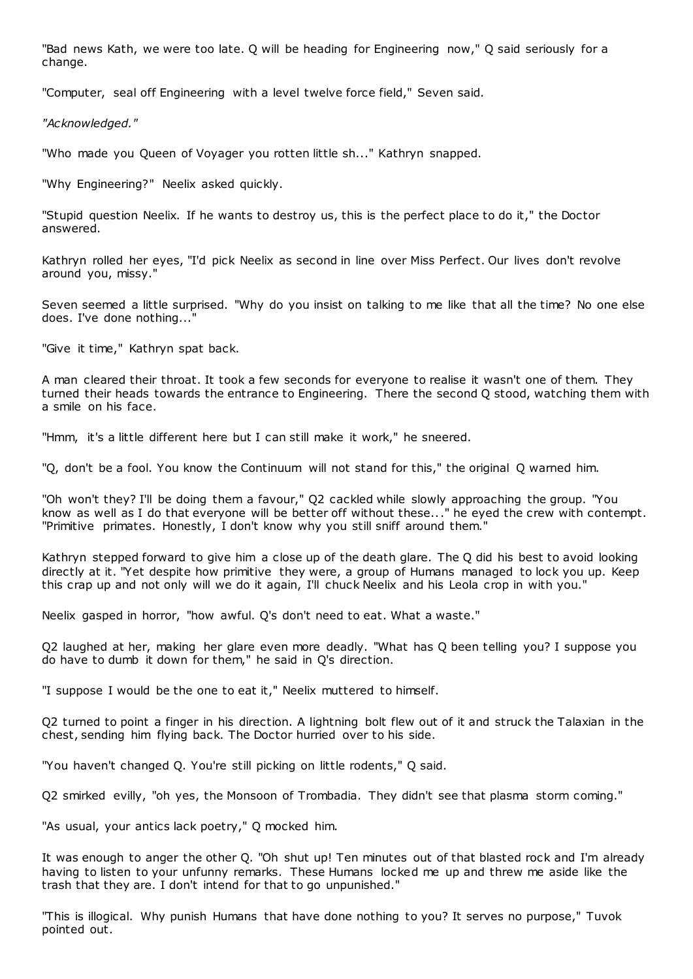"Bad news Kath, we were too late. Q will be heading for Engineering now," Q said seriously for a change.

"Computer, seal off Engineering with a level twelve force field," Seven said.

*"Acknowledged."*

"Who made you Queen of Voyager you rotten little sh..." Kathryn snapped.

"Why Engineering?" Neelix asked quickly.

"Stupid question Neelix. If he wants to destroy us, this is the perfect place to do it," the Doctor answered.

Kathryn rolled her eyes, "I'd pick Neelix as second in line over Miss Perfect. Our lives don't revolve around you, missy."

Seven seemed a little surprised. "Why do you insist on talking to me like that all the time? No one else does. I've done nothing..."

"Give it time," Kathryn spat back.

A man cleared their throat. It took a few seconds for everyone to realise it wasn't one of them. They turned their heads towards the entrance to Engineering. There the second Q stood, watching them with a smile on his face.

"Hmm, it's a little different here but I can still make it work," he sneered.

"Q, don't be a fool. You know the Continuum will not stand for this," the original Q warned him.

"Oh won't they? I'll be doing them a favour," Q2 cackled while slowly approaching the group. "You know as well as I do that everyone will be better off without these..." he eyed the crew with contempt. "Primitive primates. Honestly, I don't know why you still sniff around them."

Kathryn stepped forward to give him a close up of the death glare. The Q did his best to avoid looking directly at it. "Yet despite how primitive they were, a group of Humans managed to lock you up. Keep this crap up and not only will we do it again, I'll chuck Neelix and his Leola crop in with you."

Neelix gasped in horror, "how awful. Q's don't need to eat. What a waste."

Q2 laughed at her, making her glare even more deadly. "What has Q been telling you? I suppose you do have to dumb it down for them," he said in Q's direction.

"I suppose I would be the one to eat it," Neelix muttered to himself.

Q2 turned to point a finger in his direction. A lightning bolt flew out of it and struck the Talaxian in the chest, sending him flying back. The Doctor hurried over to his side.

"You haven't changed Q. You're still picking on little rodents," Q said.

Q2 smirked evilly, "oh yes, the Monsoon of Trombadia. They didn't see that plasma storm coming."

"As usual, your antics lack poetry," Q mocked him.

It was enough to anger the other Q. "Oh shut up! Ten minutes out of that blasted rock and I'm already having to listen to your unfunny remarks. These Humans locked me up and threw me aside like the trash that they are. I don't intend for that to go unpunished."

"This is illogical. Why punish Humans that have done nothing to you? It serves no purpose," Tuvok pointed out.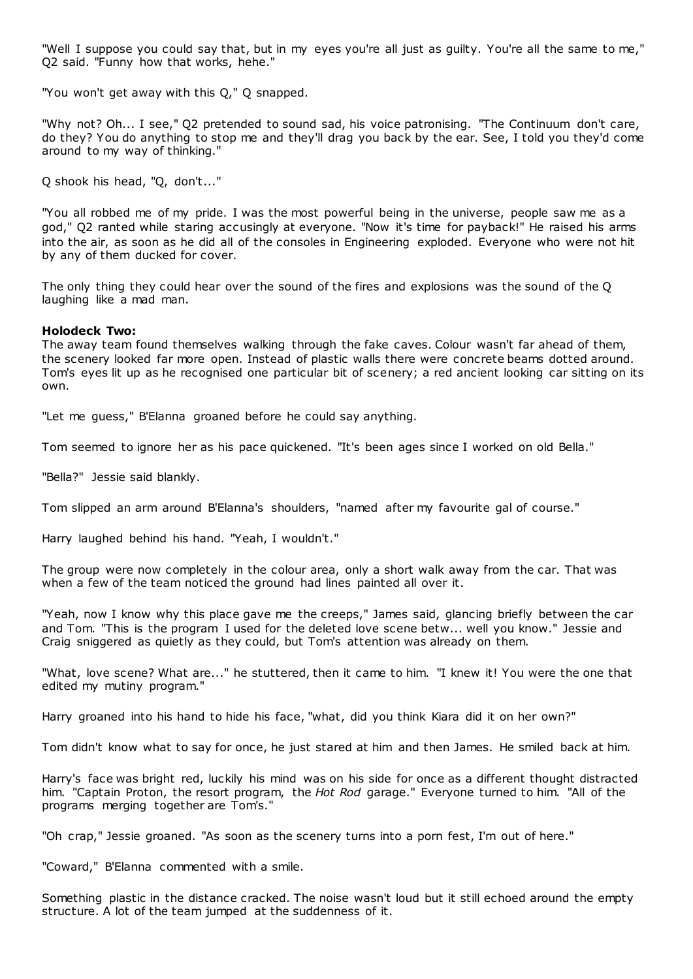"Well I suppose you could say that, but in my eyes you're all just as guilty. You're all the same to me," Q2 said. "Funny how that works, hehe."

"You won't get away with this Q," Q snapped.

"Why not? Oh... I see," Q2 pretended to sound sad, his voice patronising. "The Continuum don't care, do they? You do anything to stop me and they'll drag you back by the ear. See, I told you they'd come around to my way of thinking."

Q shook his head, "Q, don't..."

"You all robbed me of my pride. I was the most powerful being in the universe, people saw me as a god," Q2 ranted while staring accusingly at everyone. "Now it's time for payback!" He raised his arms into the air, as soon as he did all of the consoles in Engineering exploded. Everyone who were not hit by any of them ducked for cover.

The only thing they could hear over the sound of the fires and explosions was the sound of the Q laughing like a mad man.

#### **Holodeck Two:**

The away team found themselves walking through the fake caves. Colour wasn't far ahead of them, the scenery looked far more open. Instead of plastic walls there were concrete beams dotted around. Tom's eyes lit up as he recognised one particular bit of scenery; a red ancient looking car sitting on its own.

"Let me guess," B'Elanna groaned before he could say anything.

Tom seemed to ignore her as his pace quickened. "It's been ages since I worked on old Bella."

"Bella?" Jessie said blankly.

Tom slipped an arm around B'Elanna's shoulders, "named after my favourite gal of course."

Harry laughed behind his hand. "Yeah, I wouldn't."

The group were now completely in the colour area, only a short walk away from the car. That was when a few of the team noticed the ground had lines painted all over it.

"Yeah, now I know why this place gave me the creeps," James said, glancing briefly between the car and Tom. "This is the program I used for the deleted love scene betw... well you know." Jessie and Craig sniggered as quietly as they could, but Tom's attention was already on them.

"What, love scene? What are..." he stuttered, then it came to him. "I knew it! You were the one that edited my mutiny program."

Harry groaned into his hand to hide his face, "what, did you think Kiara did it on her own?"

Tom didn't know what to say for once, he just stared at him and then James. He smiled back at him.

Harry's face was bright red, luckily his mind was on his side for once as a different thought distracted him. "Captain Proton, the resort program, the *Hot Rod* garage." Everyone turned to him. "All of the programs merging together are Tom's."

"Oh crap," Jessie groaned. "As soon as the scenery turns into a porn fest, I'm out of here."

"Coward," B'Elanna commented with a smile.

Something plastic in the distance cracked. The noise wasn't loud but it still echoed around the empty structure. A lot of the team jumped at the suddenness of it.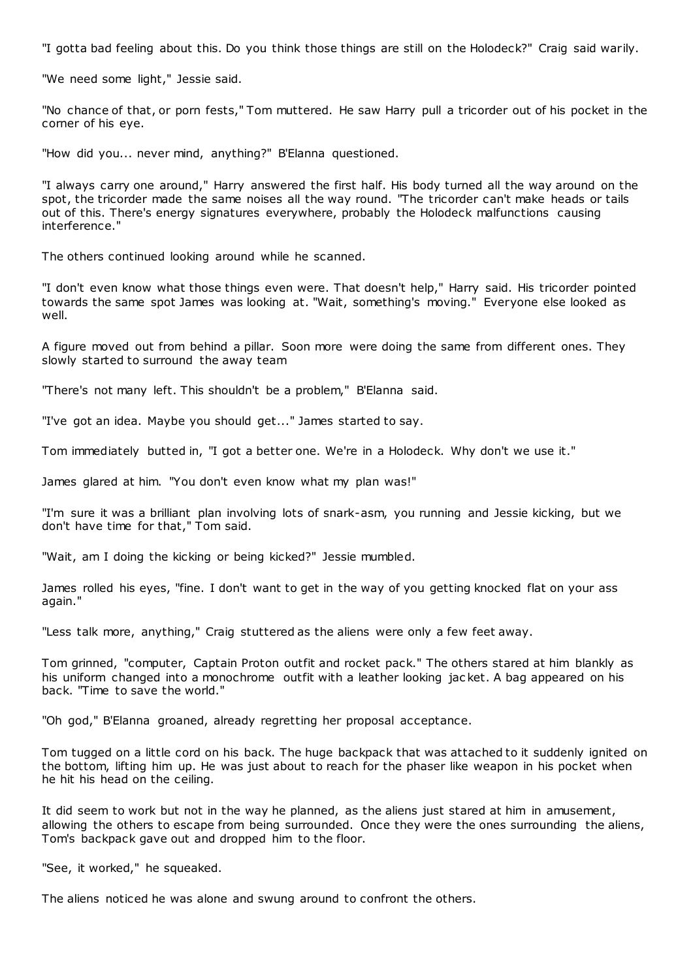"I gotta bad feeling about this. Do you think those things are still on the Holodeck?" Craig said warily.

"We need some light," Jessie said.

"No chance of that, or porn fests," Tom muttered. He saw Harry pull a tricorder out of his pocket in the corner of his eye.

"How did you... never mind, anything?" B'Elanna questioned.

"I always carry one around," Harry answered the first half. His body turned all the way around on the spot, the tricorder made the same noises all the way round. "The tricorder can't make heads or tails out of this. There's energy signatures everywhere, probably the Holodeck malfunctions causing interference."

The others continued looking around while he scanned.

"I don't even know what those things even were. That doesn't help," Harry said. His tricorder pointed towards the same spot James was looking at. "Wait, something's moving." Everyone else looked as well.

A figure moved out from behind a pillar. Soon more were doing the same from different ones. They slowly started to surround the away team

"There's not many left. This shouldn't be a problem," B'Elanna said.

"I've got an idea. Maybe you should get..." James started to say.

Tom immediately butted in, "I got a better one. We're in a Holodeck. Why don't we use it."

James glared at him. "You don't even know what my plan was!"

"I'm sure it was a brilliant plan involving lots of snark-asm, you running and Jessie kicking, but we don't have time for that," Tom said.

"Wait, am I doing the kicking or being kicked?" Jessie mumbled.

James rolled his eyes, "fine. I don't want to get in the way of you getting knocked flat on your ass again."

"Less talk more, anything," Craig stuttered as the aliens were only a few feet away.

Tom grinned, "computer, Captain Proton outfit and rocket pack." The others stared at him blankly as his uniform changed into a monochrome outfit with a leather looking jac ket. A bag appeared on his back. "Time to save the world."

"Oh god," B'Elanna groaned, already regretting her proposal acceptance.

Tom tugged on a little cord on his back. The huge backpack that was attached to it suddenly ignited on the bottom, lifting him up. He was just about to reach for the phaser like weapon in his pocket when he hit his head on the ceiling.

It did seem to work but not in the way he planned, as the aliens just stared at him in amusement, allowing the others to escape from being surrounded. Once they were the ones surrounding the aliens, Tom's backpack gave out and dropped him to the floor.

"See, it worked," he squeaked.

The aliens noticed he was alone and swung around to confront the others.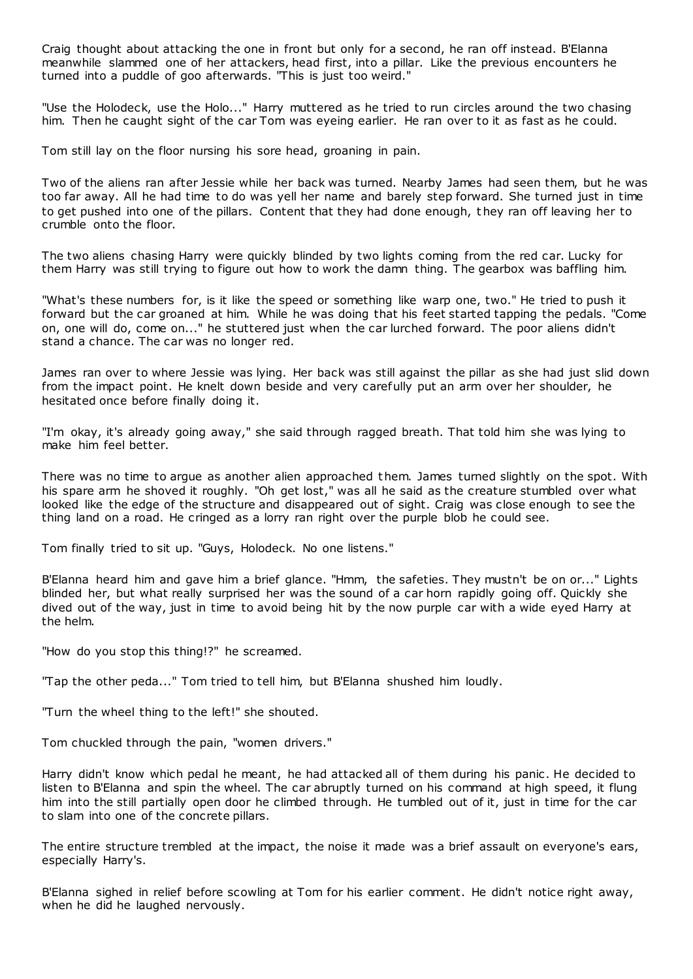Craig thought about attacking the one in front but only for a second, he ran off instead. B'Elanna meanwhile slammed one of her attackers, head first, into a pillar. Like the previous encounters he turned into a puddle of goo afterwards. "This is just too weird."

"Use the Holodeck, use the Holo..." Harry muttered as he tried to run circles around the two chasing him. Then he caught sight of the car Tom was eyeing earlier. He ran over to it as fast as he could.

Tom still lay on the floor nursing his sore head, groaning in pain.

Two of the aliens ran after Jessie while her back was turned. Nearby James had seen them, but he was too far away. All he had time to do was yell her name and barely step forward. She turned just in time to get pushed into one of the pillars. Content that they had done enough, t hey ran off leaving her to crumble onto the floor.

The two aliens chasing Harry were quickly blinded by two lights coming from the red car. Lucky for them Harry was still trying to figure out how to work the damn thing. The gearbox was baffling him.

"What's these numbers for, is it like the speed or something like warp one, two." He tried to push it forward but the car groaned at him. While he was doing that his feet started tapping the pedals. "Come on, one will do, come on..." he stuttered just when the car lurched forward. The poor aliens didn't stand a chance. The car was no longer red.

James ran over to where Jessie was lying. Her back was still against the pillar as she had just slid down from the impact point. He knelt down beside and very carefully put an arm over her shoulder, he hesitated once before finally doing it.

"I'm okay, it's already going away," she said through ragged breath. That told him she was lying to make him feel better.

There was no time to argue as another alien approached them. James turned slightly on the spot. With his spare arm he shoved it roughly. "Oh get lost," was all he said as the creature stumbled over what looked like the edge of the structure and disappeared out of sight. Craig was close enough to see the thing land on a road. He cringed as a lorry ran right over the purple blob he could see.

Tom finally tried to sit up. "Guys, Holodeck. No one listens."

B'Elanna heard him and gave him a brief glance. "Hmm, the safeties. They mustn't be on or..." Lights blinded her, but what really surprised her was the sound of a car horn rapidly going off. Quickly she dived out of the way, just in time to avoid being hit by the now purple car with a wide eyed Harry at the helm.

"How do you stop this thing!?" he screamed.

"Tap the other peda..." Tom tried to tell him, but B'Elanna shushed him loudly.

"Turn the wheel thing to the left!" she shouted.

Tom chuckled through the pain, "women drivers."

Harry didn't know which pedal he meant, he had attacked all of them during his panic . He decided to listen to B'Elanna and spin the wheel. The car abruptly turned on his command at high speed, it flung him into the still partially open door he climbed through. He tumbled out of it, just in time for the car to slam into one of the concrete pillars.

The entire structure trembled at the impact, the noise it made was a brief assault on everyone's ears, especially Harry's.

B'Elanna sighed in relief before scowling at Tom for his earlier comment. He didn't notice right away, when he did he laughed nervously.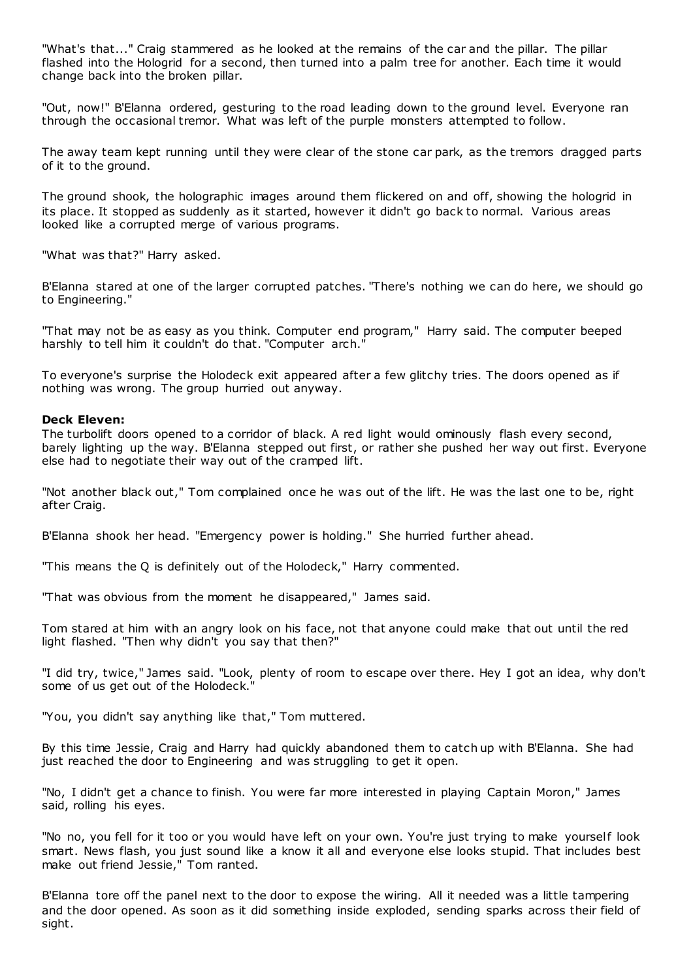"What's that..." Craig stammered as he looked at the remains of the car and the pillar. The pillar flashed into the Hologrid for a second, then turned into a palm tree for another. Each time it would change back into the broken pillar.

"Out, now!" B'Elanna ordered, gesturing to the road leading down to the ground level. Everyone ran through the occasional tremor. What was left of the purple monsters attempted to follow.

The away team kept running until they were clear of the stone car park, as the tremors dragged parts of it to the ground.

The ground shook, the holographic images around them flickered on and off, showing the hologrid in its place. It stopped as suddenly as it started, however it didn't go back to normal. Various areas looked like a corrupted merge of various programs.

"What was that?" Harry asked.

B'Elanna stared at one of the larger corrupted patches. "There's nothing we can do here, we should go to Engineering."

"That may not be as easy as you think. Computer end program," Harry said. The computer beeped harshly to tell him it couldn't do that. "Computer arch."

To everyone's surprise the Holodeck exit appeared after a few glitchy tries. The doors opened as if nothing was wrong. The group hurried out anyway.

#### **Deck Eleven:**

The turbolift doors opened to a corridor of black. A red light would ominously flash every second, barely lighting up the way. B'Elanna stepped out first, or rather she pushed her way out first. Everyone else had to negotiate their way out of the cramped lift.

"Not another black out," Tom complained once he was out of the lift. He was the last one to be, right after Craig.

B'Elanna shook her head. "Emergency power is holding." She hurried further ahead.

"This means the Q is definitely out of the Holodeck," Harry commented.

"That was obvious from the moment he disappeared," James said.

Tom stared at him with an angry look on his face, not that anyone could make that out until the red light flashed. "Then why didn't you say that then?"

"I did try, twice," James said. "Look, plenty of room to escape over there. Hey I got an idea, why don't some of us get out of the Holodeck."

"You, you didn't say anything like that," Tom muttered.

By this time Jessie, Craig and Harry had quickly abandoned them to catch up with B'Elanna. She had just reached the door to Engineering and was struggling to get it open.

"No, I didn't get a chance to finish. You were far more interested in playing Captain Moron," James said, rolling his eyes.

"No no, you fell for it too or you would have left on your own. You're just trying to make yourself look smart. News flash, you just sound like a know it all and everyone else looks stupid. That includes best make out friend Jessie," Tom ranted.

B'Elanna tore off the panel next to the door to expose the wiring. All it needed was a little tampering and the door opened. As soon as it did something inside exploded, sending sparks across their field of sight.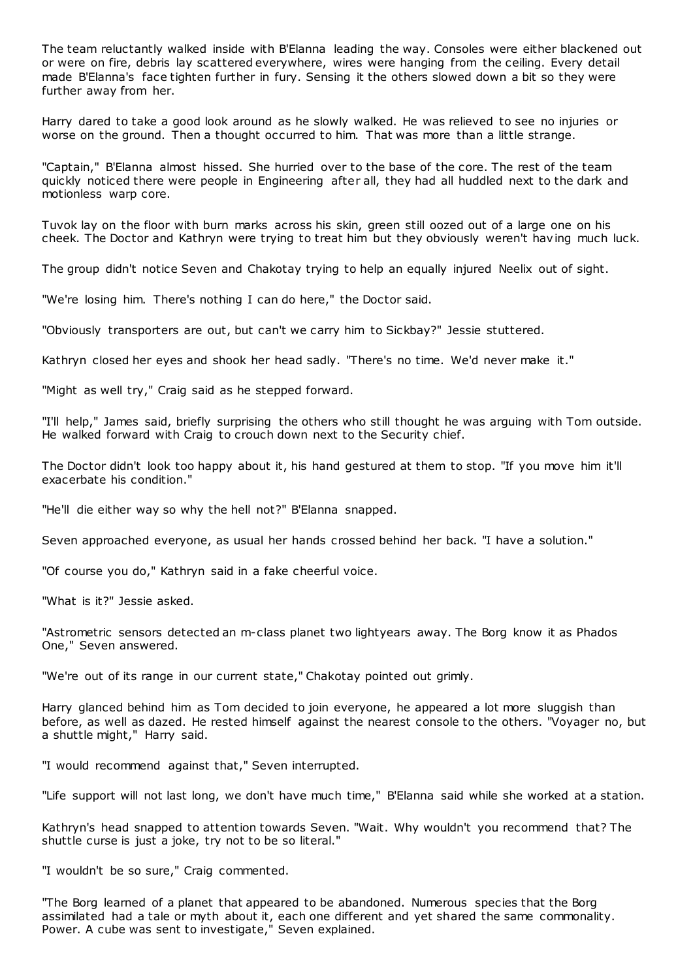The team reluctantly walked inside with B'Elanna leading the way. Consoles were either blackened out or were on fire, debris lay scattered everywhere, wires were hanging from the ceiling. Every detail made B'Elanna's face tighten further in fury. Sensing it the others slowed down a bit so they were further away from her.

Harry dared to take a good look around as he slowly walked. He was relieved to see no injuries or worse on the ground. Then a thought occurred to him. That was more than a little strange.

"Captain," B'Elanna almost hissed. She hurried over to the base of the core. The rest of the team quickly noticed there were people in Engineering after all, they had all huddled next to the dark and motionless warp core.

Tuvok lay on the floor with burn marks across his skin, green still oozed out of a large one on his cheek. The Doctor and Kathryn were trying to treat him but they obviously weren't having much luck.

The group didn't notice Seven and Chakotay trying to help an equally injured Neelix out of sight.

"We're losing him. There's nothing I can do here," the Doctor said.

"Obviously transporters are out, but can't we carry him to Sickbay?" Jessie stuttered.

Kathryn closed her eyes and shook her head sadly. "There's no time. We'd never make it."

"Might as well try," Craig said as he stepped forward.

"I'll help," James said, briefly surprising the others who still thought he was arguing with Tom outside. He walked forward with Craig to crouch down next to the Security chief.

The Doctor didn't look too happy about it, his hand gestured at them to stop. "If you move him it'll exacerbate his condition."

"He'll die either way so why the hell not?" B'Elanna snapped.

Seven approached everyone, as usual her hands crossed behind her back. "I have a solution."

"Of course you do," Kathryn said in a fake cheerful voice.

"What is it?" Jessie asked.

"Astrometric sensors detected an m-class planet two lightyears away. The Borg know it as Phados One," Seven answered.

"We're out of its range in our current state," Chakotay pointed out grimly.

Harry glanced behind him as Tom decided to join everyone, he appeared a lot more sluggish than before, as well as dazed. He rested himself against the nearest console to the others. "Voyager no, but a shuttle might," Harry said.

"I would recommend against that," Seven interrupted.

"Life support will not last long, we don't have much time," B'Elanna said while she worked at a station.

Kathryn's head snapped to attention towards Seven. "Wait. Why wouldn't you recommend that? The shuttle curse is just a joke, try not to be so literal."

"I wouldn't be so sure," Craig commented.

"The Borg learned of a planet that appeared to be abandoned. Numerous species that the Borg assimilated had a tale or myth about it, each one different and yet shared the same commonality. Power. A cube was sent to investigate," Seven explained.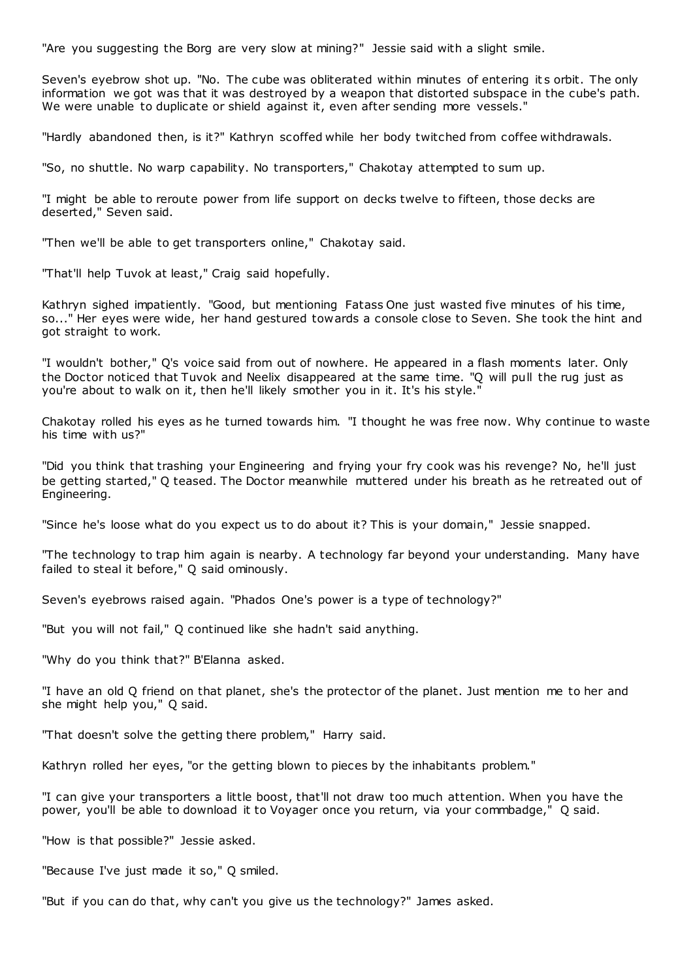"Are you suggesting the Borg are very slow at mining?" Jessie said with a slight smile.

Seven's eyebrow shot up. "No. The cube was obliterated within minutes of entering it s orbit. The only information we got was that it was destroyed by a weapon that distorted subspace in the cube's path. We were unable to duplicate or shield against it, even after sending more vessels."

"Hardly abandoned then, is it?" Kathryn scoffed while her body twitched from coffee withdrawals.

"So, no shuttle. No warp capability. No transporters," Chakotay attempted to sum up.

"I might be able to reroute power from life support on decks twelve to fifteen, those decks are deserted," Seven said.

"Then we'll be able to get transporters online," Chakotay said.

"That'll help Tuvok at least," Craig said hopefully.

Kathryn sighed impatiently. "Good, but mentioning Fatass One just wasted five minutes of his time, so..." Her eyes were wide, her hand gestured towards a console close to Seven. She took the hint and got straight to work.

"I wouldn't bother," Q's voice said from out of nowhere. He appeared in a flash moments later. Only the Doctor noticed that Tuvok and Neelix disappeared at the same time. "Q will pull the rug just as you're about to walk on it, then he'll likely smother you in it. It's his style.'

Chakotay rolled his eyes as he turned towards him. "I thought he was free now. Why continue to waste his time with us?"

"Did you think that trashing your Engineering and frying your fry cook was his revenge? No, he'll just be getting started," Q teased. The Doctor meanwhile muttered under his breath as he retreated out of Engineering.

"Since he's loose what do you expect us to do about it? This is your domain," Jessie snapped.

"The technology to trap him again is nearby. A technology far beyond your understanding. Many have failed to steal it before," Q said ominously.

Seven's eyebrows raised again. "Phados One's power is a type of technology?"

"But you will not fail," Q continued like she hadn't said anything.

"Why do you think that?" B'Elanna asked.

"I have an old Q friend on that planet, she's the protector of the planet. Just mention me to her and she might help you," Q said.

"That doesn't solve the getting there problem," Harry said.

Kathryn rolled her eyes, "or the getting blown to pieces by the inhabitants problem."

"I can give your transporters a little boost, that'll not draw too much attention. When you have the power, you'll be able to download it to Voyager once you return, via your commbadge," Q said.

"How is that possible?" Jessie asked.

"Because I've just made it so," Q smiled.

"But if you can do that, why can't you give us the technology?" James asked.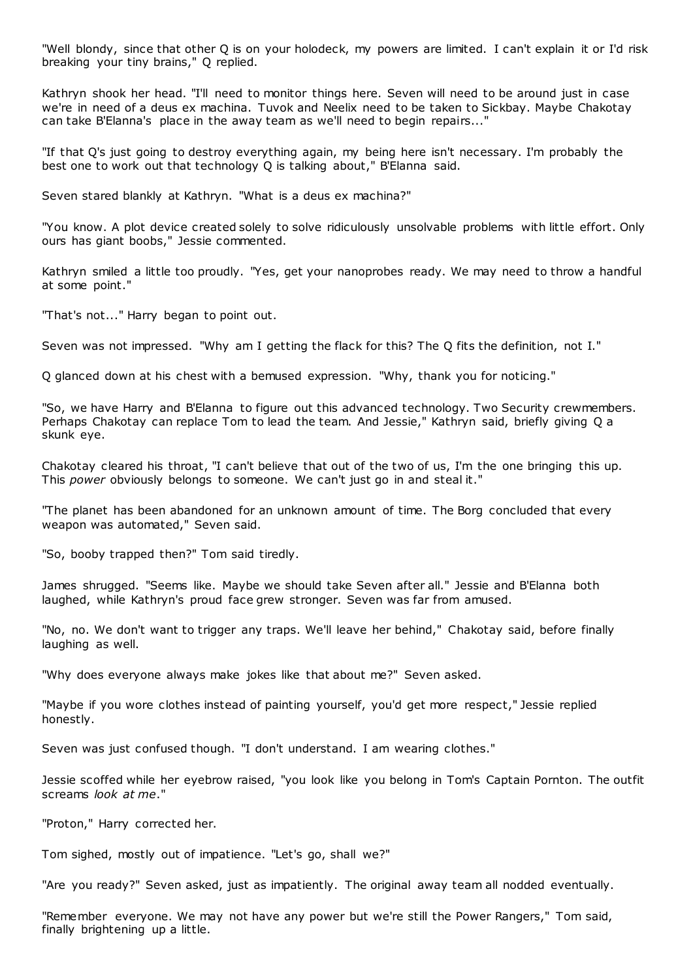"Well blondy, since that other Q is on your holodeck, my powers are limited. I can't explain it or I'd risk breaking your tiny brains," Q replied.

Kathryn shook her head. "I'll need to monitor things here. Seven will need to be around just in case we're in need of a deus ex machina. Tuvok and Neelix need to be taken to Sickbay. Maybe Chakotay can take B'Elanna's place in the away team as we'll need to begin repairs..."

"If that Q's just going to destroy everything again, my being here isn't necessary. I'm probably the best one to work out that technology Q is talking about," B'Elanna said.

Seven stared blankly at Kathryn. "What is a deus ex machina?"

"You know. A plot device created solely to solve ridiculously unsolvable problems with little effort. Only ours has giant boobs," Jessie commented.

Kathryn smiled a little too proudly. "Yes, get your nanoprobes ready. We may need to throw a handful at some point."

"That's not..." Harry began to point out.

Seven was not impressed. "Why am I getting the flack for this? The Q fits the definition, not I."

Q glanced down at his chest with a bemused expression. "Why, thank you for noticing."

"So, we have Harry and B'Elanna to figure out this advanced technology. Two Security crewmembers. Perhaps Chakotay can replace Tom to lead the team. And Jessie," Kathryn said, briefly giving Q a skunk eye.

Chakotay cleared his throat, "I can't believe that out of the two of us, I'm the one bringing this up. This *power* obviously belongs to someone. We can't just go in and steal it."

"The planet has been abandoned for an unknown amount of time. The Borg concluded that every weapon was automated," Seven said.

"So, booby trapped then?" Tom said tiredly.

James shrugged. "Seems like. Maybe we should take Seven after all." Jessie and B'Elanna both laughed, while Kathryn's proud face grew stronger. Seven was far from amused.

"No, no. We don't want to trigger any traps. We'll leave her behind," Chakotay said, before finally laughing as well.

"Why does everyone always make jokes like that about me?" Seven asked.

"Maybe if you wore clothes instead of painting yourself, you'd get more respect," Jessie replied honestly.

Seven was just confused though. "I don't understand. I am wearing clothes."

Jessie scoffed while her eyebrow raised, "you look like you belong in Tom's Captain Pornton. The outfit screams *look at me*."

"Proton," Harry corrected her.

Tom sighed, mostly out of impatience. "Let's go, shall we?"

"Are you ready?" Seven asked, just as impatiently. The original away team all nodded eventually.

"Remember everyone. We may not have any power but we're still the Power Rangers," Tom said, finally brightening up a little.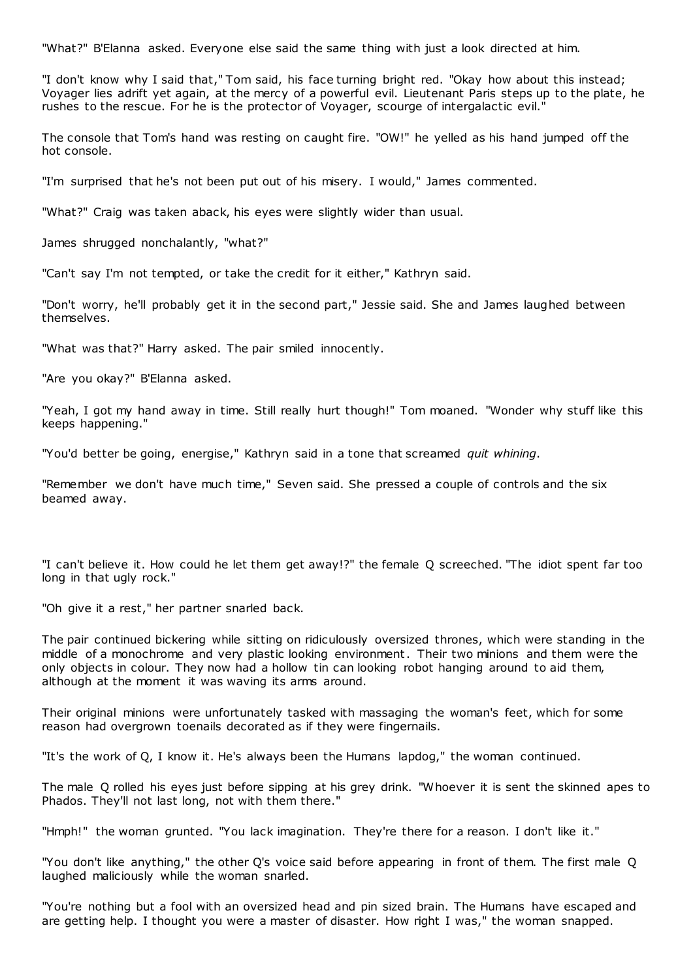"What?" B'Elanna asked. Everyone else said the same thing with just a look directed at him.

"I don't know why I said that," Tom said, his face turning bright red. "Okay how about this instead; Voyager lies adrift yet again, at the mercy of a powerful evil. Lieutenant Paris steps up to the plate, he rushes to the rescue. For he is the protector of Voyager, scourge of intergalactic evil."

The console that Tom's hand was resting on caught fire. "OW!" he yelled as his hand jumped off the hot console.

"I'm surprised that he's not been put out of his misery. I would," James commented.

"What?" Craig was taken aback, his eyes were slightly wider than usual.

James shrugged nonchalantly, "what?"

"Can't say I'm not tempted, or take the credit for it either," Kathryn said.

"Don't worry, he'll probably get it in the second part," Jessie said. She and James laughed between themselves.

"What was that?" Harry asked. The pair smiled innocently.

"Are you okay?" B'Elanna asked.

"Yeah, I got my hand away in time. Still really hurt though!" Tom moaned. "Wonder why stuff like this keeps happening."

"You'd better be going, energise," Kathryn said in a tone that screamed *quit whining*.

"Remember we don't have much time," Seven said. She pressed a couple of controls and the six beamed away.

"I can't believe it. How could he let them get away!?" the female Q screeched. "The idiot spent far too long in that ugly rock."

"Oh give it a rest," her partner snarled back.

The pair continued bickering while sitting on ridiculously oversized thrones, which were standing in the middle of a monochrome and very plastic looking environment. Their two minions and them were the only objects in colour. They now had a hollow tin can looking robot hanging around to aid them, although at the moment it was waving its arms around.

Their original minions were unfortunately tasked with massaging the woman's feet, which for some reason had overgrown toenails decorated as if they were fingernails.

"It's the work of Q, I know it. He's always been the Humans lapdog," the woman continued.

The male Q rolled his eyes just before sipping at his grey drink. "Whoever it is sent the skinned apes to Phados. They'll not last long, not with them there."

"Hmph!" the woman grunted. "You lack imagination. They're there for a reason. I don't like it."

"You don't like anything," the other Q's voice said before appearing in front of them. The first male Q laughed maliciously while the woman snarled.

"You're nothing but a fool with an oversized head and pin sized brain. The Humans have escaped and are getting help. I thought you were a master of disaster. How right I was," the woman snapped.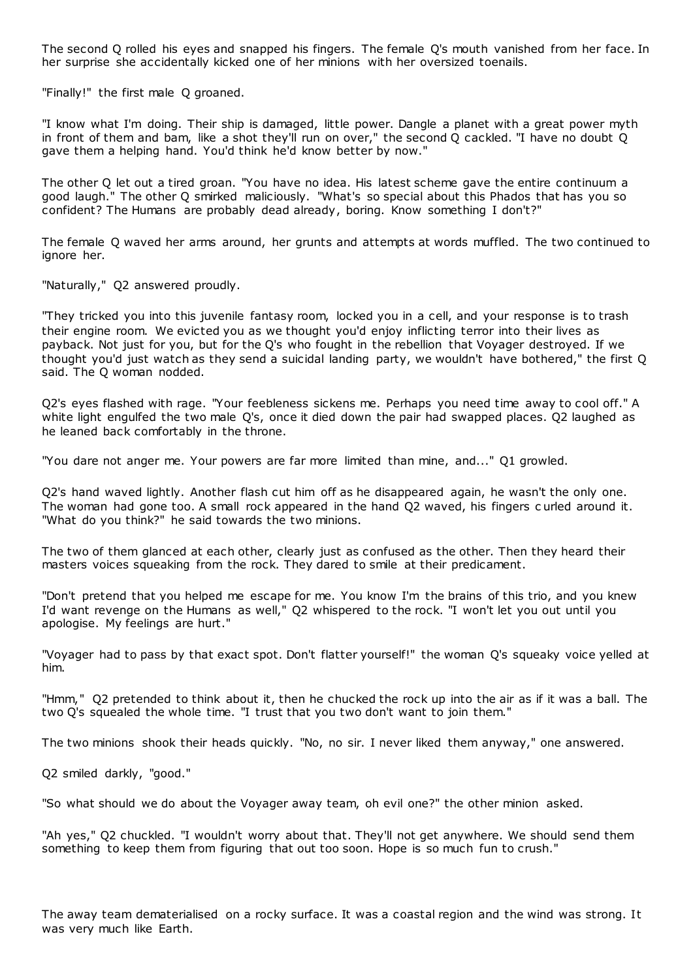The second Q rolled his eyes and snapped his fingers. The female Q's mouth vanished from her face. In her surprise she accidentally kicked one of her minions with her oversized toenails.

"Finally!" the first male Q groaned.

"I know what I'm doing. Their ship is damaged, little power. Dangle a planet with a great power myth in front of them and bam, like a shot they'll run on over," the second Q cackled. "I have no doubt Q gave them a helping hand. You'd think he'd know better by now."

The other Q let out a tired groan. "You have no idea. His latest scheme gave the entire continuum a good laugh." The other Q smirked maliciously. "What's so special about this Phados that has you so confident? The Humans are probably dead already, boring. Know something I don't?"

The female Q waved her arms around, her grunts and attempts at words muffled. The two continued to ignore her.

"Naturally," Q2 answered proudly.

"They tricked you into this juvenile fantasy room, locked you in a cell, and your response is to trash their engine room. We evicted you as we thought you'd enjoy inflicting terror into their lives as payback. Not just for you, but for the Q's who fought in the rebellion that Voyager destroyed. If we thought you'd just watch as they send a suicidal landing party, we wouldn't have bothered," the first Q said. The Q woman nodded.

Q2's eyes flashed with rage. "Your feebleness sickens me. Perhaps you need time away to cool off." A white light engulfed the two male Q's, once it died down the pair had swapped places. Q2 laughed as he leaned back comfortably in the throne.

"You dare not anger me. Your powers are far more limited than mine, and..." Q1 growled.

Q2's hand waved lightly. Another flash cut him off as he disappeared again, he wasn't the only one. The woman had gone too. A small rock appeared in the hand Q2 waved, his fingers c urled around it. "What do you think?" he said towards the two minions.

The two of them glanced at each other, clearly just as confused as the other. Then they heard their masters voices squeaking from the rock. They dared to smile at their predicament.

"Don't pretend that you helped me escape for me. You know I'm the brains of this trio, and you knew I'd want revenge on the Humans as well," Q2 whispered to the rock. "I won't let you out until you apologise. My feelings are hurt."

"Voyager had to pass by that exact spot. Don't flatter yourself!" the woman Q's squeaky voice yelled at him.

"Hmm," Q2 pretended to think about it, then he chucked the rock up into the air as if it was a ball. The two Q's squealed the whole time. "I trust that you two don't want to join them."

The two minions shook their heads quickly. "No, no sir. I never liked them anyway," one answered.

Q2 smiled darkly, "good."

"So what should we do about the Voyager away team, oh evil one?" the other minion asked.

"Ah yes," Q2 chuckled. "I wouldn't worry about that. They'll not get anywhere. We should send them something to keep them from figuring that out too soon. Hope is so much fun to crush."

The away team dematerialised on a rocky surface. It was a coastal region and the wind was strong. It was very much like Earth.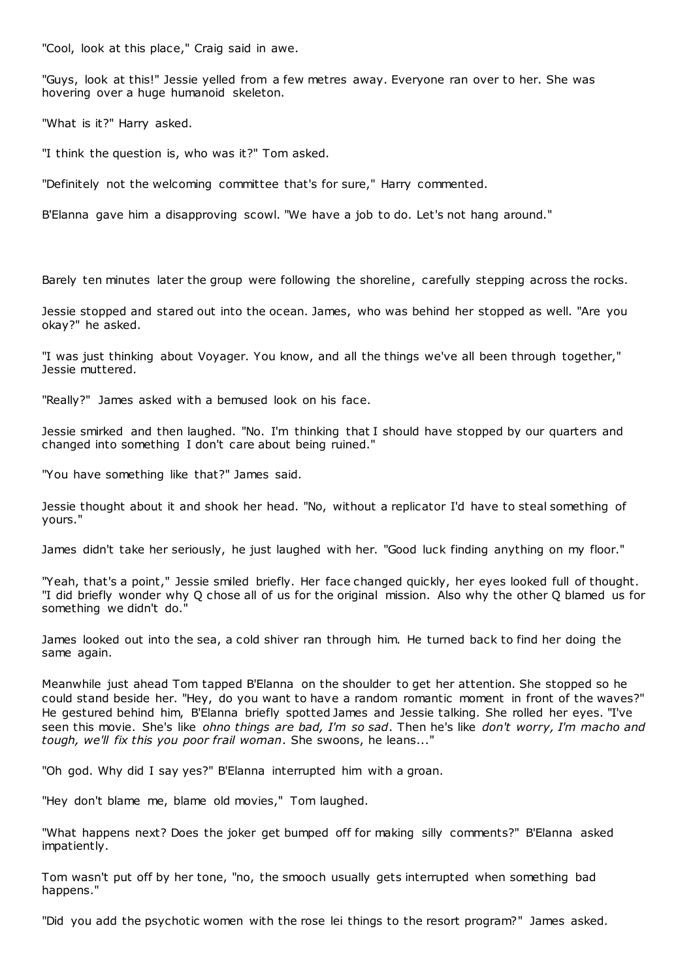"Cool, look at this place," Craig said in awe.

"Guys, look at this!" Jessie yelled from a few metres away. Everyone ran over to her. She was hovering over a huge humanoid skeleton.

"What is it?" Harry asked.

"I think the question is, who was it?" Tom asked.

"Definitely not the welcoming committee that's for sure," Harry commented.

B'Elanna gave him a disapproving scowl. "We have a job to do. Let's not hang around."

Barely ten minutes later the group were following the shoreline, carefully stepping across the rocks.

Jessie stopped and stared out into the ocean. James, who was behind her stopped as well. "Are you okay?" he asked.

"I was just thinking about Voyager. You know, and all the things we've all been through together," Jessie muttered.

"Really?" James asked with a bemused look on his face.

Jessie smirked and then laughed. "No. I'm thinking that I should have stopped by our quarters and changed into something I don't care about being ruined."

"You have something like that?" James said.

Jessie thought about it and shook her head. "No, without a replicator I'd have to steal something of yours."

James didn't take her seriously, he just laughed with her. "Good luck finding anything on my floor."

"Yeah, that's a point," Jessie smiled briefly. Her face changed quickly, her eyes looked full of thought. "I did briefly wonder why Q chose all of us for the original mission. Also why the other Q blamed us for something we didn't do."

James looked out into the sea, a cold shiver ran through him. He turned back to find her doing the same again.

Meanwhile just ahead Tom tapped B'Elanna on the shoulder to get her attention. She stopped so he could stand beside her. "Hey, do you want to have a random romantic moment in front of the waves?" He gestured behind him, B'Elanna briefly spotted James and Jessie talking. She rolled her eyes. "I've seen this movie. She's like *ohno things are bad, I'm so sad*. Then he's like *don't worry, I'm macho and tough, we'll fix this you poor frail woman*. She swoons, he leans..."

"Oh god. Why did I say yes?" B'Elanna interrupted him with a groan.

"Hey don't blame me, blame old movies," Tom laughed.

"What happens next? Does the joker get bumped off for making silly comments?" B'Elanna asked impatiently.

Tom wasn't put off by her tone, "no, the smooch usually gets interrupted when something bad happens."

"Did you add the psychotic women with the rose lei things to the resort program?" James asked.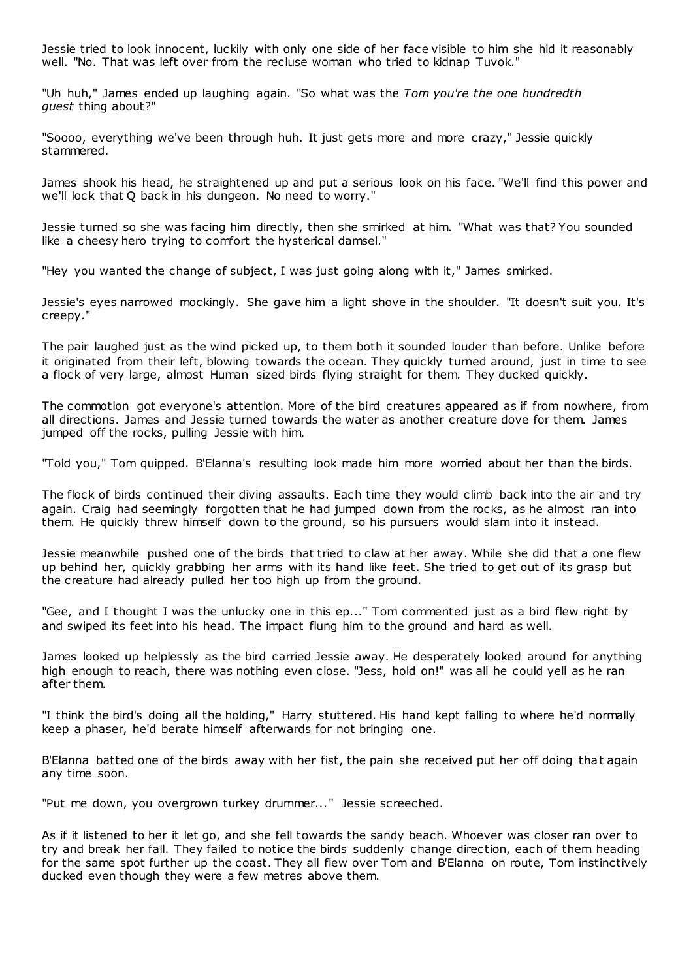Jessie tried to look innocent, luckily with only one side of her face visible to him she hid it reasonably well. "No. That was left over from the recluse woman who tried to kidnap Tuvok."

"Uh huh," James ended up laughing again. "So what was the *Tom you're the one hundredth guest* thing about?"

"Soooo, everything we've been through huh. It just gets more and more crazy," Jessie quickly stammered.

James shook his head, he straightened up and put a serious look on his face. "We'll find this power and we'll lock that Q back in his dungeon. No need to worry."

Jessie turned so she was facing him directly, then she smirked at him. "What was that? You sounded like a cheesy hero trying to comfort the hysterical damsel."

"Hey you wanted the change of subject, I was just going along with it," James smirked.

Jessie's eyes narrowed mockingly. She gave him a light shove in the shoulder. "It doesn't suit you. It's creepy."

The pair laughed just as the wind picked up, to them both it sounded louder than before. Unlike before it originated from their left, blowing towards the ocean. They quickly turned around, just in time to see a flock of very large, almost Human sized birds flying straight for them. They ducked quickly.

The commotion got everyone's attention. More of the bird creatures appeared as if from nowhere, from all directions. James and Jessie turned towards the water as another creature dove for them. James jumped off the rocks, pulling Jessie with him.

"Told you," Tom quipped. B'Elanna's resulting look made him more worried about her than the birds.

The flock of birds continued their diving assaults. Each time they would climb back into the air and try again. Craig had seemingly forgotten that he had jumped down from the rocks, as he almost ran into them. He quickly threw himself down to the ground, so his pursuers would slam into it instead.

Jessie meanwhile pushed one of the birds that tried to claw at her away. While she did that a one flew up behind her, quickly grabbing her arms with its hand like feet. She tried to get out of its grasp but the creature had already pulled her too high up from the ground.

"Gee, and I thought I was the unlucky one in this ep..." Tom commented just as a bird flew right by and swiped its feet into his head. The impact flung him to the ground and hard as well.

James looked up helplessly as the bird carried Jessie away. He desperately looked around for anything high enough to reach, there was nothing even close. "Jess, hold on!" was all he could yell as he ran after them.

"I think the bird's doing all the holding," Harry stuttered. His hand kept falling to where he'd normally keep a phaser, he'd berate himself afterwards for not bringing one.

B'Elanna batted one of the birds away with her fist, the pain she received put her off doing that again any time soon.

"Put me down, you overgrown turkey drummer..." Jessie screeched.

As if it listened to her it let go, and she fell towards the sandy beach. Whoever was closer ran over to try and break her fall. They failed to notice the birds suddenly change direction, each of them heading for the same spot further up the coast. They all flew over Tom and B'Elanna on route, Tom instinctively ducked even though they were a few metres above them.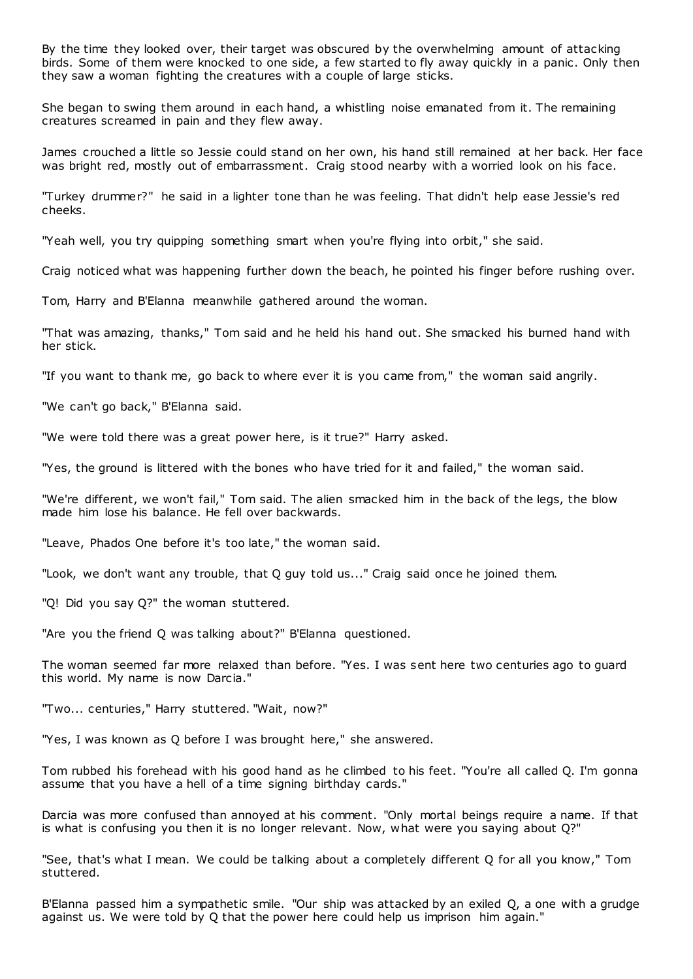By the time they looked over, their target was obscured by the overwhelming amount of attacking birds. Some of them were knocked to one side, a few started to fly away quickly in a panic . Only then they saw a woman fighting the creatures with a couple of large sticks.

She began to swing them around in each hand, a whistling noise emanated from it. The remaining creatures screamed in pain and they flew away.

James crouched a little so Jessie could stand on her own, his hand still remained at her back. Her face was bright red, mostly out of embarrassment. Craig stood nearby with a worried look on his face.

"Turkey drummer?" he said in a lighter tone than he was feeling. That didn't help ease Jessie's red cheeks.

"Yeah well, you try quipping something smart when you're flying into orbit," she said.

Craig noticed what was happening further down the beach, he pointed his finger before rushing over.

Tom, Harry and B'Elanna meanwhile gathered around the woman.

"That was amazing, thanks," Tom said and he held his hand out. She smacked his burned hand with her stick.

"If you want to thank me, go back to where ever it is you came from," the woman said angrily.

"We can't go back," B'Elanna said.

"We were told there was a great power here, is it true?" Harry asked.

"Yes, the ground is littered with the bones who have tried for it and failed," the woman said.

"We're different, we won't fail," Tom said. The alien smacked him in the back of the legs, the blow made him lose his balance. He fell over backwards.

"Leave, Phados One before it's too late," the woman said.

"Look, we don't want any trouble, that Q guy told us..." Craig said once he joined them.

"Q! Did you say Q?" the woman stuttered.

"Are you the friend Q was talking about?" B'Elanna questioned.

The woman seemed far more relaxed than before. "Yes. I was sent here two centuries ago to guard this world. My name is now Darcia."

"Two... centuries," Harry stuttered. "Wait, now?"

"Yes, I was known as Q before I was brought here," she answered.

Tom rubbed his forehead with his good hand as he climbed to his feet. "You're all called Q. I'm gonna assume that you have a hell of a time signing birthday cards."

Darcia was more confused than annoyed at his comment. "Only mortal beings require a name. If that is what is confusing you then it is no longer relevant. Now, what were you saying about Q?"

"See, that's what I mean. We could be talking about a completely different Q for all you know," Tom stuttered.

B'Elanna passed him a sympathetic smile. "Our ship was attacked by an exiled Q, a one with a grudge against us. We were told by Q that the power here could help us imprison him again."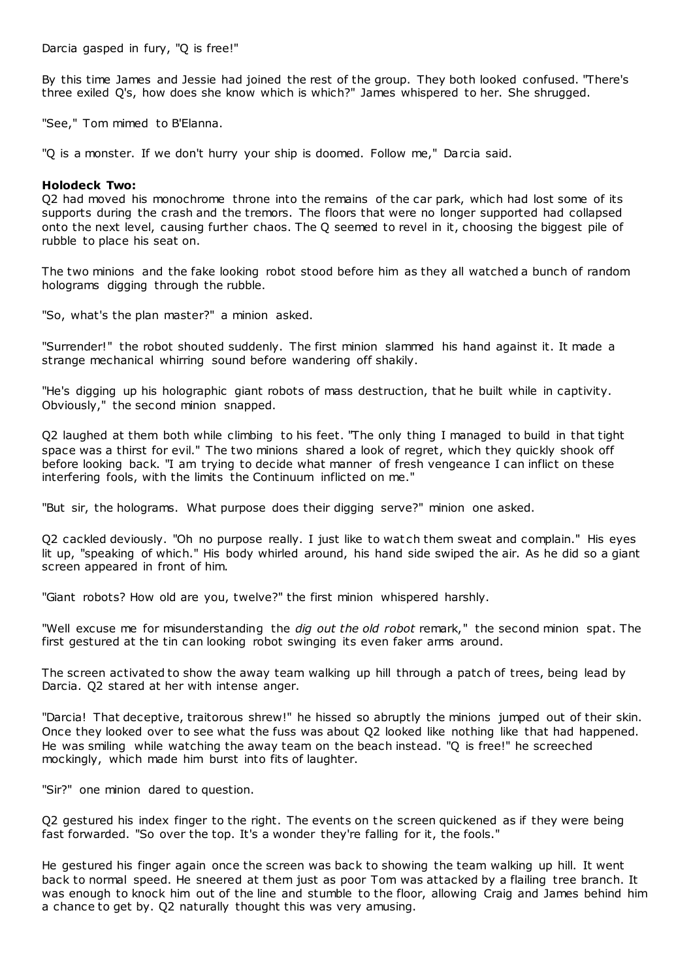Darcia gasped in fury, "Q is free!"

By this time James and Jessie had joined the rest of the group. They both looked confused. "There's three exiled Q's, how does she know which is which?" James whispered to her. She shrugged.

"See," Tom mimed to B'Elanna.

"Q is a monster. If we don't hurry your ship is doomed. Follow me," Darcia said.

# **Holodeck Two:**

Q2 had moved his monochrome throne into the remains of the car park, which had lost some of its supports during the crash and the tremors. The floors that were no longer supported had collapsed onto the next level, causing further chaos. The Q seemed to revel in it, choosing the biggest pile of rubble to place his seat on.

The two minions and the fake looking robot stood before him as they all watched a bunch of random holograms digging through the rubble.

"So, what's the plan master?" a minion asked.

"Surrender!" the robot shouted suddenly. The first minion slammed his hand against it. It made a strange mechanical whirring sound before wandering off shakily.

"He's digging up his holographic giant robots of mass destruction, that he built while in captivity. Obviously," the second minion snapped.

Q2 laughed at them both while climbing to his feet. "The only thing I managed to build in that tight space was a thirst for evil." The two minions shared a look of regret, which they quickly shook off before looking back. "I am trying to decide what manner of fresh vengeance I can inflict on these interfering fools, with the limits the Continuum inflicted on me."

"But sir, the holograms. What purpose does their digging serve?" minion one asked.

Q2 cackled deviously. "Oh no purpose really. I just like to watch them sweat and complain." His eyes lit up, "speaking of which." His body whirled around, his hand side swiped the air. As he did so a giant screen appeared in front of him.

"Giant robots? How old are you, twelve?" the first minion whispered harshly.

"Well excuse me for misunderstanding the *dig out the old robot* remark," the second minion spat. The first gestured at the tin can looking robot swinging its even faker arms around.

The screen activated to show the away team walking up hill through a patch of trees, being lead by Darcia. Q2 stared at her with intense anger.

"Darcia! That deceptive, traitorous shrew!" he hissed so abruptly the minions jumped out of their skin. Once they looked over to see what the fuss was about Q2 looked like nothing like that had happened. He was smiling while watching the away team on the beach instead. "Q is free!" he screeched mockingly, which made him burst into fits of laughter.

"Sir?" one minion dared to question.

Q2 gestured his index finger to the right. The events on the screen quickened as if they were being fast forwarded. "So over the top. It's a wonder they're falling for it, the fools."

He gestured his finger again once the screen was back to showing the team walking up hill. It went back to normal speed. He sneered at them just as poor Tom was attacked by a flailing tree branch. It was enough to knock him out of the line and stumble to the floor, allowing Craig and James behind him a chance to get by. Q2 naturally thought this was very amusing.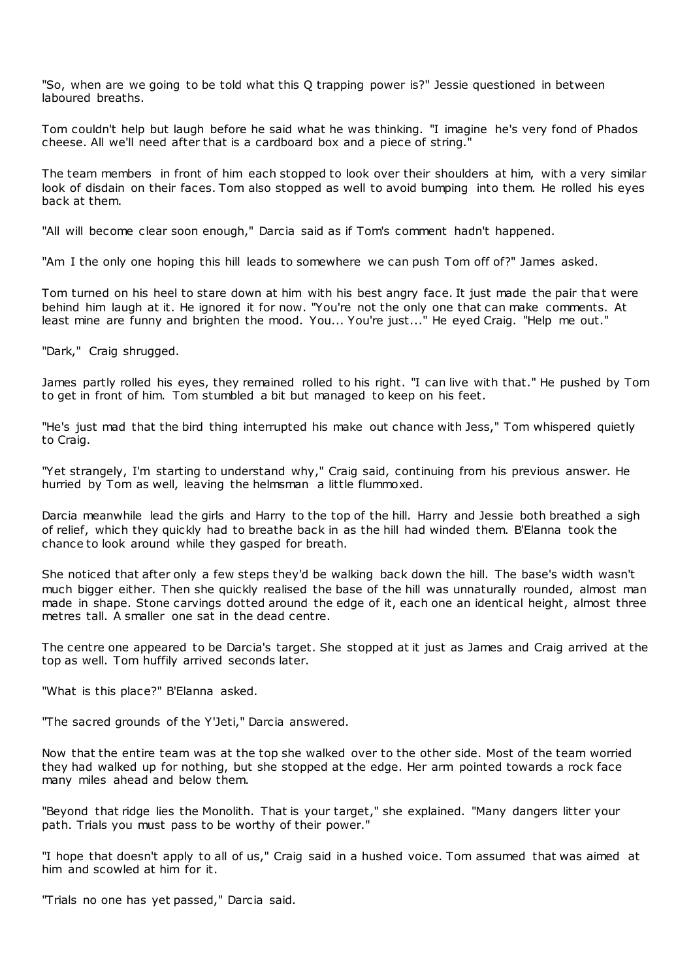"So, when are we going to be told what this Q trapping power is?" Jessie questioned in between laboured breaths.

Tom couldn't help but laugh before he said what he was thinking. "I imagine he's very fond of Phados cheese. All we'll need after that is a cardboard box and a piece of string."

The team members in front of him each stopped to look over their shoulders at him, with a very similar look of disdain on their faces. Tom also stopped as well to avoid bumping into them. He rolled his eyes back at them.

"All will become clear soon enough," Darcia said as if Tom's comment hadn't happened.

"Am I the only one hoping this hill leads to somewhere we can push Tom off of?" James asked.

Tom turned on his heel to stare down at him with his best angry face. It just made the pair that were behind him laugh at it. He ignored it for now. "You're not the only one that can make comments. At least mine are funny and brighten the mood. You... You're just..." He eyed Craig. "Help me out."

"Dark," Craig shrugged.

James partly rolled his eyes, they remained rolled to his right. "I can live with that." He pushed by Tom to get in front of him. Tom stumbled a bit but managed to keep on his feet.

"He's just mad that the bird thing interrupted his make out chance with Jess," Tom whispered quietly to Craig.

"Yet strangely, I'm starting to understand why," Craig said, continuing from his previous answer. He hurried by Tom as well, leaving the helmsman a little flummoxed.

Darcia meanwhile lead the girls and Harry to the top of the hill. Harry and Jessie both breathed a sigh of relief, which they quickly had to breathe back in as the hill had winded them. B'Elanna took the chance to look around while they gasped for breath.

She noticed that after only a few steps they'd be walking back down the hill. The base's width wasn't much bigger either. Then she quickly realised the base of the hill was unnaturally rounded, almost man made in shape. Stone carvings dotted around the edge of it, each one an identical height, almost three metres tall. A smaller one sat in the dead centre.

The centre one appeared to be Darcia's target. She stopped at it just as James and Craig arrived at the top as well. Tom huffily arrived seconds later.

"What is this place?" B'Elanna asked.

"The sacred grounds of the Y'Jeti," Darcia answered.

Now that the entire team was at the top she walked over to the other side. Most of the team worried they had walked up for nothing, but she stopped at the edge. Her arm pointed towards a rock face many miles ahead and below them.

"Beyond that ridge lies the Monolith. That is your target," she explained. "Many dangers litter your path. Trials you must pass to be worthy of their power."

"I hope that doesn't apply to all of us," Craig said in a hushed voice. Tom assumed that was aimed at him and scowled at him for it.

"Trials no one has yet passed," Darcia said.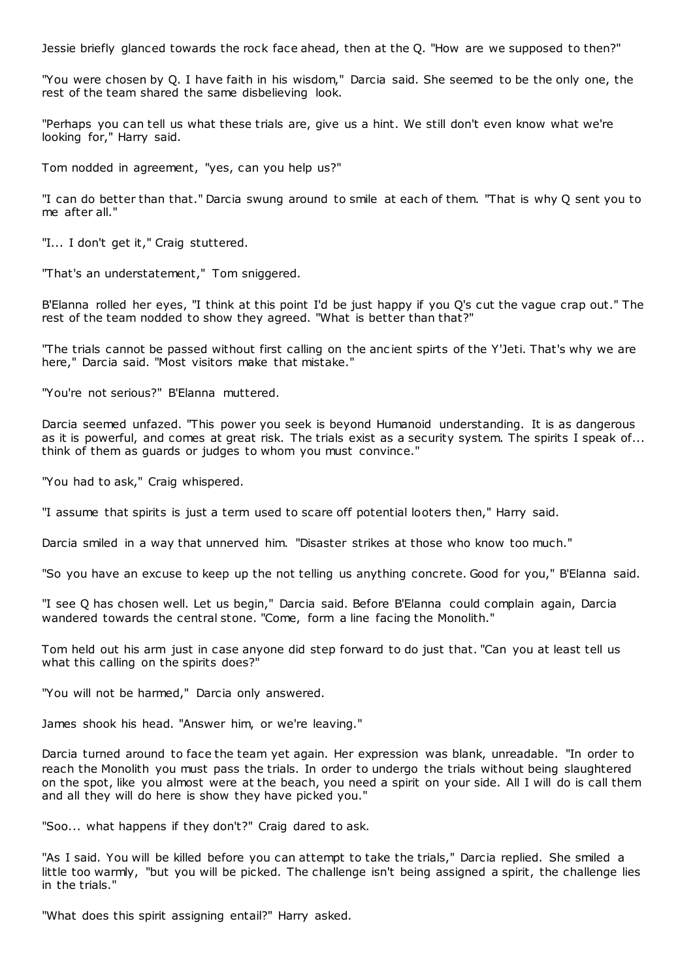Jessie briefly glanced towards the rock face ahead, then at the Q. "How are we supposed to then?"

"You were chosen by Q. I have faith in his wisdom," Darcia said. She seemed to be the only one, the rest of the team shared the same disbelieving look.

"Perhaps you can tell us what these trials are, give us a hint. We still don't even know what we're looking for," Harry said.

Tom nodded in agreement, "yes, can you help us?"

"I can do better than that." Darcia swung around to smile at each of them. "That is why Q sent you to me after all."

"I... I don't get it," Craig stuttered.

"That's an understatement," Tom sniggered.

B'Elanna rolled her eyes, "I think at this point I'd be just happy if you Q's cut the vague crap out." The rest of the team nodded to show they agreed. "What is better than that?"

"The trials cannot be passed without first calling on the anc ient spirts of the Y'Jeti. That's why we are here," Darcia said. "Most visitors make that mistake."

"You're not serious?" B'Elanna muttered.

Darcia seemed unfazed. "This power you seek is beyond Humanoid understanding. It is as dangerous as it is powerful, and comes at great risk. The trials exist as a security system. The spirits I speak of... think of them as guards or judges to whom you must convince."

"You had to ask," Craig whispered.

"I assume that spirits is just a term used to scare off potential looters then," Harry said.

Darcia smiled in a way that unnerved him. "Disaster strikes at those who know too much."

"So you have an excuse to keep up the not telling us anything concrete. Good for you," B'Elanna said.

"I see Q has chosen well. Let us begin," Darcia said. Before B'Elanna could complain again, Darcia wandered towards the central stone. "Come, form a line facing the Monolith."

Tom held out his arm just in case anyone did step forward to do just that. "Can you at least tell us what this calling on the spirits does?"

"You will not be harmed," Darcia only answered.

James shook his head. "Answer him, or we're leaving."

Darcia turned around to face the team yet again. Her expression was blank, unreadable. "In order to reach the Monolith you must pass the trials. In order to undergo the trials without being slaughtered on the spot, like you almost were at the beach, you need a spirit on your side. All I will do is call them and all they will do here is show they have picked you."

"Soo... what happens if they don't?" Craig dared to ask.

"As I said. You will be killed before you can attempt to take the trials," Darcia replied. She smiled a little too warmly, "but you will be picked. The challenge isn't being assigned a spirit, the challenge lies in the trials."

"What does this spirit assigning entail?" Harry asked.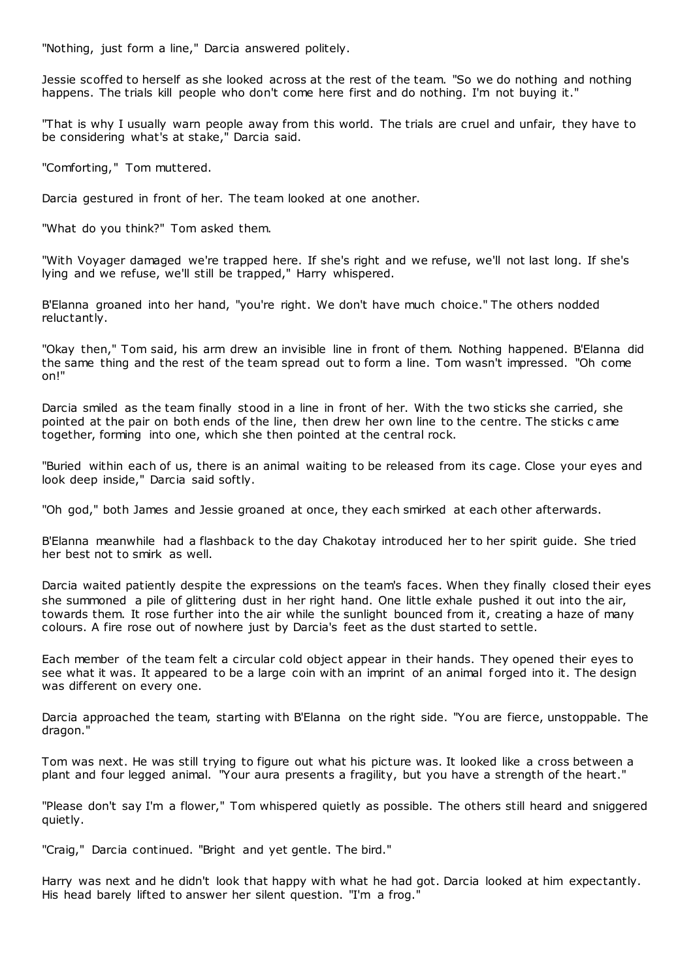"Nothing, just form a line," Darcia answered politely.

Jessie scoffed to herself as she looked across at the rest of the team. "So we do nothing and nothing happens. The trials kill people who don't come here first and do nothing. I'm not buying it."

"That is why I usually warn people away from this world. The trials are cruel and unfair, they have to be considering what's at stake," Darcia said.

"Comforting," Tom muttered.

Darcia gestured in front of her. The team looked at one another.

"What do you think?" Tom asked them.

"With Voyager damaged we're trapped here. If she's right and we refuse, we'll not last long. If she's lying and we refuse, we'll still be trapped," Harry whispered.

B'Elanna groaned into her hand, "you're right. We don't have much choice." The others nodded reluctantly.

"Okay then," Tom said, his arm drew an invisible line in front of them. Nothing happened. B'Elanna did the same thing and the rest of the team spread out to form a line. Tom wasn't impressed. "Oh come on!"

Darcia smiled as the team finally stood in a line in front of her. With the two sticks she carried, she pointed at the pair on both ends of the line, then drew her own line to the centre. The sticks c ame together, forming into one, which she then pointed at the central rock.

"Buried within each of us, there is an animal waiting to be released from its cage. Close your eyes and look deep inside." Darcia said softly.

"Oh god," both James and Jessie groaned at once, they each smirked at each other afterwards.

B'Elanna meanwhile had a flashback to the day Chakotay introduced her to her spirit guide. She tried her best not to smirk as well.

Darcia waited patiently despite the expressions on the team's faces. When they finally closed their eyes she summoned a pile of glittering dust in her right hand. One little exhale pushed it out into the air, towards them. It rose further into the air while the sunlight bounced from it, creating a haze of many colours. A fire rose out of nowhere just by Darcia's feet as the dust started to settle.

Each member of the team felt a circular cold object appear in their hands. They opened their eyes to see what it was. It appeared to be a large coin with an imprint of an animal forged into it. The design was different on every one.

Darcia approached the team, starting with B'Elanna on the right side. "You are fierce, unstoppable. The dragon."

Tom was next. He was still trying to figure out what his picture was. It looked like a cross between a plant and four legged animal. "Your aura presents a fragility, but you have a strength of the heart."

"Please don't say I'm a flower," Tom whispered quietly as possible. The others still heard and sniggered quietly.

"Craig," Darcia continued. "Bright and yet gentle. The bird."

Harry was next and he didn't look that happy with what he had got. Darcia looked at him expectantly. His head barely lifted to answer her silent question. "I'm a frog."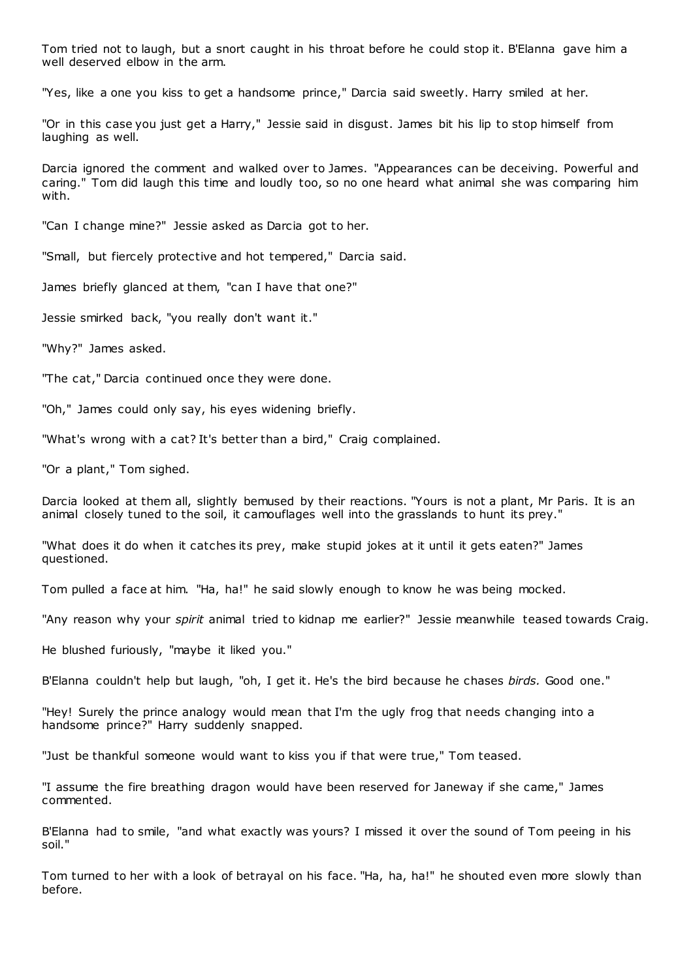Tom tried not to laugh, but a snort caught in his throat before he could stop it. B'Elanna gave him a well deserved elbow in the arm.

"Yes, like a one you kiss to get a handsome prince," Darcia said sweetly. Harry smiled at her.

"Or in this case you just get a Harry," Jessie said in disgust. James bit his lip to stop himself from laughing as well.

Darcia ignored the comment and walked over to James. "Appearances can be deceiving. Powerful and caring." Tom did laugh this time and loudly too, so no one heard what animal she was comparing him with.

"Can I change mine?" Jessie asked as Darcia got to her.

"Small, but fiercely protective and hot tempered," Darcia said.

James briefly glanced at them, "can I have that one?"

Jessie smirked back, "you really don't want it."

"Why?" James asked.

"The cat," Darcia continued once they were done.

"Oh," James could only say, his eyes widening briefly.

"What's wrong with a cat? It's better than a bird," Craig complained.

"Or a plant," Tom sighed.

Darcia looked at them all, slightly bemused by their reactions. "Yours is not a plant, Mr Paris. It is an animal closely tuned to the soil, it camouflages well into the grasslands to hunt its prey."

"What does it do when it catches its prey, make stupid jokes at it until it gets eaten?" James questioned.

Tom pulled a face at him. "Ha, ha!" he said slowly enough to know he was being mocked.

"Any reason why your *spirit* animal tried to kidnap me earlier?" Jessie meanwhile teased towards Craig.

He blushed furiously, "maybe it liked you."

B'Elanna couldn't help but laugh, "oh, I get it. He's the bird because he chases *birds.* Good one."

"Hey! Surely the prince analogy would mean that I'm the ugly frog that needs changing into a handsome prince?" Harry suddenly snapped.

"Just be thankful someone would want to kiss you if that were true," Tom teased.

"I assume the fire breathing dragon would have been reserved for Janeway if she came," James commented.

B'Elanna had to smile, "and what exactly was yours? I missed it over the sound of Tom peeing in his soil."

Tom turned to her with a look of betrayal on his face. "Ha, ha, ha!" he shouted even more slowly than before.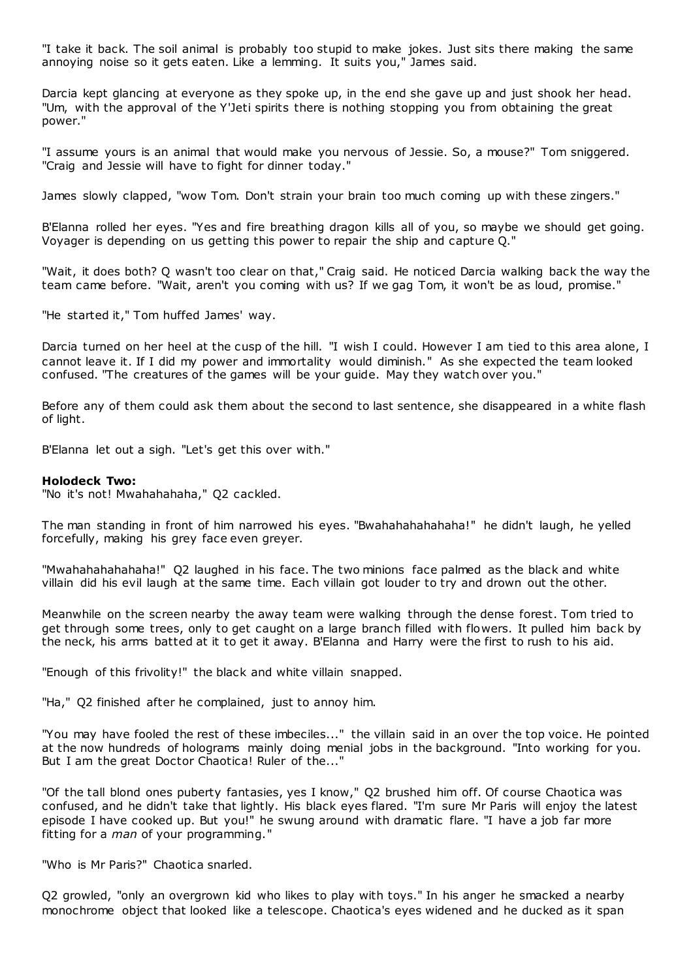"I take it back. The soil animal is probably too stupid to make jokes. Just sits there making the same annoying noise so it gets eaten. Like a lemming. It suits you," James said.

Darcia kept glancing at everyone as they spoke up, in the end she gave up and just shook her head. "Um, with the approval of the Y'Jeti spirits there is nothing stopping you from obtaining the great power."

"I assume yours is an animal that would make you nervous of Jessie. So, a mouse?" Tom sniggered. "Craig and Jessie will have to fight for dinner today."

James slowly clapped, "wow Tom. Don't strain your brain too much coming up with these zingers."

B'Elanna rolled her eyes. "Yes and fire breathing dragon kills all of you, so maybe we should get going. Voyager is depending on us getting this power to repair the ship and capture Q."

"Wait, it does both? Q wasn't too clear on that," Craig said. He noticed Darcia walking back the way the team came before. "Wait, aren't you coming with us? If we gag Tom, it won't be as loud, promise."

"He started it," Tom huffed James' way.

Darcia turned on her heel at the cusp of the hill. "I wish I could. However I am tied to this area alone, I cannot leave it. If I did my power and immortality would diminish." As she expected the team looked confused. "The creatures of the games will be your guide. May they watch over you."

Before any of them could ask them about the second to last sentence, she disappeared in a white flash of light.

B'Elanna let out a sigh. "Let's get this over with."

#### **Holodeck Two:**

"No it's not! Mwahahahaha," Q2 cackled.

The man standing in front of him narrowed his eyes. "Bwahahahahahaha!" he didn't laugh, he yelled forcefully, making his grey face even greyer.

"Mwahahahahahaha!" Q2 laughed in his face. The two minions face palmed as the black and white villain did his evil laugh at the same time. Each villain got louder to try and drown out the other.

Meanwhile on the screen nearby the away team were walking through the dense forest. Tom tried to get through some trees, only to get caught on a large branch filled with flowers. It pulled him back by the neck, his arms batted at it to get it away. B'Elanna and Harry were the first to rush to his aid.

"Enough of this frivolity!" the black and white villain snapped.

"Ha," Q2 finished after he complained, just to annoy him.

"You may have fooled the rest of these imbeciles..." the villain said in an over the top voice. He pointed at the now hundreds of holograms mainly doing menial jobs in the background. "Into working for you. But I am the great Doctor Chaotica! Ruler of the..."

"Of the tall blond ones puberty fantasies, yes I know," Q2 brushed him off. Of course Chaotica was confused, and he didn't take that lightly. His black eyes flared. "I'm sure Mr Paris will enjoy the latest episode I have cooked up. But you!" he swung around with dramatic flare. "I have a job far more fitting for a *man* of your programming."

"Who is Mr Paris?" Chaotica snarled.

Q2 growled, "only an overgrown kid who likes to play with toys." In his anger he smacked a nearby monochrome object that looked like a telescope. Chaotica's eyes widened and he ducked as it span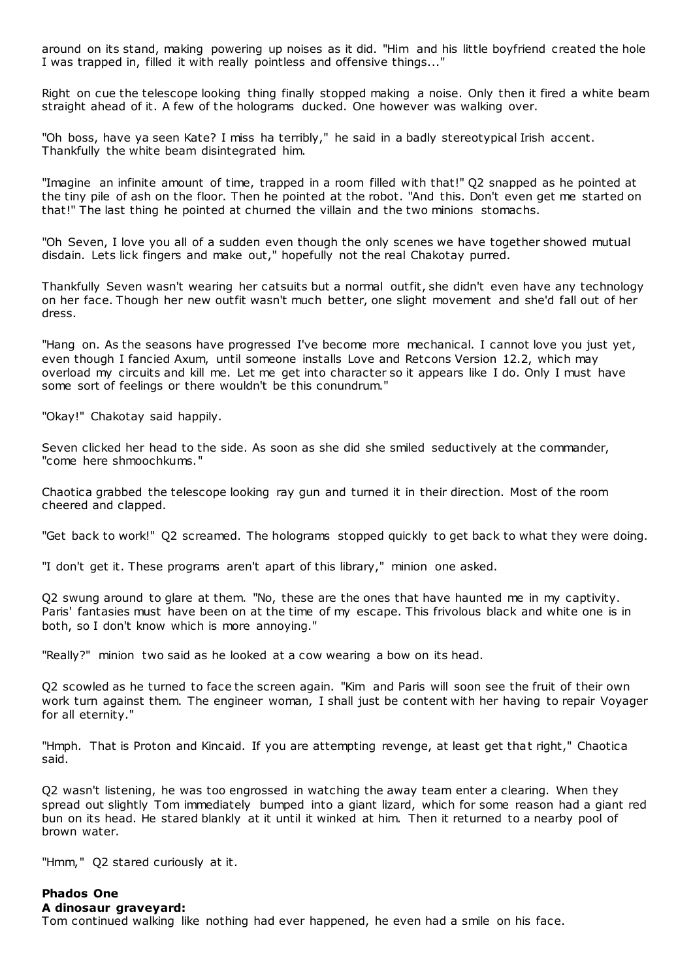around on its stand, making powering up noises as it did. "Him and his little boyfriend created the hole I was trapped in, filled it with really pointless and offensive things..."

Right on cue the telescope looking thing finally stopped making a noise. Only then it fired a white beam straight ahead of it. A few of the holograms ducked. One however was walking over.

"Oh boss, have ya seen Kate? I miss ha terribly," he said in a badly stereotypical Irish accent. Thankfully the white beam disintegrated him.

"Imagine an infinite amount of time, trapped in a room filled with that!" Q2 snapped as he pointed at the tiny pile of ash on the floor. Then he pointed at the robot. "And this. Don't even get me started on that!" The last thing he pointed at churned the villain and the two minions stomachs.

"Oh Seven, I love you all of a sudden even though the only scenes we have together showed mutual disdain. Lets lick fingers and make out," hopefully not the real Chakotay purred.

Thankfully Seven wasn't wearing her catsuits but a normal outfit, she didn't even have any technology on her face. Though her new outfit wasn't much better, one slight movement and she'd fall out of her dress.

"Hang on. As the seasons have progressed I've become more mechanical. I cannot love you just yet, even though I fancied Axum, until someone installs Love and Retcons Version 12.2, which may overload my circuits and kill me. Let me get into character so it appears like I do. Only I must have some sort of feelings or there wouldn't be this conundrum."

"Okay!" Chakotay said happily.

Seven clicked her head to the side. As soon as she did she smiled seductively at the commander, "come here shmoochkums."

Chaotica grabbed the telescope looking ray gun and turned it in their direction. Most of the room cheered and clapped.

"Get back to work!" Q2 screamed. The holograms stopped quickly to get back to what they were doing.

"I don't get it. These programs aren't apart of this library," minion one asked.

Q2 swung around to glare at them. "No, these are the ones that have haunted me in my captivity. Paris' fantasies must have been on at the time of my escape. This frivolous black and white one is in both, so I don't know which is more annoying."

"Really?" minion two said as he looked at a cow wearing a bow on its head.

Q2 scowled as he turned to face the screen again. "Kim and Paris will soon see the fruit of their own work turn against them. The engineer woman, I shall just be content with her having to repair Voyager for all eternity."

"Hmph. That is Proton and Kincaid. If you are attempting revenge, at least get that right," Chaotica said.

Q2 wasn't listening, he was too engrossed in watching the away team enter a clearing. When they spread out slightly Tom immediately bumped into a giant lizard, which for some reason had a giant red bun on its head. He stared blankly at it until it winked at him. Then it returned to a nearby pool of brown water.

"Hmm," Q2 stared curiously at it.

# **Phados One**

**A dinosaur graveyard:**

Tom continued walking like nothing had ever happened, he even had a smile on his face.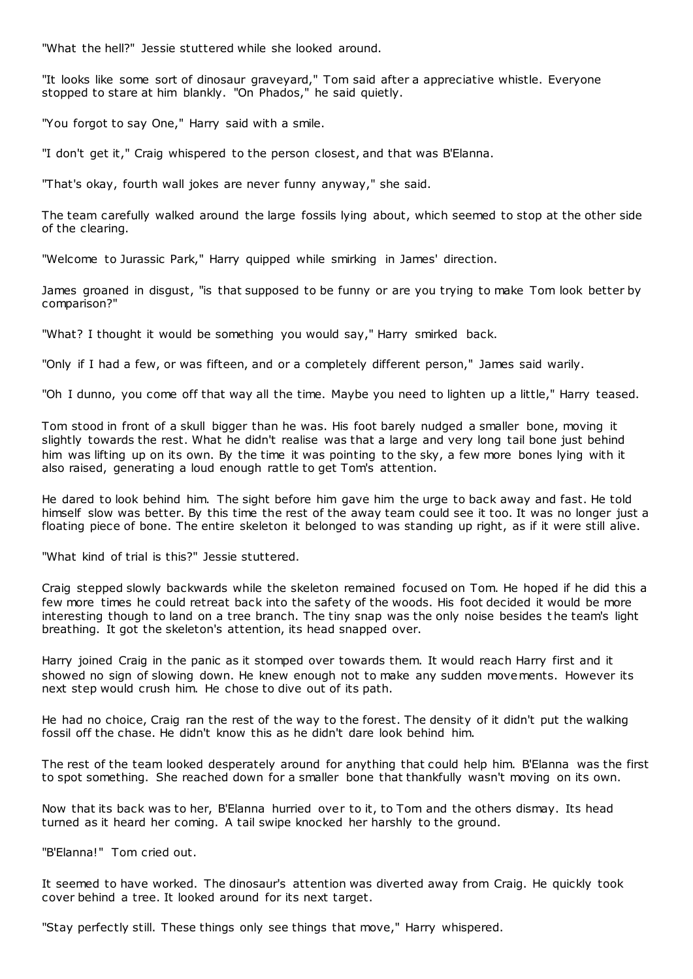"What the hell?" Jessie stuttered while she looked around.

"It looks like some sort of dinosaur graveyard," Tom said after a appreciative whistle. Everyone stopped to stare at him blankly. "On Phados," he said quietly.

"You forgot to say One," Harry said with a smile.

"I don't get it," Craig whispered to the person closest, and that was B'Elanna.

"That's okay, fourth wall jokes are never funny anyway," she said.

The team carefully walked around the large fossils lying about, which seemed to stop at the other side of the clearing.

"Welcome to Jurassic Park," Harry quipped while smirking in James' direction.

James groaned in disgust, "is that supposed to be funny or are you trying to make Tom look better by comparison?"

"What? I thought it would be something you would say," Harry smirked back.

"Only if I had a few, or was fifteen, and or a completely different person," James said warily.

"Oh I dunno, you come off that way all the time. Maybe you need to lighten up a little," Harry teased.

Tom stood in front of a skull bigger than he was. His foot barely nudged a smaller bone, moving it slightly towards the rest. What he didn't realise was that a large and very long tail bone just behind him was lifting up on its own. By the time it was pointing to the sky, a few more bones lying with it also raised, generating a loud enough rattle to get Tom's attention.

He dared to look behind him. The sight before him gave him the urge to back away and fast. He told himself slow was better. By this time the rest of the away team could see it too. It was no longer just a floating piece of bone. The entire skeleton it belonged to was standing up right, as if it were still alive.

"What kind of trial is this?" Jessie stuttered.

Craig stepped slowly backwards while the skeleton remained focused on Tom. He hoped if he did this a few more times he could retreat back into the safety of the woods. His foot decided it would be more interesting though to land on a tree branch. The tiny snap was the only noise besides t he team's light breathing. It got the skeleton's attention, its head snapped over.

Harry joined Craig in the panic as it stomped over towards them. It would reach Harry first and it showed no sign of slowing down. He knew enough not to make any sudden movements. However its next step would crush him. He chose to dive out of its path.

He had no choice, Craig ran the rest of the way to the forest. The density of it didn't put the walking fossil off the chase. He didn't know this as he didn't dare look behind him.

The rest of the team looked desperately around for anything that could help him. B'Elanna was the first to spot something. She reached down for a smaller bone that thankfully wasn't moving on its own.

Now that its back was to her, B'Elanna hurried over to it, to Tom and the others dismay. Its head turned as it heard her coming. A tail swipe knocked her harshly to the ground.

"B'Elanna!" Tom cried out.

It seemed to have worked. The dinosaur's attention was diverted away from Craig. He quickly took cover behind a tree. It looked around for its next target.

"Stay perfectly still. These things only see things that move," Harry whispered.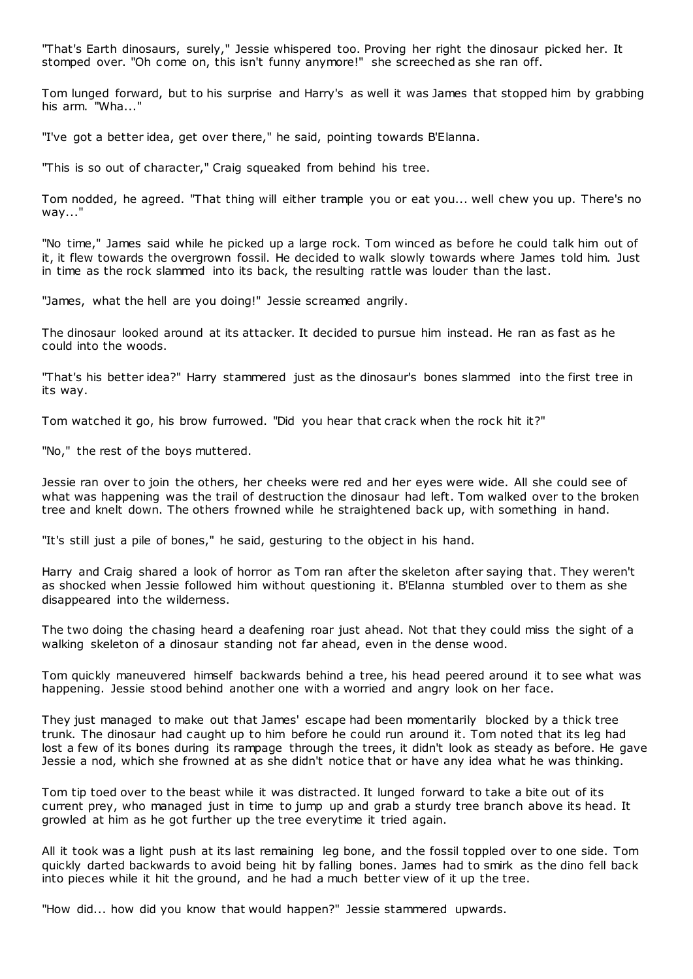"That's Earth dinosaurs, surely," Jessie whispered too. Proving her right the dinosaur picked her. It stomped over. "Oh come on, this isn't funny anymore!" she screeched as she ran off.

Tom lunged forward, but to his surprise and Harry's as well it was James that stopped him by grabbing his arm. "Wha..."

"I've got a better idea, get over there," he said, pointing towards B'Elanna.

"This is so out of character," Craig squeaked from behind his tree.

Tom nodded, he agreed. "That thing will either trample you or eat you... well chew you up. There's no way..."

"No time," James said while he picked up a large rock. Tom winced as before he could talk him out of it, it flew towards the overgrown fossil. He decided to walk slowly towards where James told him. Just in time as the rock slammed into its back, the resulting rattle was louder than the last.

"James, what the hell are you doing!" Jessie screamed angrily.

The dinosaur looked around at its attacker. It decided to pursue him instead. He ran as fast as he could into the woods.

"That's his better idea?" Harry stammered just as the dinosaur's bones slammed into the first tree in its way.

Tom watched it go, his brow furrowed. "Did you hear that crack when the rock hit it?"

"No," the rest of the boys muttered.

Jessie ran over to join the others, her cheeks were red and her eyes were wide. All she could see of what was happening was the trail of destruction the dinosaur had left. Tom walked over to the broken tree and knelt down. The others frowned while he straightened back up, with something in hand.

"It's still just a pile of bones," he said, gesturing to the object in his hand.

Harry and Craig shared a look of horror as Tom ran after the skeleton after saying that. They weren't as shocked when Jessie followed him without questioning it. B'Elanna stumbled over to them as she disappeared into the wilderness.

The two doing the chasing heard a deafening roar just ahead. Not that they could miss the sight of a walking skeleton of a dinosaur standing not far ahead, even in the dense wood.

Tom quickly maneuvered himself backwards behind a tree, his head peered around it to see what was happening. Jessie stood behind another one with a worried and angry look on her face.

They just managed to make out that James' escape had been momentarily blocked by a thick tree trunk. The dinosaur had caught up to him before he could run around it. Tom noted that its leg had lost a few of its bones during its rampage through the trees, it didn't look as steady as before. He gave Jessie a nod, which she frowned at as she didn't notice that or have any idea what he was thinking.

Tom tip toed over to the beast while it was distracted. It lunged forward to take a bite out of its current prey, who managed just in time to jump up and grab a sturdy tree branch above its head. It growled at him as he got further up the tree everytime it tried again.

All it took was a light push at its last remaining leg bone, and the fossil toppled over to one side. Tom quickly darted backwards to avoid being hit by falling bones. James had to smirk as the dino fell back into pieces while it hit the ground, and he had a much better view of it up the tree.

"How did... how did you know that would happen?" Jessie stammered upwards.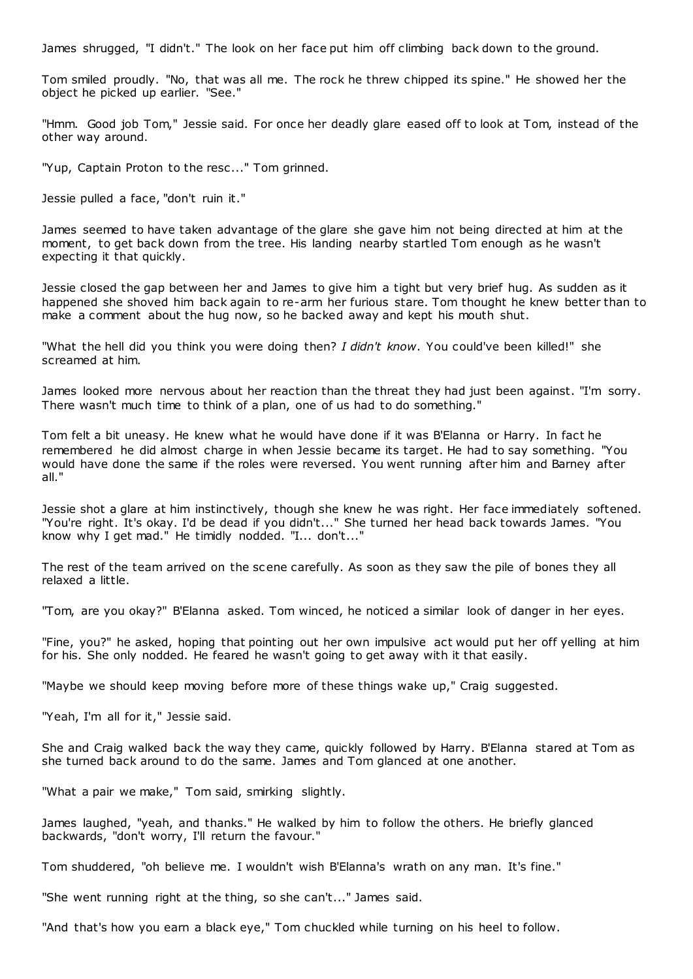James shrugged, "I didn't." The look on her face put him off climbing back down to the ground.

Tom smiled proudly. "No, that was all me. The rock he threw chipped its spine." He showed her the object he picked up earlier. "See."

"Hmm. Good job Tom," Jessie said. For once her deadly glare eased off to look at Tom, instead of the other way around.

"Yup, Captain Proton to the resc..." Tom grinned.

Jessie pulled a face, "don't ruin it."

James seemed to have taken advantage of the glare she gave him not being directed at him at the moment, to get back down from the tree. His landing nearby startled Tom enough as he wasn't expecting it that quickly.

Jessie closed the gap between her and James to give him a tight but very brief hug. As sudden as it happened she shoved him back again to re-arm her furious stare. Tom thought he knew better than to make a comment about the hug now, so he backed away and kept his mouth shut.

"What the hell did you think you were doing then? *I didn't know*. You could've been killed!" she screamed at him.

James looked more nervous about her reaction than the threat they had just been against. "I'm sorry. There wasn't much time to think of a plan, one of us had to do something."

Tom felt a bit uneasy. He knew what he would have done if it was B'Elanna or Harry. In fact he remembered he did almost charge in when Jessie became its target. He had to say something. "You would have done the same if the roles were reversed. You went running after him and Barney after all."

Jessie shot a glare at him instinctively, though she knew he was right. Her face immediately softened. "You're right. It's okay. I'd be dead if you didn't..." She turned her head back towards James. "You know why I get mad." He timidly nodded. "I... don't..."

The rest of the team arrived on the scene carefully. As soon as they saw the pile of bones they all relaxed a little.

"Tom, are you okay?" B'Elanna asked. Tom winced, he noticed a similar look of danger in her eyes.

"Fine, you?" he asked, hoping that pointing out her own impulsive act would put her off yelling at him for his. She only nodded. He feared he wasn't going to get away with it that easily.

"Maybe we should keep moving before more of these things wake up," Craig suggested.

"Yeah, I'm all for it," Jessie said.

She and Craig walked back the way they came, quickly followed by Harry. B'Elanna stared at Tom as she turned back around to do the same. James and Tom glanced at one another.

"What a pair we make," Tom said, smirking slightly.

James laughed, "yeah, and thanks." He walked by him to follow the others. He briefly glanced backwards, "don't worry, I'll return the favour."

Tom shuddered, "oh believe me. I wouldn't wish B'Elanna's wrath on any man. It's fine."

"She went running right at the thing, so she can't..." James said.

"And that's how you earn a black eye," Tom chuckled while turning on his heel to follow.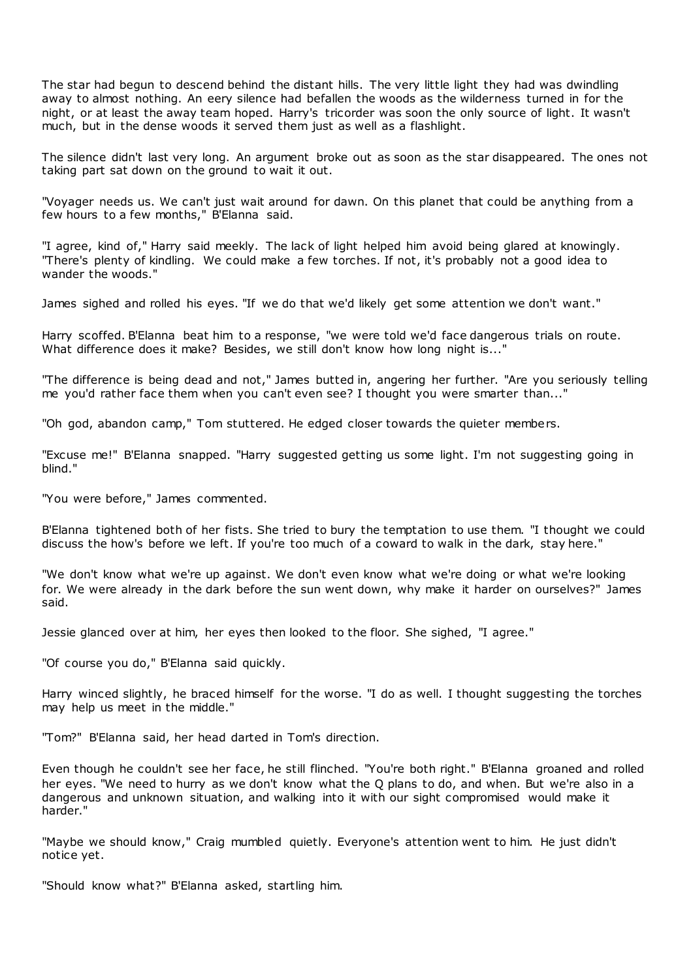The star had begun to descend behind the distant hills. The very little light they had was dwindling away to almost nothing. An eery silence had befallen the woods as the wilderness turned in for the night, or at least the away team hoped. Harry's tricorder was soon the only source of light. It wasn't much, but in the dense woods it served them just as well as a flashlight.

The silence didn't last very long. An argument broke out as soon as the star disappeared. The ones not taking part sat down on the ground to wait it out.

"Voyager needs us. We can't just wait around for dawn. On this planet that could be anything from a few hours to a few months," B'Elanna said.

"I agree, kind of," Harry said meekly. The lack of light helped him avoid being glared at knowingly. "There's plenty of kindling. We could make a few torches. If not, it's probably not a good idea to wander the woods."

James sighed and rolled his eyes. "If we do that we'd likely get some attention we don't want."

Harry scoffed. B'Elanna beat him to a response, "we were told we'd face dangerous trials on route. What difference does it make? Besides, we still don't know how long night is..."

"The difference is being dead and not," James butted in, angering her further. "Are you seriously telling me you'd rather face them when you can't even see? I thought you were smarter than..."

"Oh god, abandon camp," Tom stuttered. He edged closer towards the quieter members.

"Excuse me!" B'Elanna snapped. "Harry suggested getting us some light. I'm not suggesting going in blind."

"You were before," James commented.

B'Elanna tightened both of her fists. She tried to bury the temptation to use them. "I thought we could discuss the how's before we left. If you're too much of a coward to walk in the dark, stay here."

"We don't know what we're up against. We don't even know what we're doing or what we're looking for. We were already in the dark before the sun went down, why make it harder on ourselves?" James said.

Jessie glanced over at him, her eyes then looked to the floor. She sighed, "I agree."

"Of course you do," B'Elanna said quickly.

Harry winced slightly, he braced himself for the worse. "I do as well. I thought suggesting the torches may help us meet in the middle."

"Tom?" B'Elanna said, her head darted in Tom's direction.

Even though he couldn't see her face, he still flinched. "You're both right." B'Elanna groaned and rolled her eyes. "We need to hurry as we don't know what the Q plans to do, and when. But we're also in a dangerous and unknown situation, and walking into it with our sight compromised would make it harder."

"Maybe we should know," Craig mumbled quietly. Everyone's attention went to him. He just didn't notice yet.

"Should know what?" B'Elanna asked, startling him.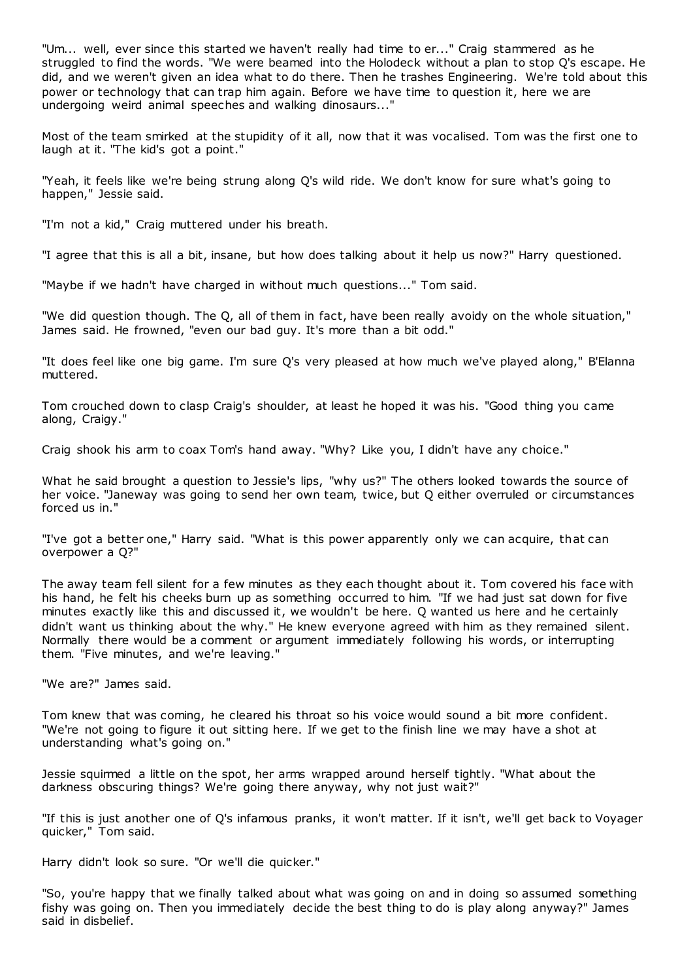"Um... well, ever since this started we haven't really had time to er..." Craig stammered as he struggled to find the words. "We were beamed into the Holodeck without a plan to stop Q's escape. He did, and we weren't given an idea what to do there. Then he trashes Engineering. We're told about this power or technology that can trap him again. Before we have time to question it, here we are undergoing weird animal speeches and walking dinosaurs..."

Most of the team smirked at the stupidity of it all, now that it was vocalised. Tom was the first one to laugh at it. "The kid's got a point."

"Yeah, it feels like we're being strung along Q's wild ride. We don't know for sure what's going to happen," Jessie said.

"I'm not a kid," Craig muttered under his breath.

"I agree that this is all a bit, insane, but how does talking about it help us now?" Harry questioned.

"Maybe if we hadn't have charged in without much questions..." Tom said.

"We did question though. The Q, all of them in fact, have been really avoidy on the whole situation," James said. He frowned, "even our bad guy. It's more than a bit odd."

"It does feel like one big game. I'm sure Q's very pleased at how much we've played along," B'Elanna muttered.

Tom crouched down to clasp Craig's shoulder, at least he hoped it was his. "Good thing you came along, Craigy."

Craig shook his arm to coax Tom's hand away. "Why? Like you, I didn't have any choice."

What he said brought a question to Jessie's lips, "why us?" The others looked towards the source of her voice. "Janeway was going to send her own team, twice, but Q either overruled or circumstances forced us in."

"I've got a better one," Harry said. "What is this power apparently only we can acquire, that can overpower a Q?"

The away team fell silent for a few minutes as they each thought about it. Tom covered his face with his hand, he felt his cheeks burn up as something occurred to him. "If we had just sat down for five minutes exactly like this and discussed it, we wouldn't be here. Q wanted us here and he certainly didn't want us thinking about the why." He knew everyone agreed with him as they remained silent. Normally there would be a comment or argument immediately following his words, or interrupting them. "Five minutes, and we're leaving."

"We are?" James said.

Tom knew that was coming, he cleared his throat so his voice would sound a bit more confident. "We're not going to figure it out sitting here. If we get to the finish line we may have a shot at understanding what's going on."

Jessie squirmed a little on the spot, her arms wrapped around herself tightly. "What about the darkness obscuring things? We're going there anyway, why not just wait?"

"If this is just another one of Q's infamous pranks, it won't matter. If it isn't, we'll get back to Voyager quicker," Tom said.

Harry didn't look so sure. "Or we'll die quicker."

"So, you're happy that we finally talked about what was going on and in doing so assumed something fishy was going on. Then you immediately decide the best thing to do is play along anyway?" James said in disbelief.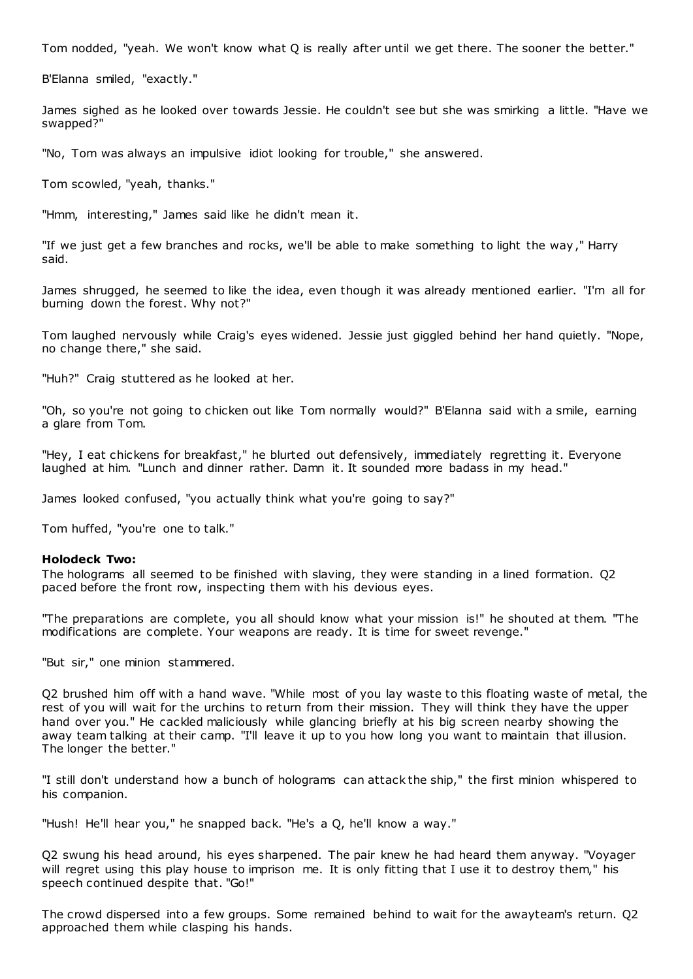Tom nodded, "yeah. We won't know what Q is really after until we get there. The sooner the better."

B'Elanna smiled, "exactly."

James sighed as he looked over towards Jessie. He couldn't see but she was smirking a little. "Have we swapped?"

"No, Tom was always an impulsive idiot looking for trouble," she answered.

Tom scowled, "yeah, thanks."

"Hmm, interesting," James said like he didn't mean it.

"If we just get a few branches and rocks, we'll be able to make something to light the way," Harry said.

James shrugged, he seemed to like the idea, even though it was already mentioned earlier. "I'm all for burning down the forest. Why not?"

Tom laughed nervously while Craig's eyes widened. Jessie just giggled behind her hand quietly. "Nope, no change there," she said.

"Huh?" Craig stuttered as he looked at her.

"Oh, so you're not going to chicken out like Tom normally would?" B'Elanna said with a smile, earning a glare from Tom.

"Hey, I eat chickens for breakfast," he blurted out defensively, immediately regretting it. Everyone laughed at him. "Lunch and dinner rather. Damn it. It sounded more badass in my head."

James looked confused, "you actually think what you're going to say?"

Tom huffed, "you're one to talk."

## **Holodeck Two:**

The holograms all seemed to be finished with slaving, they were standing in a lined formation. Q2 paced before the front row, inspecting them with his devious eyes.

"The preparations are complete, you all should know what your mission is!" he shouted at them. "The modifications are complete. Your weapons are ready. It is time for sweet revenge."

"But sir," one minion stammered.

Q2 brushed him off with a hand wave. "While most of you lay waste to this floating waste of metal, the rest of you will wait for the urchins to return from their mission. They will think they have the upper hand over you." He cackled maliciously while glancing briefly at his big screen nearby showing the away team talking at their camp. "I'll leave it up to you how long you want to maintain that illusion. The longer the better."

"I still don't understand how a bunch of holograms can attack the ship," the first minion whispered to his companion.

"Hush! He'll hear you," he snapped back. "He's a Q, he'll know a way."

Q2 swung his head around, his eyes sharpened. The pair knew he had heard them anyway. "Voyager will regret using this play house to imprison me. It is only fitting that I use it to destroy them," his speech continued despite that. "Go!"

The crowd dispersed into a few groups. Some remained behind to wait for the awayteam's return. Q2 approached them while clasping his hands.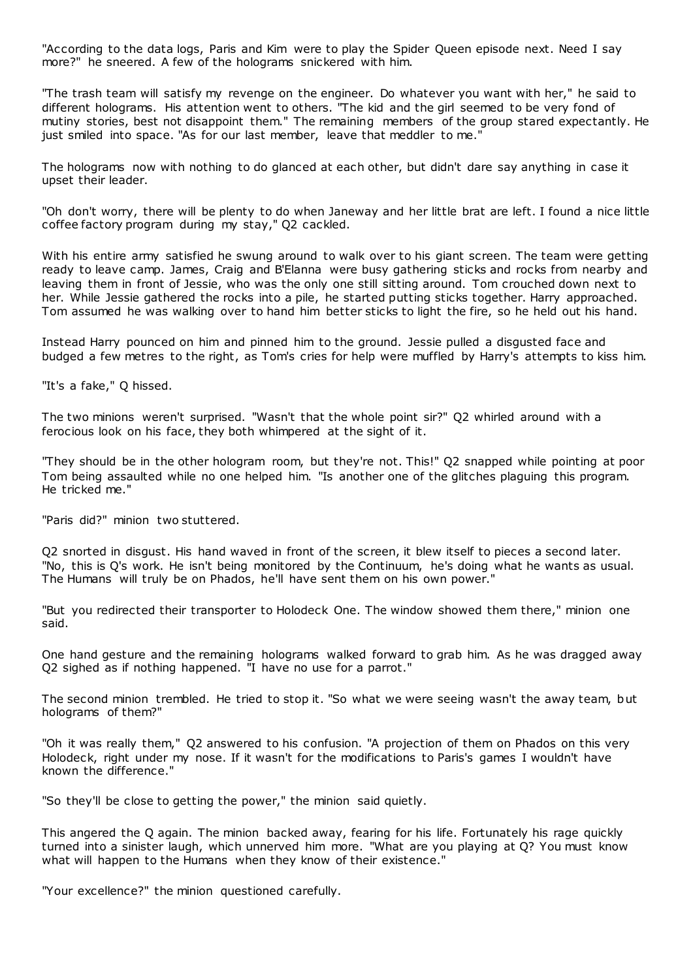"According to the data logs, Paris and Kim were to play the Spider Queen episode next. Need I say more?" he sneered. A few of the holograms snickered with him.

"The trash team will satisfy my revenge on the engineer. Do whatever you want with her," he said to different holograms. His attention went to others. "The kid and the girl seemed to be very fond of mutiny stories, best not disappoint them." The remaining members of the group stared expectantly. He just smiled into space. "As for our last member, leave that meddler to me."

The holograms now with nothing to do glanced at each other, but didn't dare say anything in case it upset their leader.

"Oh don't worry, there will be plenty to do when Janeway and her little brat are left. I found a nice little coffee factory program during my stay," Q2 cackled.

With his entire army satisfied he swung around to walk over to his giant screen. The team were getting ready to leave camp. James, Craig and B'Elanna were busy gathering sticks and rocks from nearby and leaving them in front of Jessie, who was the only one still sitting around. Tom crouched down next to her. While Jessie gathered the rocks into a pile, he started putting sticks together. Harry approached. Tom assumed he was walking over to hand him better sticks to light the fire, so he held out his hand.

Instead Harry pounced on him and pinned him to the ground. Jessie pulled a disgusted face and budged a few metres to the right, as Tom's cries for help were muffled by Harry's attempts to kiss him.

"It's a fake," Q hissed.

The two minions weren't surprised. "Wasn't that the whole point sir?" Q2 whirled around with a ferocious look on his face, they both whimpered at the sight of it.

"They should be in the other hologram room, but they're not. This!" Q2 snapped while pointing at poor Tom being assaulted while no one helped him. "Is another one of the glitches plaguing this program. He tricked me."

"Paris did?" minion two stuttered.

Q2 snorted in disgust. His hand waved in front of the screen, it blew itself to pieces a second later. "No, this is Q's work. He isn't being monitored by the Continuum, he's doing what he wants as usual. The Humans will truly be on Phados, he'll have sent them on his own power."

"But you redirected their transporter to Holodeck One. The window showed them there," minion one said.

One hand gesture and the remaining holograms walked forward to grab him. As he was dragged away Q2 sighed as if nothing happened. "I have no use for a parrot."

The second minion trembled. He tried to stop it. "So what we were seeing wasn't the away team, but holograms of them?"

"Oh it was really them," Q2 answered to his confusion. "A projection of them on Phados on this very Holodeck, right under my nose. If it wasn't for the modifications to Paris's games I wouldn't have known the difference."

"So they'll be close to getting the power," the minion said quietly.

This angered the Q again. The minion backed away, fearing for his life. Fortunately his rage quickly turned into a sinister laugh, which unnerved him more. "What are you playing at Q? You must know what will happen to the Humans when they know of their existence."

"Your excellence?" the minion questioned carefully.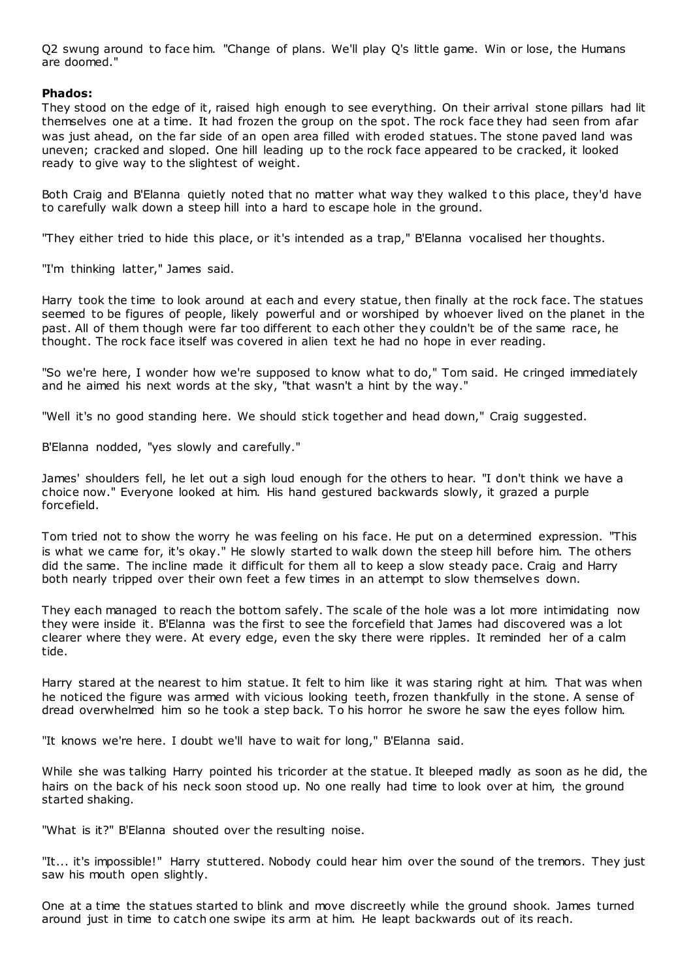Q2 swung around to face him. "Change of plans. We'll play Q's little game. Win or lose, the Humans are doomed."

# **Phados:**

They stood on the edge of it, raised high enough to see everything. On their arrival stone pillars had lit themselves one at a time. It had frozen the group on the spot. The rock face they had seen from afar was just ahead, on the far side of an open area filled with eroded statues. The stone paved land was uneven; cracked and sloped. One hill leading up to the rock face appeared to be cracked, it looked ready to give way to the slightest of weight.

Both Craig and B'Elanna quietly noted that no matter what way they walked to this place, they'd have to carefully walk down a steep hill into a hard to escape hole in the ground.

"They either tried to hide this place, or it's intended as a trap," B'Elanna vocalised her thoughts.

"I'm thinking latter," James said.

Harry took the time to look around at each and every statue, then finally at the rock face. The statues seemed to be figures of people, likely powerful and or worshiped by whoever lived on the planet in the past. All of them though were far too different to each other they couldn't be of the same race, he thought. The rock face itself was covered in alien text he had no hope in ever reading.

"So we're here, I wonder how we're supposed to know what to do," Tom said. He cringed immediately and he aimed his next words at the sky, "that wasn't a hint by the way."

"Well it's no good standing here. We should stick together and head down," Craig suggested.

B'Elanna nodded, "yes slowly and carefully."

James' shoulders fell, he let out a sigh loud enough for the others to hear. "I don't think we have a choice now." Everyone looked at him. His hand gestured backwards slowly, it grazed a purple forcefield.

Tom tried not to show the worry he was feeling on his face. He put on a determined expression. "This is what we came for, it's okay." He slowly started to walk down the steep hill before him. The others did the same. The incline made it difficult for them all to keep a slow steady pace. Craig and Harry both nearly tripped over their own feet a few times in an attempt to slow themselves down.

They each managed to reach the bottom safely. The scale of the hole was a lot more intimidating now they were inside it. B'Elanna was the first to see the forcefield that James had discovered was a lot clearer where they were. At every edge, even the sky there were ripples. It reminded her of a calm tide.

Harry stared at the nearest to him statue. It felt to him like it was staring right at him. That was when he noticed the figure was armed with vicious looking teeth, frozen thankfully in the stone. A sense of dread overwhelmed him so he took a step back. To his horror he swore he saw the eyes follow him.

"It knows we're here. I doubt we'll have to wait for long," B'Elanna said.

While she was talking Harry pointed his tricorder at the statue. It bleeped madly as soon as he did, the hairs on the back of his neck soon stood up. No one really had time to look over at him, the ground started shaking.

"What is it?" B'Elanna shouted over the resulting noise.

"It... it's impossible!" Harry stuttered. Nobody could hear him over the sound of the tremors. They just saw his mouth open slightly.

One at a time the statues started to blink and move discreetly while the ground shook. James turned around just in time to catch one swipe its arm at him. He leapt backwards out of its reach.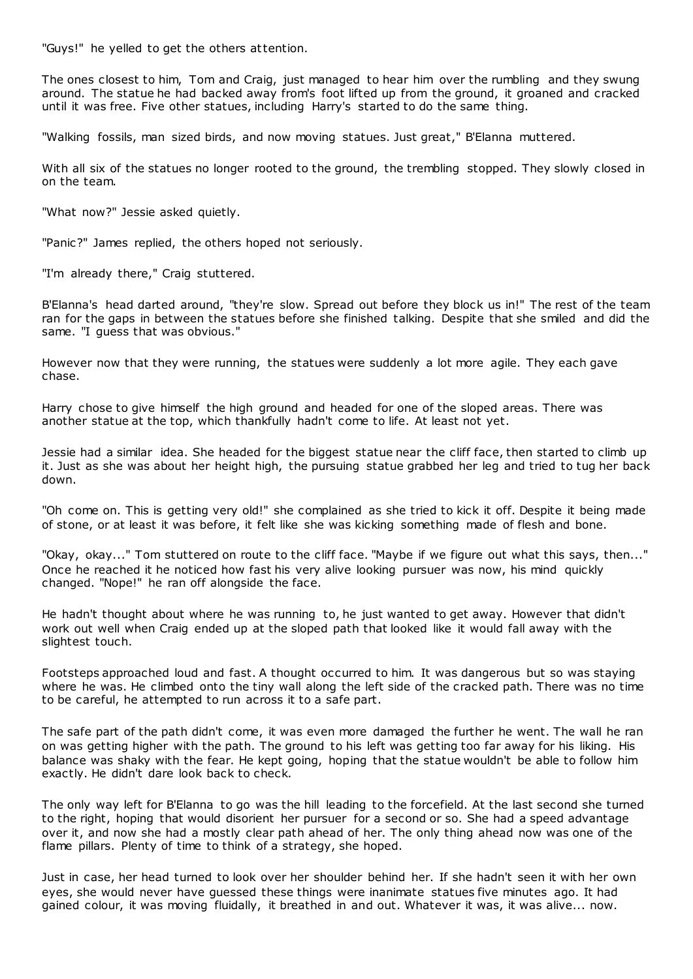"Guys!" he yelled to get the others attention.

The ones closest to him, Tom and Craig, just managed to hear him over the rumbling and they swung around. The statue he had backed away from's foot lifted up from the ground, it groaned and cracked until it was free. Five other statues, including Harry's started to do the same thing.

"Walking fossils, man sized birds, and now moving statues. Just great," B'Elanna muttered.

With all six of the statues no longer rooted to the ground, the trembling stopped. They slowly closed in on the team.

"What now?" Jessie asked quietly.

"Panic?" James replied, the others hoped not seriously.

"I'm already there," Craig stuttered.

B'Elanna's head darted around, "they're slow. Spread out before they block us in!" The rest of the team ran for the gaps in between the statues before she finished talking. Despite that she smiled and did the same. "I guess that was obvious."

However now that they were running, the statues were suddenly a lot more agile. They each gave chase.

Harry chose to give himself the high ground and headed for one of the sloped areas. There was another statue at the top, which thankfully hadn't come to life. At least not yet.

Jessie had a similar idea. She headed for the biggest statue near the cliff face, then started to climb up it. Just as she was about her height high, the pursuing statue grabbed her leg and tried to tug her back down.

"Oh come on. This is getting very old!" she complained as she tried to kick it off. Despite it being made of stone, or at least it was before, it felt like she was kicking something made of flesh and bone.

"Okay, okay..." Tom stuttered on route to the cliff face. "Maybe if we figure out what this says, then..." Once he reached it he noticed how fast his very alive looking pursuer was now, his mind quickly changed. "Nope!" he ran off alongside the face.

He hadn't thought about where he was running to, he just wanted to get away. However that didn't work out well when Craig ended up at the sloped path that looked like it would fall away with the slightest touch.

Footsteps approached loud and fast. A thought occurred to him. It was dangerous but so was staying where he was. He climbed onto the tiny wall along the left side of the cracked path. There was no time to be careful, he attempted to run across it to a safe part.

The safe part of the path didn't come, it was even more damaged the further he went. The wall he ran on was getting higher with the path. The ground to his left was getting too far away for his liking. His balance was shaky with the fear. He kept going, hoping that the statue wouldn't be able to follow him exactly. He didn't dare look back to check.

The only way left for B'Elanna to go was the hill leading to the forcefield. At the last second she turned to the right, hoping that would disorient her pursuer for a second or so. She had a speed advantage over it, and now she had a mostly clear path ahead of her. The only thing ahead now was one of the flame pillars. Plenty of time to think of a strategy, she hoped.

Just in case, her head turned to look over her shoulder behind her. If she hadn't seen it with her own eyes, she would never have guessed these things were inanimate statues five minutes ago. It had gained colour, it was moving fluidally, it breathed in and out. Whatever it was, it was alive... now.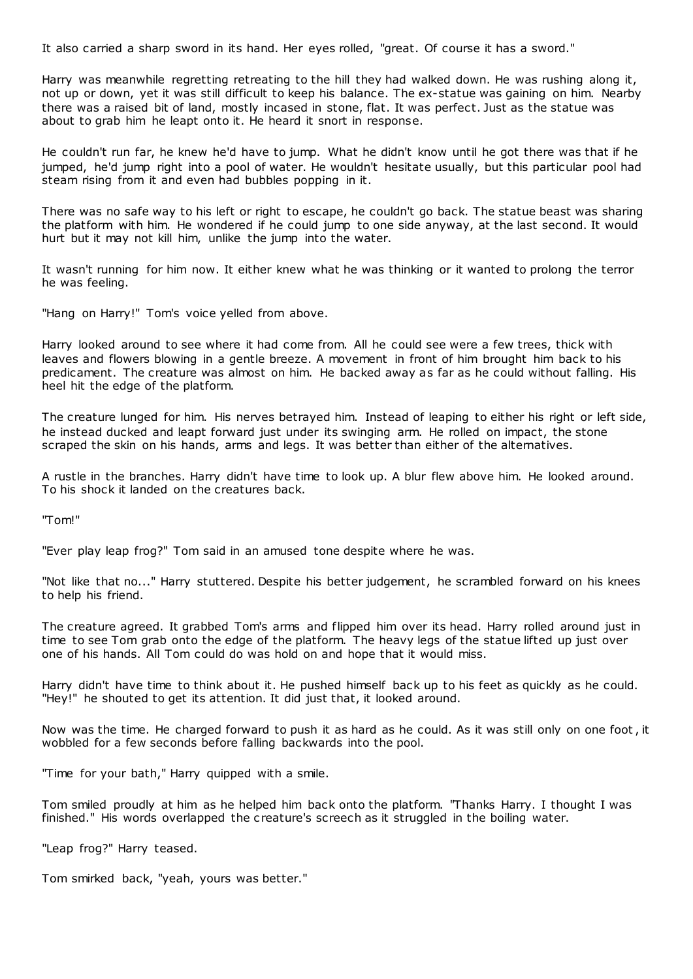It also carried a sharp sword in its hand. Her eyes rolled, "great. Of course it has a sword."

Harry was meanwhile regretting retreating to the hill they had walked down. He was rushing along it, not up or down, yet it was still difficult to keep his balance. The ex-statue was gaining on him. Nearby there was a raised bit of land, mostly incased in stone, flat. It was perfect. Just as the statue was about to grab him he leapt onto it. He heard it snort in response.

He couldn't run far, he knew he'd have to jump. What he didn't know until he got there was that if he jumped, he'd jump right into a pool of water. He wouldn't hesitate usually, but this particular pool had steam rising from it and even had bubbles popping in it.

There was no safe way to his left or right to escape, he couldn't go back. The statue beast was sharing the platform with him. He wondered if he could jump to one side anyway, at the last second. It would hurt but it may not kill him, unlike the jump into the water.

It wasn't running for him now. It either knew what he was thinking or it wanted to prolong the terror he was feeling.

"Hang on Harry!" Tom's voice yelled from above.

Harry looked around to see where it had come from. All he could see were a few trees, thick with leaves and flowers blowing in a gentle breeze. A movement in front of him brought him back to his predicament. The creature was almost on him. He backed away as far as he could without falling. His heel hit the edge of the platform.

The creature lunged for him. His nerves betrayed him. Instead of leaping to either his right or left side, he instead ducked and leapt forward just under its swinging arm. He rolled on impact, the stone scraped the skin on his hands, arms and legs. It was better than either of the alternatives.

A rustle in the branches. Harry didn't have time to look up. A blur flew above him. He looked around. To his shock it landed on the creatures back.

"Tom!"

"Ever play leap frog?" Tom said in an amused tone despite where he was.

"Not like that no..." Harry stuttered. Despite his better judgement, he scrambled forward on his knees to help his friend.

The creature agreed. It grabbed Tom's arms and flipped him over its head. Harry rolled around just in time to see Tom grab onto the edge of the platform. The heavy legs of the statue lifted up just over one of his hands. All Tom could do was hold on and hope that it would miss.

Harry didn't have time to think about it. He pushed himself back up to his feet as quickly as he could. "Hey!" he shouted to get its attention. It did just that, it looked around.

Now was the time. He charged forward to push it as hard as he could. As it was still only on one foot , it wobbled for a few seconds before falling backwards into the pool.

"Time for your bath," Harry quipped with a smile.

Tom smiled proudly at him as he helped him back onto the platform. "Thanks Harry. I thought I was finished." His words overlapped the creature's screech as it struggled in the boiling water.

"Leap frog?" Harry teased.

Tom smirked back, "yeah, yours was better."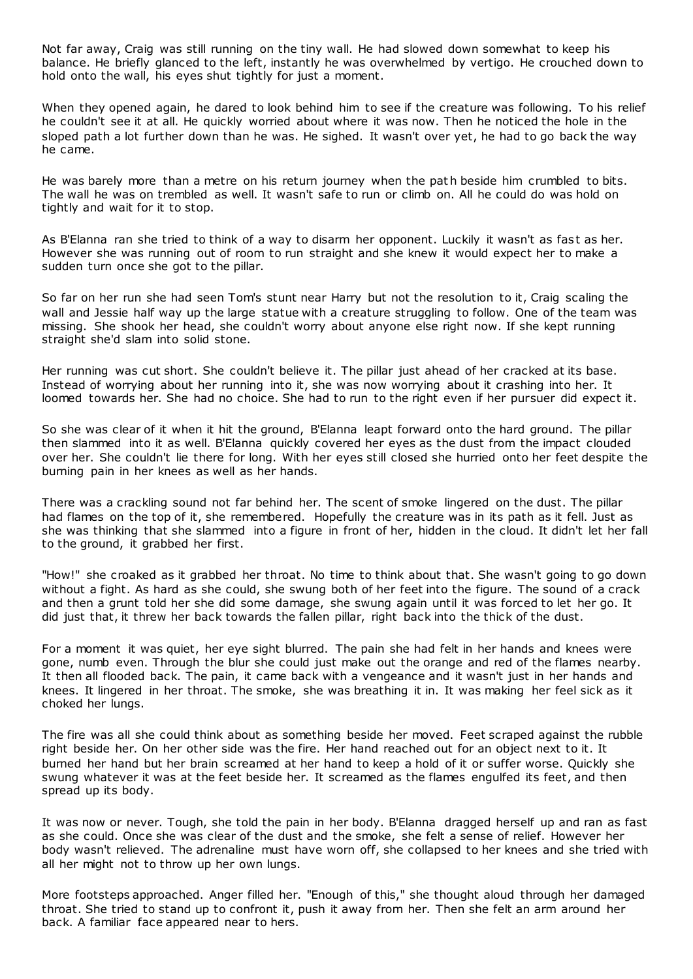Not far away, Craig was still running on the tiny wall. He had slowed down somewhat to keep his balance. He briefly glanced to the left, instantly he was overwhelmed by vertigo. He crouched down to hold onto the wall, his eyes shut tightly for just a moment.

When they opened again, he dared to look behind him to see if the creature was following. To his relief he couldn't see it at all. He quickly worried about where it was now. Then he noticed the hole in the sloped path a lot further down than he was. He sighed. It wasn't over yet, he had to go back the way he came.

He was barely more than a metre on his return journey when the path beside him crumbled to bits. The wall he was on trembled as well. It wasn't safe to run or climb on. All he could do was hold on tightly and wait for it to stop.

As B'Elanna ran she tried to think of a way to disarm her opponent. Luckily it wasn't as fast as her. However she was running out of room to run straight and she knew it would expect her to make a sudden turn once she got to the pillar.

So far on her run she had seen Tom's stunt near Harry but not the resolution to it, Craig scaling the wall and Jessie half way up the large statue with a creature struggling to follow. One of the team was missing. She shook her head, she couldn't worry about anyone else right now. If she kept running straight she'd slam into solid stone.

Her running was cut short. She couldn't believe it. The pillar just ahead of her cracked at its base. Instead of worrying about her running into it, she was now worrying about it crashing into her. It loomed towards her. She had no choice. She had to run to the right even if her pursuer did expect it.

So she was clear of it when it hit the ground, B'Elanna leapt forward onto the hard ground. The pillar then slammed into it as well. B'Elanna quickly covered her eyes as the dust from the impact clouded over her. She couldn't lie there for long. With her eyes still closed she hurried onto her feet despite the burning pain in her knees as well as her hands.

There was a crackling sound not far behind her. The scent of smoke lingered on the dust. The pillar had flames on the top of it, she remembered. Hopefully the creature was in its path as it fell. Just as she was thinking that she slammed into a figure in front of her, hidden in the cloud. It didn't let her fall to the ground, it grabbed her first.

"How!" she croaked as it grabbed her throat. No time to think about that. She wasn't going to go down without a fight. As hard as she could, she swung both of her feet into the figure. The sound of a crack and then a grunt told her she did some damage, she swung again until it was forced to let her go. It did just that, it threw her back towards the fallen pillar, right back into the thick of the dust.

For a moment it was quiet, her eye sight blurred. The pain she had felt in her hands and knees were gone, numb even. Through the blur she could just make out the orange and red of the flames nearby. It then all flooded back. The pain, it came back with a vengeance and it wasn't just in her hands and knees. It lingered in her throat. The smoke, she was breathing it in. It was making her feel sick as it choked her lungs.

The fire was all she could think about as something beside her moved. Feet scraped against the rubble right beside her. On her other side was the fire. Her hand reached out for an object next to it. It burned her hand but her brain sc reamed at her hand to keep a hold of it or suffer worse. Quickly she swung whatever it was at the feet beside her. It screamed as the flames engulfed its feet, and then spread up its body.

It was now or never. Tough, she told the pain in her body. B'Elanna dragged herself up and ran as fast as she could. Once she was clear of the dust and the smoke, she felt a sense of relief. However her body wasn't relieved. The adrenaline must have worn off, she collapsed to her knees and she tried with all her might not to throw up her own lungs.

More footsteps approached. Anger filled her. "Enough of this," she thought aloud through her damaged throat. She tried to stand up to confront it, push it away from her. Then she felt an arm around her back. A familiar face appeared near to hers.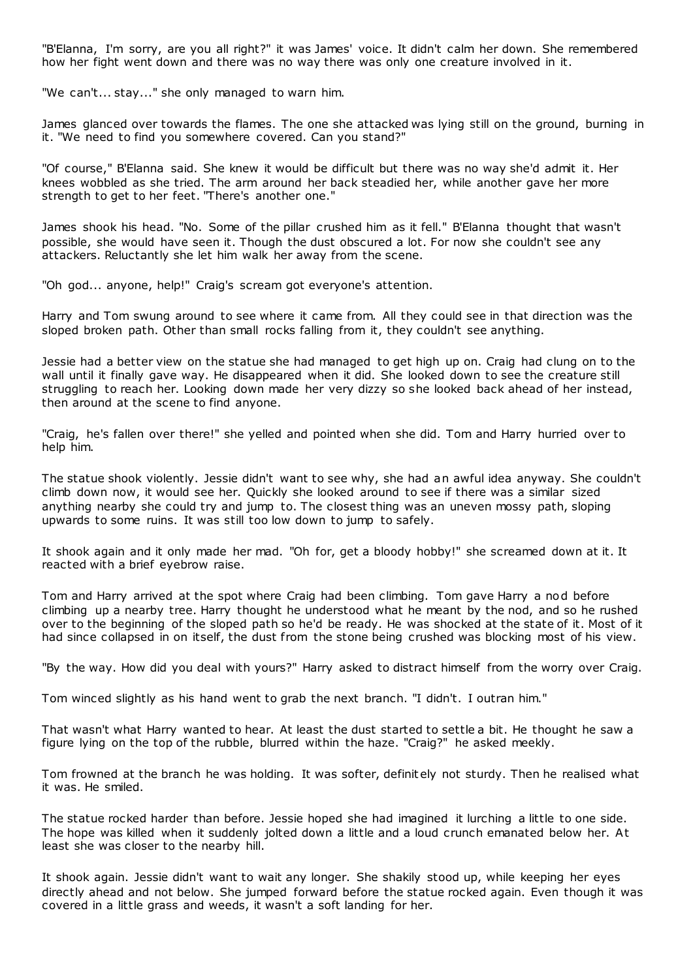"B'Elanna, I'm sorry, are you all right?" it was James' voice. It didn't calm her down. She remembered how her fight went down and there was no way there was only one creature involved in it.

"We can't... stay..." she only managed to warn him.

James glanced over towards the flames. The one she attacked was lying still on the ground, burning in it. "We need to find you somewhere covered. Can you stand?"

"Of course," B'Elanna said. She knew it would be difficult but there was no way she'd admit it. Her knees wobbled as she tried. The arm around her back steadied her, while another gave her more strength to get to her feet. "There's another one."

James shook his head. "No. Some of the pillar crushed him as it fell." B'Elanna thought that wasn't possible, she would have seen it. Though the dust obscured a lot. For now she couldn't see any attackers. Reluctantly she let him walk her away from the scene.

"Oh god... anyone, help!" Craig's scream got everyone's attention.

Harry and Tom swung around to see where it came from. All they could see in that direction was the sloped broken path. Other than small rocks falling from it, they couldn't see anything.

Jessie had a better view on the statue she had managed to get high up on. Craig had clung on to the wall until it finally gave way. He disappeared when it did. She looked down to see the creature still struggling to reach her. Looking down made her very dizzy so she looked back ahead of her instead, then around at the scene to find anyone.

"Craig, he's fallen over there!" she yelled and pointed when she did. Tom and Harry hurried over to help him.

The statue shook violently. Jessie didn't want to see why, she had an awful idea anyway. She couldn't climb down now, it would see her. Quickly she looked around to see if there was a similar sized anything nearby she could try and jump to. The closest thing was an uneven mossy path, sloping upwards to some ruins. It was still too low down to jump to safely.

It shook again and it only made her mad. "Oh for, get a bloody hobby!" she screamed down at it. It reacted with a brief eyebrow raise.

Tom and Harry arrived at the spot where Craig had been climbing. Tom gave Harry a nod before climbing up a nearby tree. Harry thought he understood what he meant by the nod, and so he rushed over to the beginning of the sloped path so he'd be ready. He was shocked at the state of it. Most of it had since collapsed in on itself, the dust from the stone being crushed was blocking most of his view.

"By the way. How did you deal with yours?" Harry asked to distract himself from the worry over Craig.

Tom winced slightly as his hand went to grab the next branch. "I didn't. I outran him."

That wasn't what Harry wanted to hear. At least the dust started to settle a bit. He thought he saw a figure lying on the top of the rubble, blurred within the haze. "Craig?" he asked meekly.

Tom frowned at the branch he was holding. It was softer, definitely not sturdy. Then he realised what it was. He smiled.

The statue rocked harder than before. Jessie hoped she had imagined it lurching a little to one side. The hope was killed when it suddenly jolted down a little and a loud crunch emanated below her. At least she was closer to the nearby hill.

It shook again. Jessie didn't want to wait any longer. She shakily stood up, while keeping her eyes directly ahead and not below. She jumped forward before the statue rocked again. Even though it was covered in a little grass and weeds, it wasn't a soft landing for her.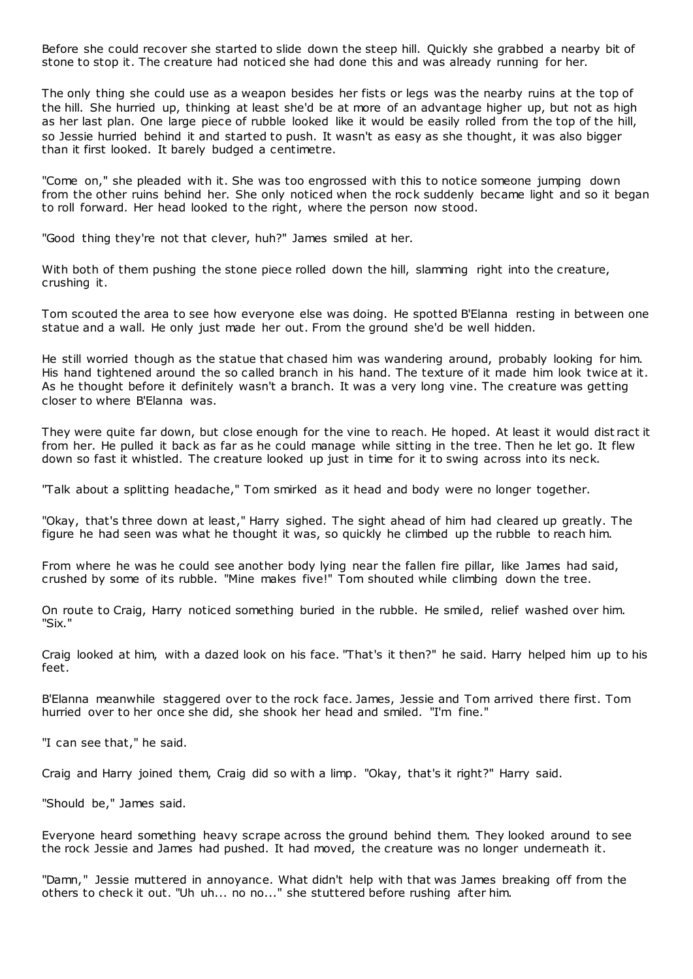Before she could recover she started to slide down the steep hill. Quickly she grabbed a nearby bit of stone to stop it. The creature had noticed she had done this and was already running for her.

The only thing she could use as a weapon besides her fists or legs was the nearby ruins at the top of the hill. She hurried up, thinking at least she'd be at more of an advantage higher up, but not as high as her last plan. One large piece of rubble looked like it would be easily rolled from the top of the hill, so Jessie hurried behind it and started to push. It wasn't as easy as she thought, it was also bigger than it first looked. It barely budged a centimetre.

"Come on," she pleaded with it. She was too engrossed with this to notice someone jumping down from the other ruins behind her. She only noticed when the rock suddenly became light and so it began to roll forward. Her head looked to the right, where the person now stood.

"Good thing they're not that clever, huh?" James smiled at her.

With both of them pushing the stone piece rolled down the hill, slamming right into the creature, crushing it.

Tom scouted the area to see how everyone else was doing. He spotted B'Elanna resting in between one statue and a wall. He only just made her out. From the ground she'd be well hidden.

He still worried though as the statue that chased him was wandering around, probably looking for him. His hand tightened around the so called branch in his hand. The texture of it made him look twice at it. As he thought before it definitely wasn't a branch. It was a very long vine. The creature was getting closer to where B'Elanna was.

They were quite far down, but close enough for the vine to reach. He hoped. At least it would dist ract it from her. He pulled it back as far as he could manage while sitting in the tree. Then he let go. It flew down so fast it whistled. The creature looked up just in time for it to swing across into its neck.

"Talk about a splitting headache," Tom smirked as it head and body were no longer together.

"Okay, that's three down at least," Harry sighed. The sight ahead of him had cleared up greatly. The figure he had seen was what he thought it was, so quickly he climbed up the rubble to reach him.

From where he was he could see another body lying near the fallen fire pillar, like James had said, crushed by some of its rubble. "Mine makes five!" Tom shouted while climbing down the tree.

On route to Craig, Harry noticed something buried in the rubble. He smiled, relief washed over him. "Six."

Craig looked at him, with a dazed look on his face. "That's it then?" he said. Harry helped him up to his feet.

B'Elanna meanwhile staggered over to the rock face. James, Jessie and Tom arrived there first. Tom hurried over to her once she did, she shook her head and smiled. "I'm fine."

"I can see that," he said.

Craig and Harry joined them, Craig did so with a limp. "Okay, that's it right?" Harry said.

"Should be," James said.

Everyone heard something heavy scrape across the ground behind them. They looked around to see the rock Jessie and James had pushed. It had moved, the creature was no longer underneath it.

"Damn," Jessie muttered in annoyance. What didn't help with that was James breaking off from the others to check it out. "Uh uh... no no..." she stuttered before rushing after him.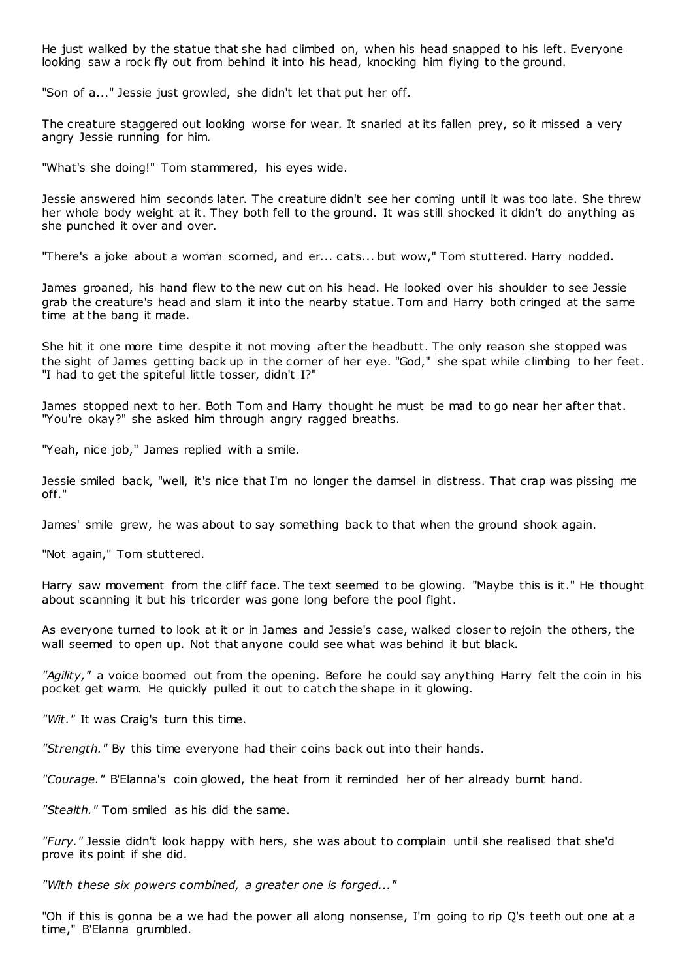He just walked by the statue that she had climbed on, when his head snapped to his left. Everyone looking saw a rock fly out from behind it into his head, knocking him flying to the ground.

"Son of a..." Jessie just growled, she didn't let that put her off.

The creature staggered out looking worse for wear. It snarled at its fallen prey, so it missed a very angry Jessie running for him.

"What's she doing!" Tom stammered, his eyes wide.

Jessie answered him seconds later. The creature didn't see her coming until it was too late. She threw her whole body weight at it. They both fell to the ground. It was still shocked it didn't do anything as she punched it over and over.

"There's a joke about a woman scorned, and er... cats... but wow," Tom stuttered. Harry nodded.

James groaned, his hand flew to the new cut on his head. He looked over his shoulder to see Jessie grab the creature's head and slam it into the nearby statue. Tom and Harry both cringed at the same time at the bang it made.

She hit it one more time despite it not moving after the headbutt. The only reason she stopped was the sight of James getting back up in the corner of her eye. "God," she spat while climbing to her feet. "I had to get the spiteful little tosser, didn't I?"

James stopped next to her. Both Tom and Harry thought he must be mad to go near her after that. "You're okay?" she asked him through angry ragged breaths.

"Yeah, nice job," James replied with a smile.

Jessie smiled back, "well, it's nice that I'm no longer the damsel in distress. That crap was pissing me off."

James' smile grew, he was about to say something back to that when the ground shook again.

"Not again," Tom stuttered.

Harry saw movement from the cliff face. The text seemed to be glowing. "Maybe this is it." He thought about scanning it but his tricorder was gone long before the pool fight.

As everyone turned to look at it or in James and Jessie's case, walked closer to rejoin the others, the wall seemed to open up. Not that anyone could see what was behind it but black.

*"Agility,"* a voice boomed out from the opening. Before he could say anything Harry felt the coin in his pocket get warm. He quickly pulled it out to catch the shape in it glowing.

*"Wit."* It was Craig's turn this time.

*"Strength."* By this time everyone had their coins back out into their hands.

*"Courage."* B'Elanna's coin glowed, the heat from it reminded her of her already burnt hand.

*"Stealth."* Tom smiled as his did the same.

*"Fury."* Jessie didn't look happy with hers, she was about to complain until she realised that she'd prove its point if she did.

*"With these six powers combined, a greater one is forged..."*

"Oh if this is gonna be a we had the power all along nonsense, I'm going to rip Q's teeth out one at a time," B'Elanna grumbled.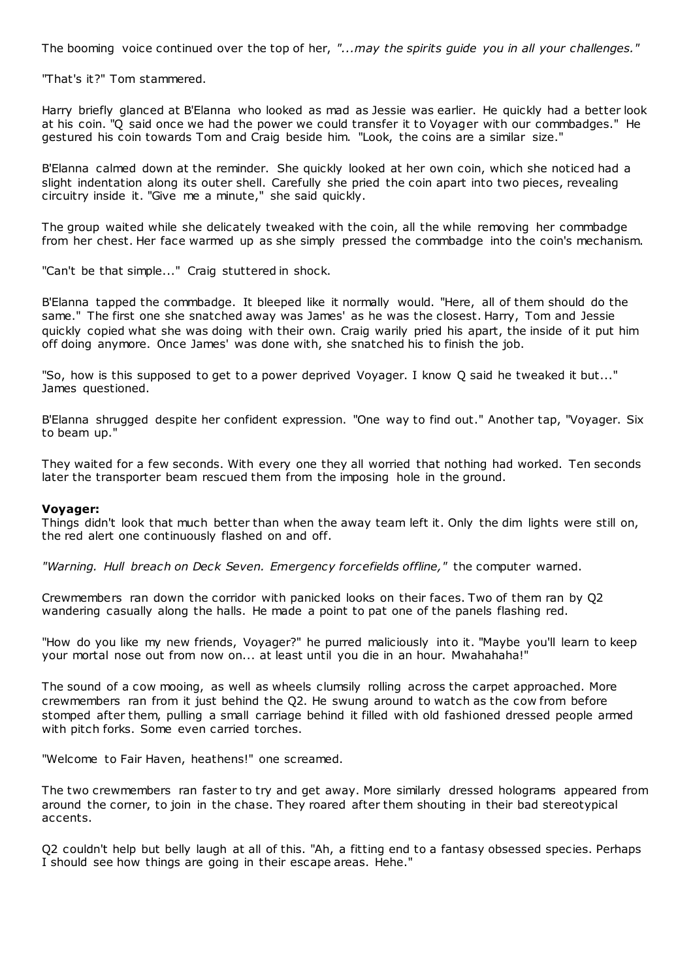The booming voice continued over the top of her, *"...may the spirits guide you in all your challenges."*

"That's it?" Tom stammered.

Harry briefly glanced at B'Elanna who looked as mad as Jessie was earlier. He quickly had a better look at his coin. "Q said once we had the power we could transfer it to Voyager with our commbadges." He gestured his coin towards Tom and Craig beside him. "Look, the coins are a similar size."

B'Elanna calmed down at the reminder. She quickly looked at her own coin, which she noticed had a slight indentation along its outer shell. Carefully she pried the coin apart into two pieces, revealing circuitry inside it. "Give me a minute," she said quickly.

The group waited while she delicately tweaked with the coin, all the while removing her commbadge from her chest. Her face warmed up as she simply pressed the commbadge into the coin's mechanism.

"Can't be that simple..." Craig stuttered in shock.

B'Elanna tapped the commbadge. It bleeped like it normally would. "Here, all of them should do the same." The first one she snatched away was James' as he was the closest. Harry, Tom and Jessie quickly copied what she was doing with their own. Craig warily pried his apart, the inside of it put him off doing anymore. Once James' was done with, she snatched his to finish the job.

"So, how is this supposed to get to a power deprived Voyager. I know Q said he tweaked it but..." James questioned.

B'Elanna shrugged despite her confident expression. "One way to find out." Another tap, "Voyager. Six to beam up."

They waited for a few seconds. With every one they all worried that nothing had worked. Ten seconds later the transporter beam rescued them from the imposing hole in the ground.

#### **Voyager:**

Things didn't look that much better than when the away team left it. Only the dim lights were still on, the red alert one continuously flashed on and off.

*"Warning. Hull breach on Deck Seven. Emergency forcefields offline,"* the computer warned.

Crewmembers ran down the corridor with panicked looks on their faces. Two of them ran by Q2 wandering casually along the halls. He made a point to pat one of the panels flashing red.

"How do you like my new friends, Voyager?" he purred maliciously into it. "Maybe you'll learn to keep your mortal nose out from now on... at least until you die in an hour. Mwahahaha!"

The sound of a cow mooing, as well as wheels clumsily rolling across the carpet approached. More crewmembers ran from it just behind the Q2. He swung around to watch as the cow from before stomped after them, pulling a small carriage behind it filled with old fashioned dressed people armed with pitch forks. Some even carried torches.

"Welcome to Fair Haven, heathens!" one screamed.

The two crewmembers ran faster to try and get away. More similarly dressed holograms appeared from around the corner, to join in the chase. They roared after them shouting in their bad stereotypical accents.

Q2 couldn't help but belly laugh at all of this. "Ah, a fitting end to a fantasy obsessed species. Perhaps I should see how things are going in their escape areas. Hehe."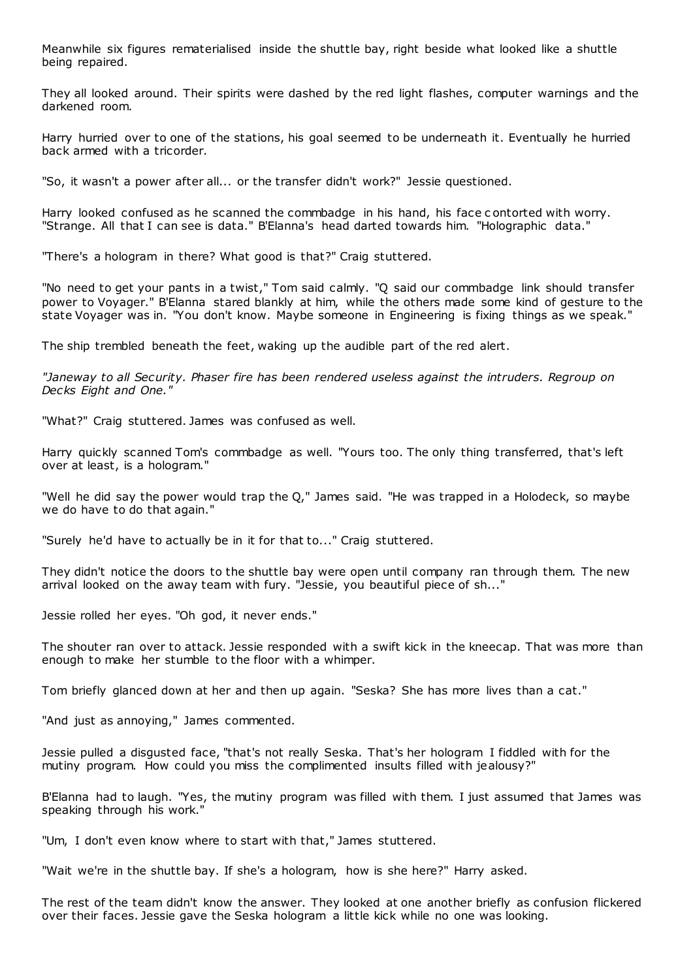Meanwhile six figures rematerialised inside the shuttle bay, right beside what looked like a shuttle being repaired.

They all looked around. Their spirits were dashed by the red light flashes, computer warnings and the darkened room.

Harry hurried over to one of the stations, his goal seemed to be underneath it. Eventually he hurried back armed with a tricorder.

"So, it wasn't a power after all... or the transfer didn't work?" Jessie questioned.

Harry looked confused as he scanned the commbadge in his hand, his face c ontorted with worry. "Strange. All that I can see is data." B'Elanna's head darted towards him. "Holographic data."

"There's a hologram in there? What good is that?" Craig stuttered.

"No need to get your pants in a twist," Tom said calmly. "Q said our commbadge link should transfer power to Voyager." B'Elanna stared blankly at him, while the others made some kind of gesture to the state Voyager was in. "You don't know. Maybe someone in Engineering is fixing things as we speak."

The ship trembled beneath the feet, waking up the audible part of the red alert.

*"Janeway to all Security. Phaser fire has been rendered useless against the intruders. Regroup on Decks Eight and One."*

"What?" Craig stuttered. James was confused as well.

Harry quickly scanned Tom's commbadge as well. "Yours too. The only thing transferred, that's left over at least, is a hologram."

"Well he did say the power would trap the Q," James said. "He was trapped in a Holodeck, so maybe we do have to do that again."

"Surely he'd have to actually be in it for that to..." Craig stuttered.

They didn't notice the doors to the shuttle bay were open until company ran through them. The new arrival looked on the away team with fury. "Jessie, you beautiful piece of sh..."

Jessie rolled her eyes. "Oh god, it never ends."

The shouter ran over to attack. Jessie responded with a swift kick in the kneecap. That was more than enough to make her stumble to the floor with a whimper.

Tom briefly glanced down at her and then up again. "Seska? She has more lives than a cat."

"And just as annoying," James commented.

Jessie pulled a disgusted face, "that's not really Seska. That's her hologram I fiddled with for the mutiny program. How could you miss the complimented insults filled with jealousy?"

B'Elanna had to laugh. "Yes, the mutiny program was filled with them. I just assumed that James was speaking through his work."

"Um, I don't even know where to start with that," James stuttered.

"Wait we're in the shuttle bay. If she's a hologram, how is she here?" Harry asked.

The rest of the team didn't know the answer. They looked at one another briefly as confusion flickered over their faces. Jessie gave the Seska hologram a little kick while no one was looking.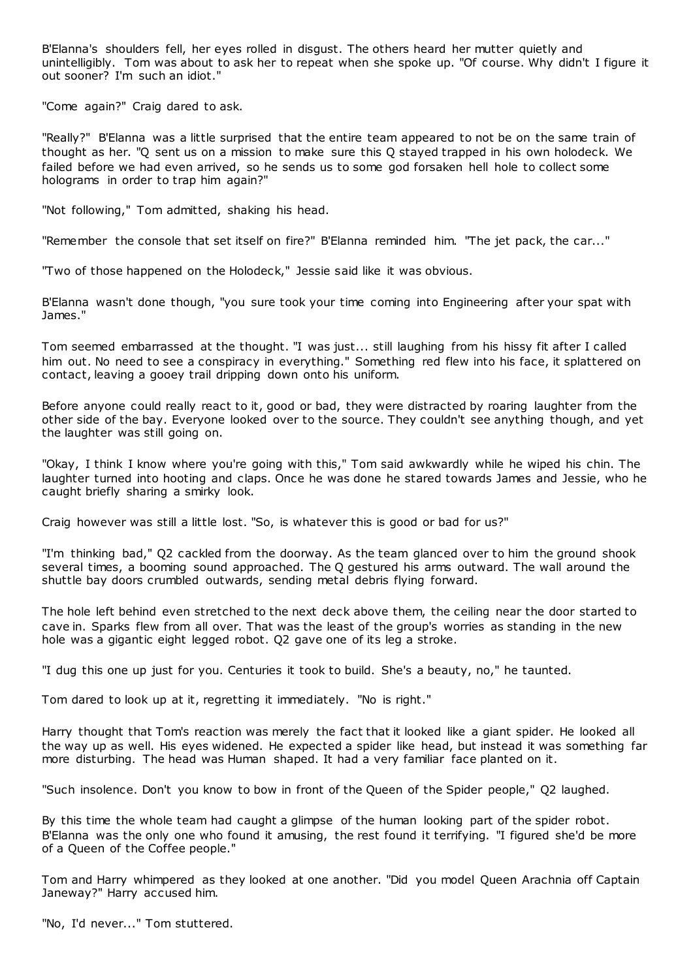B'Elanna's shoulders fell, her eyes rolled in disgust. The others heard her mutter quietly and unintelligibly. Tom was about to ask her to repeat when she spoke up. "Of course. Why didn't I figure it out sooner? I'm such an idiot."

"Come again?" Craig dared to ask.

"Really?" B'Elanna was a little surprised that the entire team appeared to not be on the same train of thought as her. "Q sent us on a mission to make sure this Q stayed trapped in his own holodeck. We failed before we had even arrived, so he sends us to some god forsaken hell hole to collect some holograms in order to trap him again?"

"Not following," Tom admitted, shaking his head.

"Remember the console that set itself on fire?" B'Elanna reminded him. "The jet pack, the car..."

"Two of those happened on the Holodeck," Jessie said like it was obvious.

B'Elanna wasn't done though, "you sure took your time coming into Engineering after your spat with James."

Tom seemed embarrassed at the thought. "I was just... still laughing from his hissy fit after I called him out. No need to see a conspiracy in everything." Something red flew into his face, it splattered on contact, leaving a gooey trail dripping down onto his uniform.

Before anyone could really react to it, good or bad, they were distracted by roaring laughter from the other side of the bay. Everyone looked over to the source. They couldn't see anything though, and yet the laughter was still going on.

"Okay, I think I know where you're going with this," Tom said awkwardly while he wiped his chin. The laughter turned into hooting and claps. Once he was done he stared towards James and Jessie, who he caught briefly sharing a smirky look.

Craig however was still a little lost. "So, is whatever this is good or bad for us?"

"I'm thinking bad," Q2 cackled from the doorway. As the team glanced over to him the ground shook several times, a booming sound approached. The Q gestured his arms outward. The wall around the shuttle bay doors crumbled outwards, sending metal debris flying forward.

The hole left behind even stretched to the next deck above them, the ceiling near the door started to cave in. Sparks flew from all over. That was the least of the group's worries as standing in the new hole was a gigantic eight legged robot. Q2 gave one of its leg a stroke.

"I dug this one up just for you. Centuries it took to build. She's a beauty, no," he taunted.

Tom dared to look up at it, regretting it immediately. "No is right."

Harry thought that Tom's reaction was merely the fact that it looked like a giant spider. He looked all the way up as well. His eyes widened. He expected a spider like head, but instead it was something far more disturbing. The head was Human shaped. It had a very familiar face planted on it.

"Such insolence. Don't you know to bow in front of the Queen of the Spider people," Q2 laughed.

By this time the whole team had caught a glimpse of the human looking part of the spider robot. B'Elanna was the only one who found it amusing, the rest found it terrifying. "I figured she'd be more of a Queen of the Coffee people."

Tom and Harry whimpered as they looked at one another. "Did you model Queen Arachnia off Captain Janeway?" Harry accused him.

"No, I'd never..." Tom stuttered.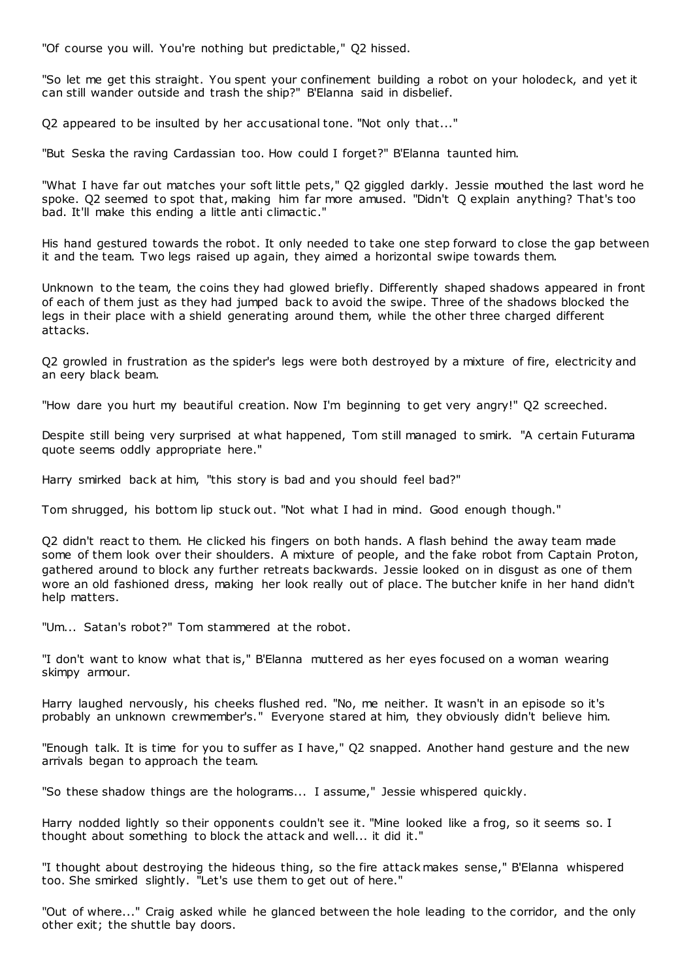"Of course you will. You're nothing but predictable," Q2 hissed.

"So let me get this straight. You spent your confinement building a robot on your holodeck, and yet it can still wander outside and trash the ship?" B'Elanna said in disbelief.

Q2 appeared to be insulted by her accusational tone. "Not only that..."

"But Seska the raving Cardassian too. How could I forget?" B'Elanna taunted him.

"What I have far out matches your soft little pets," Q2 giggled darkly. Jessie mouthed the last word he spoke. Q2 seemed to spot that, making him far more amused. "Didn't Q explain anything? That's too bad. It'll make this ending a little anti climactic ."

His hand gestured towards the robot. It only needed to take one step forward to close the gap between it and the team. Two legs raised up again, they aimed a horizontal swipe towards them.

Unknown to the team, the coins they had glowed briefly. Differently shaped shadows appeared in front of each of them just as they had jumped back to avoid the swipe. Three of the shadows blocked the legs in their place with a shield generating around them, while the other three charged different attacks.

Q2 growled in frustration as the spider's legs were both destroyed by a mixture of fire, electricity and an eery black beam.

"How dare you hurt my beautiful creation. Now I'm beginning to get very angry!" Q2 screeched.

Despite still being very surprised at what happened, Tom still managed to smirk. "A certain Futurama quote seems oddly appropriate here."

Harry smirked back at him, "this story is bad and you should feel bad?"

Tom shrugged, his bottom lip stuck out. "Not what I had in mind. Good enough though."

Q2 didn't react to them. He clicked his fingers on both hands. A flash behind the away team made some of them look over their shoulders. A mixture of people, and the fake robot from Captain Proton, gathered around to block any further retreats backwards. Jessie looked on in disgust as one of them wore an old fashioned dress, making her look really out of place. The butcher knife in her hand didn't help matters.

"Um... Satan's robot?" Tom stammered at the robot.

"I don't want to know what that is," B'Elanna muttered as her eyes focused on a woman wearing skimpy armour.

Harry laughed nervously, his cheeks flushed red. "No, me neither. It wasn't in an episode so it's probably an unknown crewmember's." Everyone stared at him, they obviously didn't believe him.

"Enough talk. It is time for you to suffer as I have," Q2 snapped. Another hand gesture and the new arrivals began to approach the team.

"So these shadow things are the holograms... I assume," Jessie whispered quickly.

Harry nodded lightly so their opponents couldn't see it. "Mine looked like a frog, so it seems so. I thought about something to block the attack and well... it did it."

"I thought about destroying the hideous thing, so the fire attack makes sense," B'Elanna whispered too. She smirked slightly. "Let's use them to get out of here."

"Out of where..." Craig asked while he glanced between the hole leading to the corridor, and the only other exit; the shuttle bay doors.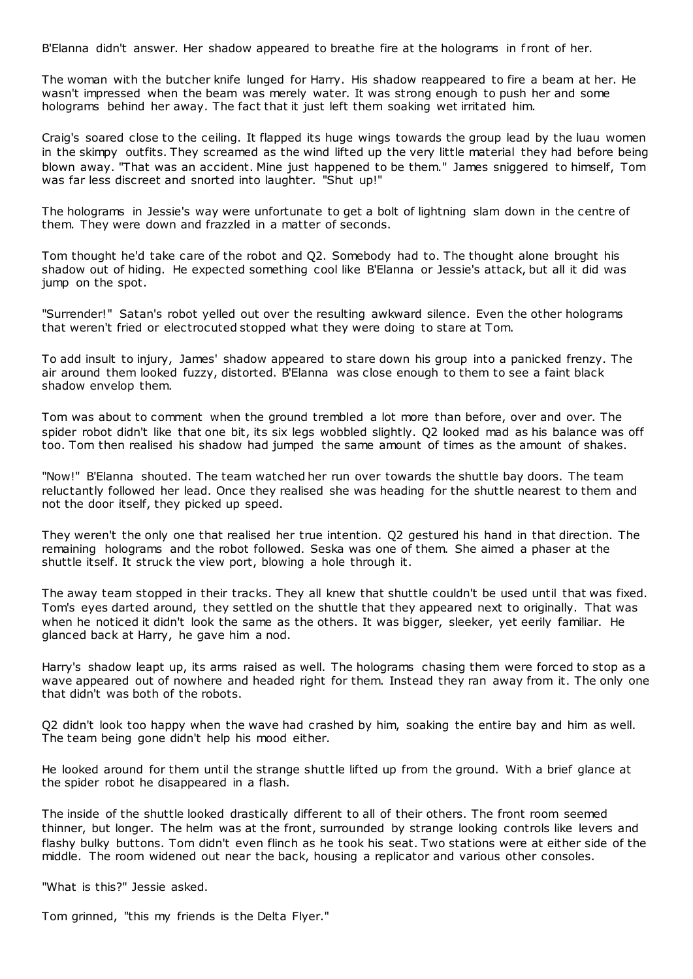B'Elanna didn't answer. Her shadow appeared to breathe fire at the holograms in front of her.

The woman with the butcher knife lunged for Harry. His shadow reappeared to fire a beam at her. He wasn't impressed when the beam was merely water. It was strong enough to push her and some holograms behind her away. The fact that it just left them soaking wet irritated him.

Craig's soared close to the ceiling. It flapped its huge wings towards the group lead by the luau women in the skimpy outfits. They screamed as the wind lifted up the very little material they had before being blown away. "That was an accident. Mine just happened to be them." James sniggered to himself, Tom was far less discreet and snorted into laughter. "Shut up!"

The holograms in Jessie's way were unfortunate to get a bolt of lightning slam down in the centre of them. They were down and frazzled in a matter of seconds.

Tom thought he'd take care of the robot and Q2. Somebody had to. The thought alone brought his shadow out of hiding. He expected something cool like B'Elanna or Jessie's attack, but all it did was jump on the spot.

"Surrender!" Satan's robot yelled out over the resulting awkward silence. Even the other holograms that weren't fried or electrocuted stopped what they were doing to stare at Tom.

To add insult to injury, James' shadow appeared to stare down his group into a panicked frenzy. The air around them looked fuzzy, distorted. B'Elanna was close enough to them to see a faint black shadow envelop them.

Tom was about to comment when the ground trembled a lot more than before, over and over. The spider robot didn't like that one bit, its six legs wobbled slightly. Q2 looked mad as his balance was off too. Tom then realised his shadow had jumped the same amount of times as the amount of shakes.

"Now!" B'Elanna shouted. The team watched her run over towards the shuttle bay doors. The team reluctantly followed her lead. Once they realised she was heading for the shuttle nearest to them and not the door itself, they picked up speed.

They weren't the only one that realised her true intention. Q2 gestured his hand in that direction. The remaining holograms and the robot followed. Seska was one of them. She aimed a phaser at the shuttle itself. It struck the view port, blowing a hole through it.

The away team stopped in their tracks. They all knew that shuttle couldn't be used until that was fixed. Tom's eyes darted around, they settled on the shuttle that they appeared next to originally. That was when he noticed it didn't look the same as the others. It was bigger, sleeker, yet eerily familiar. He glanced back at Harry, he gave him a nod.

Harry's shadow leapt up, its arms raised as well. The holograms chasing them were forced to stop as a wave appeared out of nowhere and headed right for them. Instead they ran away from it. The only one that didn't was both of the robots.

Q2 didn't look too happy when the wave had crashed by him, soaking the entire bay and him as well. The team being gone didn't help his mood either.

He looked around for them until the strange shuttle lifted up from the ground. With a brief glance at the spider robot he disappeared in a flash.

The inside of the shuttle looked drastically different to all of their others. The front room seemed thinner, but longer. The helm was at the front, surrounded by strange looking controls like levers and flashy bulky buttons. Tom didn't even flinch as he took his seat. Two stations were at either side of the middle. The room widened out near the back, housing a replicator and various other consoles.

"What is this?" Jessie asked.

Tom grinned, "this my friends is the Delta Flyer."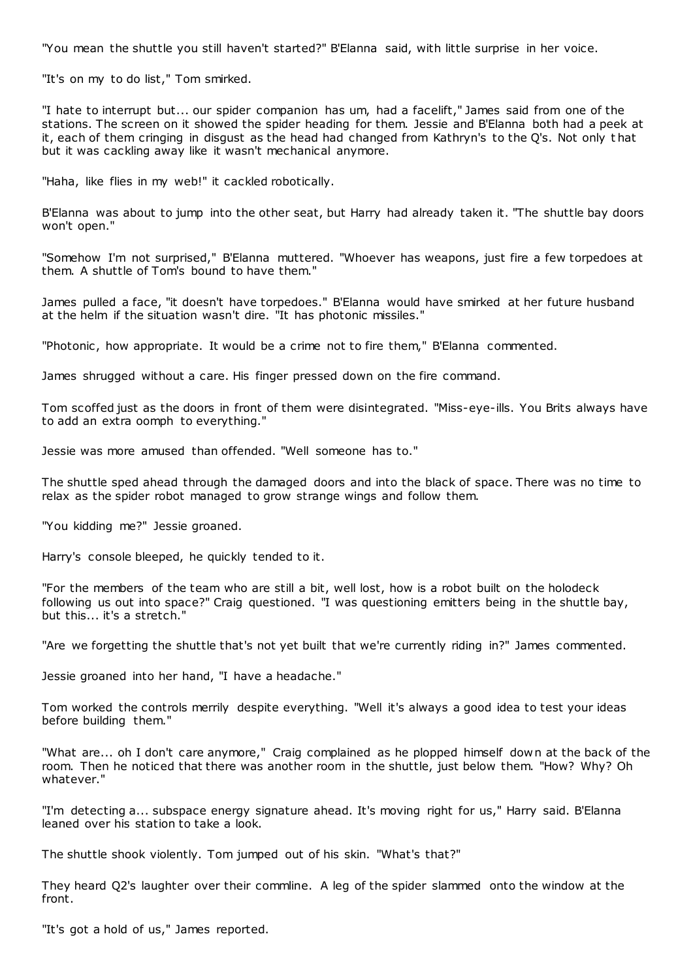"You mean the shuttle you still haven't started?" B'Elanna said, with little surprise in her voice.

"It's on my to do list," Tom smirked.

"I hate to interrupt but... our spider companion has um, had a facelift," James said from one of the stations. The screen on it showed the spider heading for them. Jessie and B'Elanna both had a peek at it, each of them cringing in disgust as the head had changed from Kathryn's to the Q's. Not only t hat but it was cackling away like it wasn't mechanical anymore.

"Haha, like flies in my web!" it cackled robotically.

B'Elanna was about to jump into the other seat, but Harry had already taken it. "The shuttle bay doors won't open."

"Somehow I'm not surprised," B'Elanna muttered. "Whoever has weapons, just fire a few torpedoes at them. A shuttle of Tom's bound to have them."

James pulled a face, "it doesn't have torpedoes." B'Elanna would have smirked at her future husband at the helm if the situation wasn't dire. "It has photonic missiles."

"Photonic, how appropriate. It would be a crime not to fire them," B'Elanna commented.

James shrugged without a care. His finger pressed down on the fire command.

Tom scoffed just as the doors in front of them were disintegrated. "Miss-eye-ills. You Brits always have to add an extra oomph to everything."

Jessie was more amused than offended. "Well someone has to."

The shuttle sped ahead through the damaged doors and into the black of space. There was no time to relax as the spider robot managed to grow strange wings and follow them.

"You kidding me?" Jessie groaned.

Harry's console bleeped, he quickly tended to it.

"For the members of the team who are still a bit, well lost, how is a robot built on the holodeck following us out into space?" Craig questioned. "I was questioning emitters being in the shuttle bay, but this... it's a stretch."

"Are we forgetting the shuttle that's not yet built that we're currently riding in?" James commented.

Jessie groaned into her hand, "I have a headache."

Tom worked the controls merrily despite everything. "Well it's always a good idea to test your ideas before building them."

"What are... oh I don't care anymore," Craig complained as he plopped himself down at the back of the room. Then he noticed that there was another room in the shuttle, just below them. "How? Why? Oh whatever."

"I'm detecting a... subspace energy signature ahead. It's moving right for us," Harry said. B'Elanna leaned over his station to take a look.

The shuttle shook violently. Tom jumped out of his skin. "What's that?"

They heard Q2's laughter over their commline. A leg of the spider slammed onto the window at the front.

"It's got a hold of us," James reported.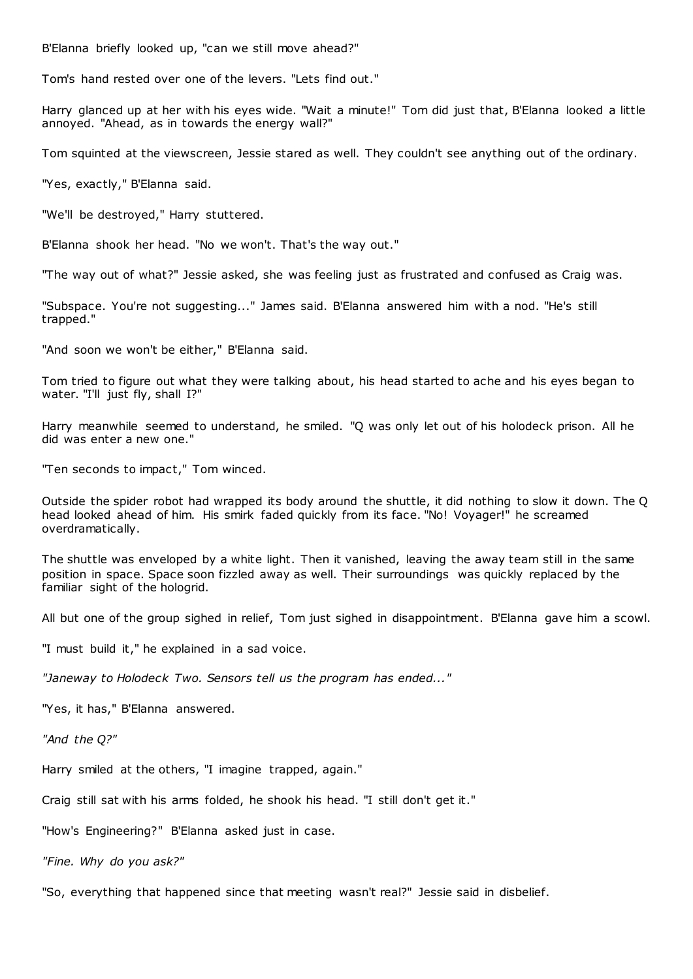B'Elanna briefly looked up, "can we still move ahead?"

Tom's hand rested over one of the levers. "Lets find out."

Harry glanced up at her with his eyes wide. "Wait a minute!" Tom did just that, B'Elanna looked a little annoyed. "Ahead, as in towards the energy wall?"

Tom squinted at the viewscreen, Jessie stared as well. They couldn't see anything out of the ordinary.

"Yes, exactly," B'Elanna said.

"We'll be destroyed," Harry stuttered.

B'Elanna shook her head. "No we won't. That's the way out."

"The way out of what?" Jessie asked, she was feeling just as frustrated and confused as Craig was.

"Subspace. You're not suggesting..." James said. B'Elanna answered him with a nod. "He's still trapped."

"And soon we won't be either," B'Elanna said.

Tom tried to figure out what they were talking about, his head started to ache and his eyes began to water. "I'll just fly, shall I?"

Harry meanwhile seemed to understand, he smiled. "Q was only let out of his holodeck prison. All he did was enter a new one."

"Ten seconds to impact," Tom winced.

Outside the spider robot had wrapped its body around the shuttle, it did nothing to slow it down. The Q head looked ahead of him. His smirk faded quickly from its face. "No! Voyager!" he screamed overdramatically.

The shuttle was enveloped by a white light. Then it vanished, leaving the away team still in the same position in space. Space soon fizzled away as well. Their surroundings was quickly replaced by the familiar sight of the hologrid.

All but one of the group sighed in relief, Tom just sighed in disappointment. B'Elanna gave him a scowl.

"I must build it," he explained in a sad voice.

*"Janeway to Holodeck Two. Sensors tell us the program has ended..."*

"Yes, it has," B'Elanna answered.

*"And the Q?"*

Harry smiled at the others, "I imagine trapped, again."

Craig still sat with his arms folded, he shook his head. "I still don't get it."

"How's Engineering?" B'Elanna asked just in case.

*"Fine. Why do you ask?"*

"So, everything that happened since that meeting wasn't real?" Jessie said in disbelief.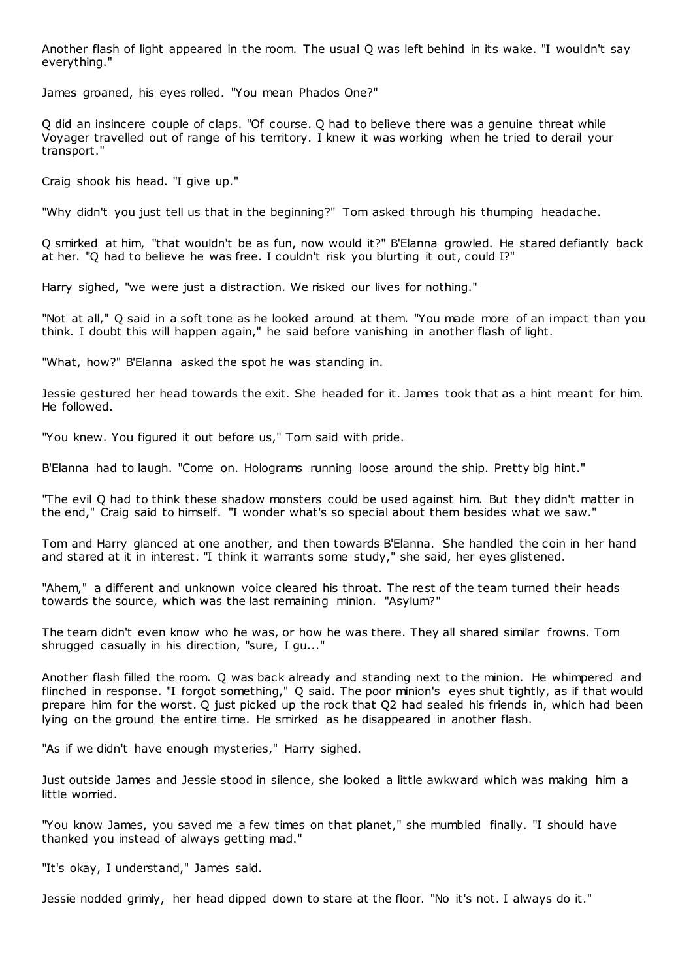Another flash of light appeared in the room. The usual Q was left behind in its wake. "I wouldn't say everything."

James groaned, his eyes rolled. "You mean Phados One?"

Q did an insincere couple of claps. "Of course. Q had to believe there was a genuine threat while Voyager travelled out of range of his territory. I knew it was working when he tried to derail your transport."

Craig shook his head. "I give up."

"Why didn't you just tell us that in the beginning?" Tom asked through his thumping headache.

Q smirked at him, "that wouldn't be as fun, now would it?" B'Elanna growled. He stared defiantly back at her. "Q had to believe he was free. I couldn't risk you blurting it out, could I?"

Harry sighed, "we were just a distraction. We risked our lives for nothing."

"Not at all," Q said in a soft tone as he looked around at them. "You made more of an impact than you think. I doubt this will happen again," he said before vanishing in another flash of light.

"What, how?" B'Elanna asked the spot he was standing in.

Jessie gestured her head towards the exit. She headed for it. James took that as a hint meant for him. He followed.

"You knew. You figured it out before us," Tom said with pride.

B'Elanna had to laugh. "Come on. Holograms running loose around the ship. Pretty big hint."

"The evil Q had to think these shadow monsters could be used against him. But they didn't matter in the end," Craig said to himself. "I wonder what's so special about them besides what we saw."

Tom and Harry glanced at one another, and then towards B'Elanna. She handled the coin in her hand and stared at it in interest. "I think it warrants some study," she said, her eyes glistened.

"Ahem," a different and unknown voice cleared his throat. The rest of the team turned their heads towards the source, which was the last remaining minion. "Asylum?"

The team didn't even know who he was, or how he was there. They all shared similar frowns. Tom shrugged casually in his direction, "sure, I gu..."

Another flash filled the room. Q was back already and standing next to the minion. He whimpered and flinched in response. "I forgot something," Q said. The poor minion's eyes shut tightly, as if that would prepare him for the worst. Q just picked up the rock that Q2 had sealed his friends in, which had been lying on the ground the entire time. He smirked as he disappeared in another flash.

"As if we didn't have enough mysteries," Harry sighed.

Just outside James and Jessie stood in silence, she looked a little awkward which was making him a little worried.

"You know James, you saved me a few times on that planet," she mumbled finally. "I should have thanked you instead of always getting mad."

"It's okay, I understand," James said.

Jessie nodded grimly, her head dipped down to stare at the floor. "No it's not. I always do it."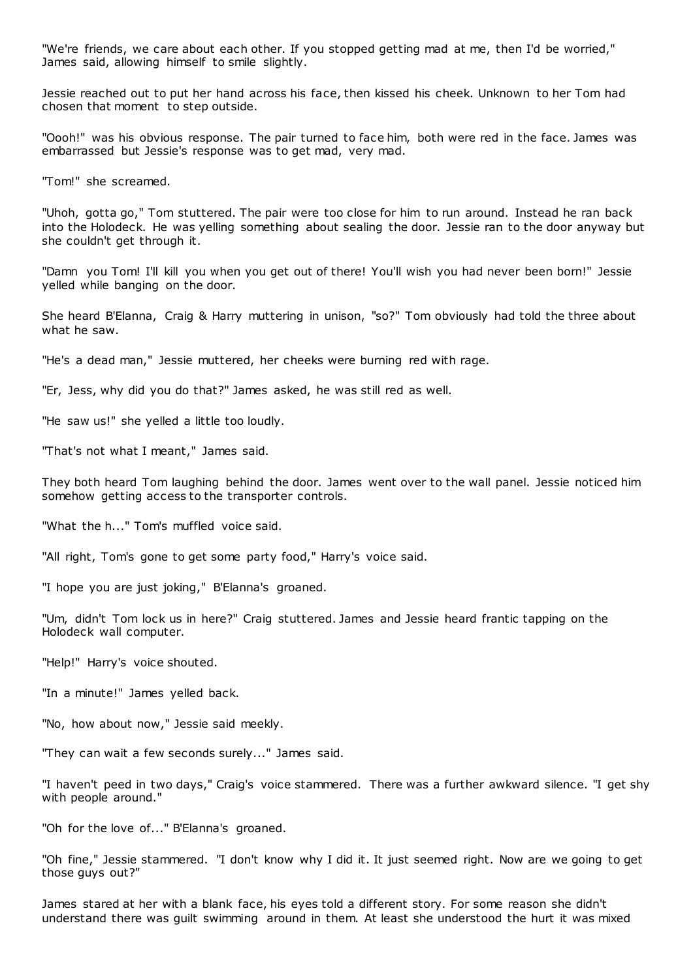"We're friends, we care about each other. If you stopped getting mad at me, then I'd be worried," James said, allowing himself to smile slightly.

Jessie reached out to put her hand across his face, then kissed his cheek. Unknown to her Tom had chosen that moment to step outside.

"Oooh!" was his obvious response. The pair turned to face him, both were red in the face. James was embarrassed but Jessie's response was to get mad, very mad.

"Tom!" she screamed.

"Uhoh, gotta go," Tom stuttered. The pair were too close for him to run around. Instead he ran back into the Holodeck. He was yelling something about sealing the door. Jessie ran to the door anyway but she couldn't get through it.

"Damn you Tom! I'll kill you when you get out of there! You'll wish you had never been born!" Jessie yelled while banging on the door.

She heard B'Elanna, Craig & Harry muttering in unison, "so?" Tom obviously had told the three about what he saw.

"He's a dead man," Jessie muttered, her cheeks were burning red with rage.

"Er, Jess, why did you do that?" James asked, he was still red as well.

"He saw us!" she yelled a little too loudly.

"That's not what I meant," James said.

They both heard Tom laughing behind the door. James went over to the wall panel. Jessie noticed him somehow getting access to the transporter controls.

"What the h..." Tom's muffled voice said.

"All right, Tom's gone to get some party food," Harry's voice said.

"I hope you are just joking," B'Elanna's groaned.

"Um, didn't Tom lock us in here?" Craig stuttered. James and Jessie heard frantic tapping on the Holodeck wall computer.

"Help!" Harry's voice shouted.

"In a minute!" James yelled back.

"No, how about now," Jessie said meekly.

"They can wait a few seconds surely..." James said.

"I haven't peed in two days," Craig's voice stammered. There was a further awkward silence. "I get shy with people around."

"Oh for the love of..." B'Elanna's groaned.

"Oh fine," Jessie stammered. "I don't know why I did it. It just seemed right. Now are we going to get those guys out?"

James stared at her with a blank face, his eyes told a different story. For some reason she didn't understand there was guilt swimming around in them. At least she understood the hurt it was mixed